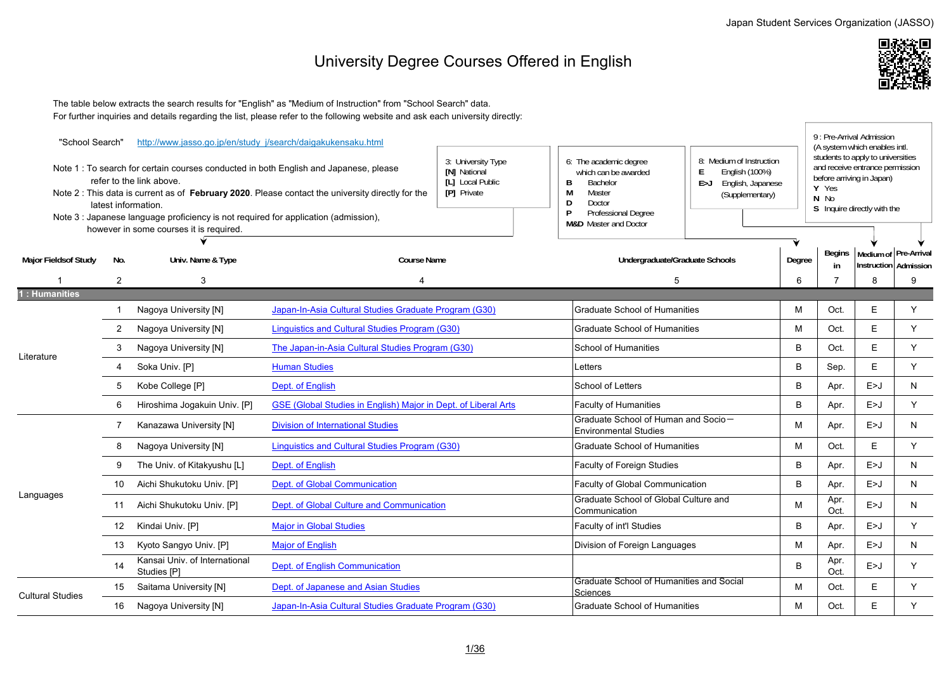## University Degree Courses Offered in English



 The table below extracts the search results for "English" as "Medium of Instruction" from "School Search" data. For further inquiries and details regarding the list, please refer to the following website and ask each university directly:

| "School Search"             |                 | http://www.jasso.go.jp/en/study j/search/daigakukensaku.html                                                                                                                      |                                                                                                                                                                                                   |                                                                              |                                                                                                                                                                 |                                                                                                  |        |                                                                                                                                                   | 9 : Pre-Arrival Admission<br>(A system which enables intl. |   |
|-----------------------------|-----------------|-----------------------------------------------------------------------------------------------------------------------------------------------------------------------------------|---------------------------------------------------------------------------------------------------------------------------------------------------------------------------------------------------|------------------------------------------------------------------------------|-----------------------------------------------------------------------------------------------------------------------------------------------------------------|--------------------------------------------------------------------------------------------------|--------|---------------------------------------------------------------------------------------------------------------------------------------------------|------------------------------------------------------------|---|
|                             |                 | refer to the link above.<br>latest information.<br>Note 3 : Japanese language proficiency is not required for application (admission),<br>however in some courses it is required. | Note 1: To search for certain courses conducted in both English and Japanese, please<br>Note 2 : This data is current as of <b>February 2020</b> . Please contact the university directly for the | 3: University Type<br><b>IN1</b> National<br>[L] Local Public<br>[P] Private | 6: The academic degree<br>which can be awarded<br><b>Bachelor</b><br>B<br>M<br>Master<br>Doctor<br>D<br>Professional Degree<br><b>M&amp;D</b> Master and Doctor | 8: Medium of Instruction<br>E<br>English (100%)<br>E > J<br>English, Japanese<br>(Supplementary) |        | students to apply to universities<br>and receive entrance permission<br>before arriving in Japan)<br>Y Yes<br>N No<br>S Inquire directly with the |                                                            |   |
|                             |                 |                                                                                                                                                                                   |                                                                                                                                                                                                   |                                                                              |                                                                                                                                                                 |                                                                                                  |        |                                                                                                                                                   |                                                            |   |
| <b>Major Fieldsof Study</b> | No.             | Univ. Name & Type                                                                                                                                                                 | <b>Course Name</b>                                                                                                                                                                                |                                                                              | Undergraduate/Graduate Schools                                                                                                                                  |                                                                                                  | Degree | Begins<br>in                                                                                                                                      | Medium of Pre-Arrival<br>Instruction Admission             |   |
|                             | 2               | 3                                                                                                                                                                                 |                                                                                                                                                                                                   |                                                                              | 5                                                                                                                                                               |                                                                                                  | 6      | $\overline{7}$                                                                                                                                    | 8                                                          | 9 |
| : Humanities                |                 |                                                                                                                                                                                   |                                                                                                                                                                                                   |                                                                              |                                                                                                                                                                 |                                                                                                  |        |                                                                                                                                                   |                                                            |   |
|                             |                 | Nagoya University [N]                                                                                                                                                             | Japan-In-Asia Cultural Studies Graduate Program (G30)                                                                                                                                             |                                                                              | <b>Graduate School of Humanities</b>                                                                                                                            |                                                                                                  | м      | Oct.                                                                                                                                              | Е                                                          | Y |
|                             | 2               | Nagoya University [N]                                                                                                                                                             | Linguistics and Cultural Studies Program (G30)                                                                                                                                                    |                                                                              | <b>Graduate School of Humanities</b>                                                                                                                            |                                                                                                  | M      | Oct.                                                                                                                                              | E                                                          | Y |
| Literature                  | 3               | Nagoya University [N]                                                                                                                                                             | The Japan-in-Asia Cultural Studies Program (G30)                                                                                                                                                  |                                                                              | <b>School of Humanities</b>                                                                                                                                     |                                                                                                  | B      | Oct.                                                                                                                                              | E                                                          | Y |
|                             |                 | Soka Univ. [P]                                                                                                                                                                    | <b>Human Studies</b>                                                                                                                                                                              |                                                                              | Letters                                                                                                                                                         |                                                                                                  | B      | Sep.                                                                                                                                              | E                                                          | Y |
|                             | 5               | Kobe College [P]                                                                                                                                                                  | Dept. of English                                                                                                                                                                                  |                                                                              | School of Letters                                                                                                                                               |                                                                                                  | B      | Apr.                                                                                                                                              | E > J                                                      | N |
|                             | 6               | Hiroshima Jogakuin Univ. [P]                                                                                                                                                      | <b>GSE (Global Studies in English) Major in Dept. of Liberal Arts</b>                                                                                                                             |                                                                              | <b>Faculty of Humanities</b>                                                                                                                                    |                                                                                                  | B      | Apr.                                                                                                                                              | E>J                                                        | Y |
|                             | 7               | Kanazawa University [N]                                                                                                                                                           | <b>Division of International Studies</b>                                                                                                                                                          |                                                                              | Graduate School of Human and Socio-<br><b>Environmental Studies</b>                                                                                             |                                                                                                  | M      | Apr.                                                                                                                                              | E > J                                                      | N |
|                             | 8               | Nagoya University [N]                                                                                                                                                             | <b>Linguistics and Cultural Studies Program (G30)</b>                                                                                                                                             |                                                                              | <b>Graduate School of Humanities</b>                                                                                                                            |                                                                                                  | M      | Oct.                                                                                                                                              | E                                                          | Y |
|                             | 9               | The Univ. of Kitakyushu [L]                                                                                                                                                       | Dept. of English                                                                                                                                                                                  |                                                                              | Faculty of Foreign Studies                                                                                                                                      |                                                                                                  | B      | Apr.                                                                                                                                              | E>J                                                        | N |
|                             | 10              | Aichi Shukutoku Univ. [P]                                                                                                                                                         | Dept. of Global Communication                                                                                                                                                                     |                                                                              | Faculty of Global Communication                                                                                                                                 |                                                                                                  | B      | Apr.                                                                                                                                              | E > J                                                      | N |
| Languages                   | 11              | Aichi Shukutoku Univ. [P]                                                                                                                                                         | Dept. of Global Culture and Communication                                                                                                                                                         |                                                                              | Graduate School of Global Culture and<br>Communication                                                                                                          |                                                                                                  | M      | Apr.<br>Oct.                                                                                                                                      | E > J                                                      | N |
|                             | 12 <sup>°</sup> | Kindai Univ. [P]                                                                                                                                                                  | <b>Major in Global Studies</b>                                                                                                                                                                    |                                                                              | Faculty of int'l Studies                                                                                                                                        |                                                                                                  | B      | Apr.                                                                                                                                              | E > J                                                      | Y |
|                             | 13              | Kyoto Sangyo Univ. [P]                                                                                                                                                            | <b>Major of English</b>                                                                                                                                                                           |                                                                              | Division of Foreign Languages                                                                                                                                   |                                                                                                  | M      | Apr.                                                                                                                                              | E > J                                                      | N |
|                             | 14              | Kansai Univ. of International<br>Studies [P]                                                                                                                                      | Dept. of English Communication                                                                                                                                                                    |                                                                              |                                                                                                                                                                 |                                                                                                  | B      | Apr.<br>Oct.                                                                                                                                      | E > J                                                      | Y |
| <b>Cultural Studies</b>     | 15              | Saitama University [N]                                                                                                                                                            | Dept. of Japanese and Asian Studies                                                                                                                                                               |                                                                              | Graduate School of Humanities and Social<br>Sciences                                                                                                            |                                                                                                  | M      | Oct.                                                                                                                                              | E                                                          | Y |
|                             | 16              | Nagoya University [N]                                                                                                                                                             | Japan-In-Asia Cultural Studies Graduate Program (G30)                                                                                                                                             |                                                                              | <b>Graduate School of Humanities</b>                                                                                                                            |                                                                                                  | M      | Oct.                                                                                                                                              | E.                                                         | Y |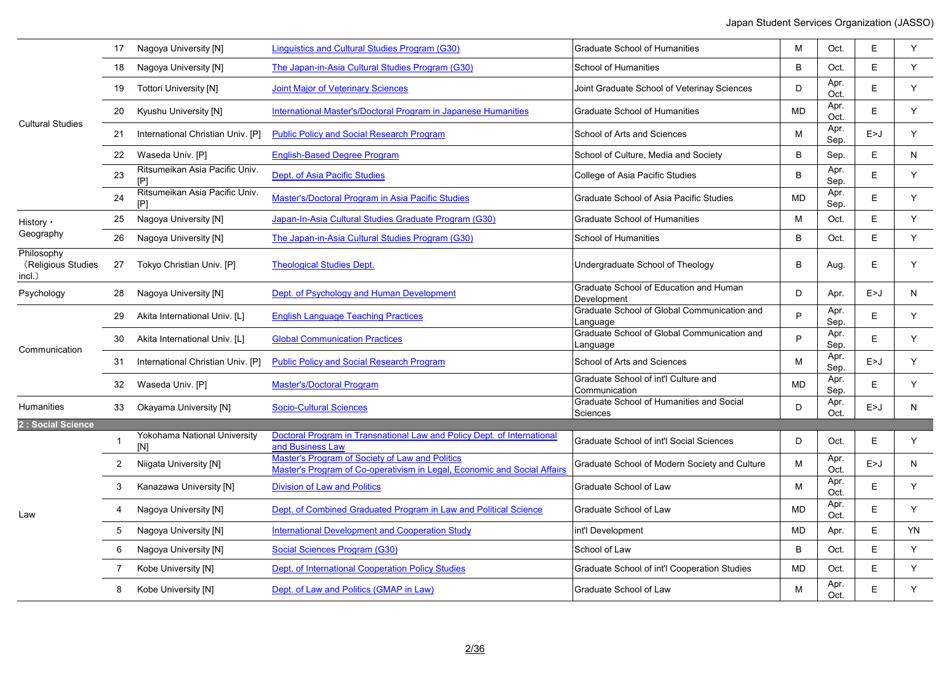|                                            | 17             | Nagoya University [N]                 | Linguistics and Cultural Studies Program (G30)                                                                              | <b>Graduate School of Humanities</b>                    | M         | Oct.         | E     | Y         |
|--------------------------------------------|----------------|---------------------------------------|-----------------------------------------------------------------------------------------------------------------------------|---------------------------------------------------------|-----------|--------------|-------|-----------|
|                                            | 18             | Nagoya University [N]                 | The Japan-in-Asia Cultural Studies Program (G30)                                                                            | School of Humanities                                    | B         | Oct.         | E     | Y         |
|                                            | 19             | <b>Tottori University [N]</b>         | <b>Joint Major of Veterinary Sciences</b>                                                                                   | Joint Graduate School of Veterinay Sciences             | D         | Apr.<br>Oct. | E     | Y         |
|                                            | 20             | Kyushu University [N]                 | International Master's/Doctoral Program in Japanese Humanities                                                              | <b>Graduate School of Humanities</b>                    | <b>MD</b> | Apr.<br>Oct. | E.    | Y         |
| <b>Cultural Studies</b>                    | 21             | International Christian Univ. [P]     | <b>Public Policy and Social Research Program</b>                                                                            | School of Arts and Sciences                             | м         | Apr.<br>Sep. | E > J | Y         |
|                                            | 22             | Waseda Univ. [P]                      | <b>English-Based Degree Program</b>                                                                                         | School of Culture, Media and Society                    | B         | Sep.         | E     | ${\sf N}$ |
|                                            | 23             | Ritsumeikan Asia Pacific Univ.<br>[P] | Dept. of Asia Pacific Studies                                                                                               | College of Asia Pacific Studies                         | B         | Apr.<br>Sep. | E     | Y         |
|                                            | 24             | Ritsumeikan Asia Pacific Univ<br>FP1  | Master's/Doctoral Program in Asia Pacific Studies                                                                           | Graduate School of Asia Pacific Studies                 | <b>MD</b> | Apr.<br>Sep. | E     | Y         |
| History •                                  | 25             | Nagoya University [N]                 | Japan-In-Asia Cultural Studies Graduate Program (G30)                                                                       | <b>Graduate School of Humanities</b>                    | M         | Oct.         | E.    | Y         |
| Geography                                  | 26             | Nagoya University [N]                 | The Japan-in-Asia Cultural Studies Program (G30)                                                                            | School of Humanities                                    | B         | Oct.         | E     | Y         |
| Philosophy<br>(Religious Studies<br>incl.) | 27             | Tokyo Christian Univ. [P]             | <b>Theological Studies Dept.</b>                                                                                            | Undergraduate School of Theology                        | B         | Aug.         | E.    | Y         |
| Psychology                                 | 28             | Nagoya University [N]                 | Dept. of Psychology and Human Development                                                                                   | Graduate School of Education and Human<br>Development   | D         | Apr.         | E > J | N         |
|                                            | 29             | Akita International Univ. [L]         | <b>English Language Teaching Practices</b>                                                                                  | Graduate School of Global Communication and<br>Language | P         | Apr.<br>Sep. | E     | Y         |
| Communication                              | 30             | Akita International Univ. [L]         | <b>Global Communication Practices</b>                                                                                       | Graduate School of Global Communication and<br>Language | P         | Apr.<br>Sep. | E     | Y         |
|                                            | 31             | International Christian Univ. [P]     | <b>Public Policy and Social Research Program</b>                                                                            | School of Arts and Sciences                             | M         | Apr.<br>Sep. | E > J | Y         |
|                                            | 32             | Waseda Univ. [P]                      | <b>Master's/Doctoral Program</b>                                                                                            | Graduate School of int'l Culture and<br>Communication   | <b>MD</b> | Apr.<br>Sep. | E     | Y         |
| Humanities                                 | 33             | <b>Okayama University [N]</b>         | <b>Socio-Cultural Sciences</b>                                                                                              | Graduate School of Humanities and Social<br>Sciences    | D         | Apr.<br>Oct. | E > J | N         |
| 2 : Social Science                         |                |                                       |                                                                                                                             |                                                         |           |              |       |           |
|                                            | $\mathbf{1}$   | Yokohama National University<br>[N]   | Doctoral Program in Transnational Law and Policy Dept. of International<br>and Business Law                                 | Graduate School of int'l Social Sciences                | D         | Oct.         | E     | Y         |
|                                            | $\overline{2}$ | Niigata University [N]                | Master's Program of Society of Law and Politics<br>Master's Program of Co-operativism in Legal, Economic and Social Affairs | Graduate School of Modern Society and Culture           | M         | Apr.<br>Oct. | E>J   | N         |
|                                            | 3              | Kanazawa University [N]               | <b>Division of Law and Politics</b>                                                                                         | Graduate School of Law                                  | M         | Apr.<br>Oct. | E     | Y         |
| Law                                        | 4              | Nagoya University [N]                 | Dept. of Combined Graduated Program in Law and Political Science                                                            | Graduate School of Law                                  | <b>MD</b> | Apr.<br>Oct. | E     | Y         |
|                                            | 5              | Nagoya University [N]                 | <b>International Development and Cooperation Study</b>                                                                      | int'l Development                                       | <b>MD</b> | Apr.         | E     | YN        |
|                                            | 6              | Nagoya University [N]                 | Social Sciences Program (G30)                                                                                               | School of Law                                           | B         | Oct.         | E     | Y         |
|                                            | 7              | Kobe University [N]                   | Dept. of International Cooperation Policy Studies                                                                           | Graduate School of int'l Cooperation Studies            | <b>MD</b> | Oct.         | E     | Y         |
|                                            | 8              | Kobe University [N]                   | Dept. of Law and Politics (GMAP in Law)                                                                                     | Graduate School of Law                                  | M         | Apr.<br>Oct. | E     | Y         |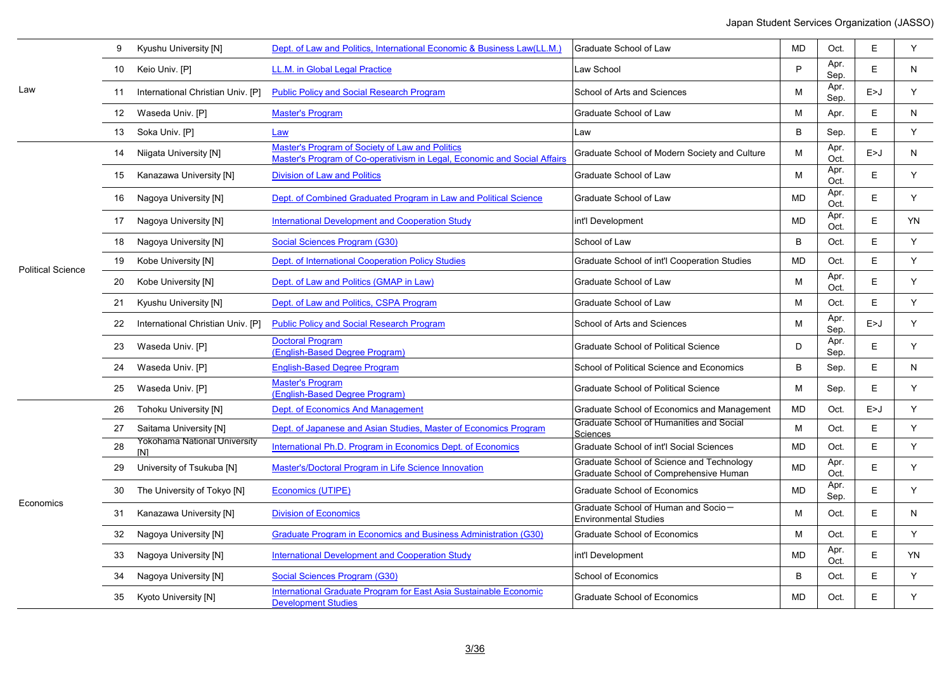|                          | 9                | Kyushu University [N]                      | Dept. of Law and Politics, International Economic & Business Law(LL.M.)                                                     | Graduate School of Law                                                              | <b>MD</b> | Oct.         | Ε     | Y         |
|--------------------------|------------------|--------------------------------------------|-----------------------------------------------------------------------------------------------------------------------------|-------------------------------------------------------------------------------------|-----------|--------------|-------|-----------|
|                          | 10               | Keio Univ. [P]                             | LL.M. in Global Legal Practice                                                                                              | Law School                                                                          | P         | Apr.<br>Sep. | E     | N.        |
| Law                      | 11               | International Christian Univ. [P]          | <b>Public Policy and Social Research Program</b>                                                                            | School of Arts and Sciences                                                         | M         | Apr.<br>Sep. | E > J | Y         |
|                          | 12 <sup>12</sup> | Waseda Univ. [P]                           | <b>Master's Program</b>                                                                                                     | Graduate School of Law                                                              | M         | Apr.         | E     | N         |
|                          | 13               | Soka Univ. [P]                             | Law                                                                                                                         | Law                                                                                 | B         | Sep.         | E     | Y         |
|                          | 14               | Niigata University [N]                     | Master's Program of Society of Law and Politics<br>Master's Program of Co-operativism in Legal, Economic and Social Affairs | Graduate School of Modern Society and Culture                                       | M         | Apr.<br>Oct. | E > J | N         |
|                          | 15               | Kanazawa University [N]                    | <b>Division of Law and Politics</b>                                                                                         | Graduate School of Law                                                              | M         | Apr.<br>Oct. | E     | Y         |
|                          | 16               | Nagoya University [N]                      | Dept. of Combined Graduated Program in Law and Political Science                                                            | Graduate School of Law                                                              | MD        | Apr.<br>Oct. | E     | Y         |
|                          | 17               | Nagoya University [N]                      | <b>International Development and Cooperation Study</b>                                                                      | int'l Development                                                                   | MD        | Apr.<br>Oct. | E     | <b>YN</b> |
|                          | 18               | Nagoya University [N]                      | Social Sciences Program (G30)                                                                                               | School of Law                                                                       | B         | Oct.         | E     | Y         |
| <b>Political Science</b> | 19               | Kobe University [N]                        | Dept. of International Cooperation Policy Studies                                                                           | Graduate School of int'l Cooperation Studies                                        | <b>MD</b> | Oct.         | E     | Y         |
|                          | 20               | Kobe University [N]                        | Dept. of Law and Politics (GMAP in Law)                                                                                     | Graduate School of Law                                                              | M         | Apr.<br>Oct. | E     | Y         |
|                          | 21               | Kyushu University [N]                      | Dept. of Law and Politics, CSPA Program                                                                                     | Graduate School of Law                                                              | M         | Oct.         | E     | Y         |
|                          | 22               | International Christian Univ. [P]          | <b>Public Policy and Social Research Program</b>                                                                            | School of Arts and Sciences                                                         | M         | Apr.<br>Sep. | E > J | Y         |
|                          | 23               | Waseda Univ. [P]                           | <b>Doctoral Program</b><br>(English-Based Degree Program)                                                                   | <b>Graduate School of Political Science</b>                                         | D         | Apr.<br>Sep. | E     | Y         |
|                          | 24               | Waseda Univ. [P]                           | <b>English-Based Degree Program</b>                                                                                         | School of Political Science and Economics                                           | B         | Sep.         | E     | N         |
|                          | 25               | Waseda Univ. [P]                           | <b>Master's Program</b><br>(English-Based Degree Program)                                                                   | <b>Graduate School of Political Science</b>                                         | M         | Sep.         | E     | Y         |
|                          | 26               | Tohoku University [N]                      | <b>Dept. of Economics And Management</b>                                                                                    | Graduate School of Economics and Management                                         | <b>MD</b> | Oct.         | E > J | Y         |
|                          | 27               | Saitama University [N]                     | Dept. of Japanese and Asian Studies, Master of Economics Program                                                            | Graduate School of Humanities and Social<br>Sciences                                | M         | Oct.         | E     | Y         |
|                          | 28               | Yokohama National University<br><b>IN1</b> | International Ph.D. Program in Economics Dept. of Economics                                                                 | Graduate School of int'l Social Sciences                                            | <b>MD</b> | Oct.         | E     | Y         |
|                          | 29               | University of Tsukuba [N]                  | Master's/Doctoral Program in Life Science Innovation                                                                        | Graduate School of Science and Technology<br>Graduate School of Comprehensive Human | <b>MD</b> | Apr.<br>Oct. | E     | Y         |
|                          | 30               | The University of Tokyo [N]                | Economics (UTIPE)                                                                                                           | <b>Graduate School of Economics</b>                                                 | <b>MD</b> | Apr.<br>Sep. | E     | Y         |
| Economics                | 31               | Kanazawa University [N]                    | <b>Division of Economics</b>                                                                                                | Graduate School of Human and Socio-<br><b>Environmental Studies</b>                 | м         | Oct.         | E     | N         |
|                          | 32               | Nagoya University [N]                      | Graduate Program in Economics and Business Administration (G30)                                                             | <b>Graduate School of Economics</b>                                                 | M         | Oct.         | E     | Y         |
|                          | 33               | Nagoya University [N]                      | <b>International Development and Cooperation Study</b>                                                                      | int'l Development                                                                   | <b>MD</b> | Apr.<br>Oct. | E     | YN        |
|                          | 34               | Nagoya University [N]                      | Social Sciences Program (G30)                                                                                               | <b>School of Economics</b>                                                          | $\sf B$   | Oct.         | E     | Y         |
|                          | 35               | Kyoto University [N]                       | International Graduate Program for East Asia Sustainable Economic<br><b>Development Studies</b>                             | <b>Graduate School of Economics</b>                                                 | MD        | Oct.         | E     | Y         |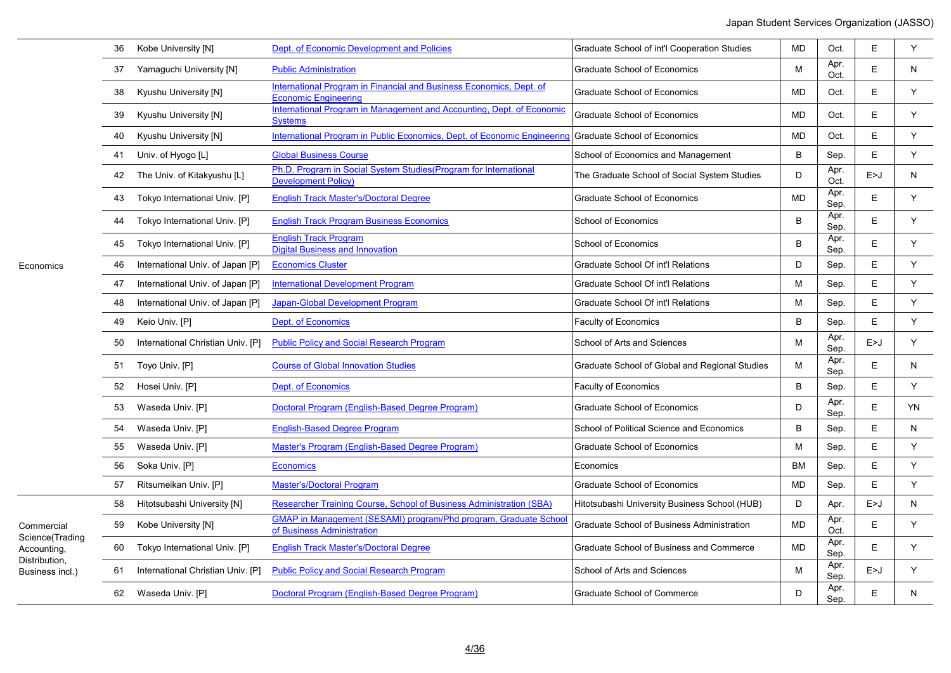|                                                                                  | 36 | Kobe University [N]               | Dept. of Economic Development and Policies                                                            | Graduate School of int'l Cooperation Studies      | <b>MD</b> | Oct.         | E     | Y  |
|----------------------------------------------------------------------------------|----|-----------------------------------|-------------------------------------------------------------------------------------------------------|---------------------------------------------------|-----------|--------------|-------|----|
|                                                                                  | 37 | Yamaguchi University [N]          | <b>Public Administration</b>                                                                          | <b>Graduate School of Economics</b>               | M         | Apr.<br>Oct. | E     | N  |
|                                                                                  | 38 | Kyushu University [N]             | International Program in Financial and Business Economics, Dept. of<br><b>Economic Engineering</b>    | <b>Graduate School of Economics</b>               | MD        | Oct.         | Е     | Y  |
|                                                                                  | 39 | Kyushu University [N]             | International Program in Management and Accounting. Dept. of Economic<br><b>Systems</b>               | <b>Graduate School of Economics</b>               | <b>MD</b> | Oct.         | E     | Y  |
|                                                                                  | 40 | Kyushu University [N]             | International Program in Public Economics, Dept. of Economic Engineering                              | <b>Graduate School of Economics</b>               | <b>MD</b> | Oct.         | E     | Y  |
|                                                                                  | 41 | Univ. of Hyogo [L]                | <b>Global Business Course</b>                                                                         | School of Economics and Management                | B         | Sep.         | E     | Y  |
|                                                                                  | 42 | The Univ. of Kitakyushu [L]       | Ph.D. Program in Social System Studies (Program for International<br><b>Development Policy)</b>       | The Graduate School of Social System Studies      | D         | Apr.<br>Oct. | E > J | N  |
|                                                                                  | 43 | Tokyo International Univ. [P]     | <b>English Track Master's/Doctoral Degree</b>                                                         | <b>Graduate School of Economics</b>               | <b>MD</b> | Apr.<br>Sep. | E     | Y  |
|                                                                                  | 44 | Tokyo International Univ. [P]     | <b>English Track Program Business Economics</b>                                                       | School of Economics                               | B         | Apr.<br>Sep. | E     | Y  |
|                                                                                  | 45 | Tokyo International Univ. [P]     | <b>English Track Program</b><br><b>Digital Business and Innovation</b>                                | School of Economics                               | B         | Apr.<br>Sep. | E     | Y  |
| Economics                                                                        | 46 | International Univ. of Japan [P]  | <b>Economics Cluster</b>                                                                              | Graduate School Of int'l Relations                | D         | Sep.         | E     | Y  |
|                                                                                  | 47 | International Univ. of Japan [P]  | <b>International Development Program</b>                                                              | <b>Graduate School Of int'l Relations</b>         | м         | Sep.         | E     | Y  |
|                                                                                  | 48 | International Univ. of Japan [P]  | Japan-Global Development Program                                                                      | Graduate School Of int'l Relations                | М         | Sep.         | Е     | Y  |
|                                                                                  | 49 | Keio Univ. [P]                    | Dept. of Economics                                                                                    | Faculty of Economics                              | B         | Sep.         | E     | Y  |
|                                                                                  | 50 | International Christian Univ. [P] | <b>Public Policy and Social Research Program</b>                                                      | School of Arts and Sciences                       | м         | Apr.<br>Sep. | E>J   | Υ  |
|                                                                                  |    | 51 Toyo Univ. [P]                 | <b>Course of Global Innovation Studies</b>                                                            | Graduate School of Global and Regional Studies    | М         | Apr.<br>Sep. | E     | N  |
|                                                                                  | 52 | Hosei Univ. [P]                   | Dept. of Economics                                                                                    | <b>Faculty of Economics</b>                       | B         | Sep.         | E     | Y  |
|                                                                                  | 53 | Waseda Univ. [P]                  | Doctoral Program (English-Based Degree Program)                                                       | <b>Graduate School of Economics</b>               | D         | Apr.<br>Sep. | E     | YN |
|                                                                                  | 54 | Waseda Univ. [P]                  | <b>English-Based Degree Program</b>                                                                   | School of Political Science and Economics         | B         | Sep.         | E     | N  |
|                                                                                  | 55 | Waseda Univ. [P]                  | Master's Program (English-Based Degree Program)                                                       | <b>Graduate School of Economics</b>               | М         | Sep.         | E     | Y  |
|                                                                                  | 56 | Soka Univ. [P]                    | <b>Economics</b>                                                                                      | Economics                                         | <b>BM</b> | Sep.         | E     | Y  |
|                                                                                  | 57 | Ritsumeikan Univ. [P]             | <b>Master's/Doctoral Program</b>                                                                      | <b>Graduate School of Economics</b>               | <b>MD</b> | Sep.         | E     | Y  |
|                                                                                  | 58 | Hitotsubashi University [N]       | Researcher Training Course, School of Business Administration (SBA)                                   | Hitotsubashi University Business School (HUB)     | D         | Apr.         | E > J | N  |
| Commercial<br>Science(Trading<br>Accounting,<br>Distribution,<br>Business incl.) | 59 | Kobe University [N]               | <b>GMAP in Management (SESAMI) program/Phd program, Graduate School</b><br>of Business Administration | <b>Graduate School of Business Administration</b> | MD        | Apr.<br>Oct. | E     | Y  |
|                                                                                  | 60 | Tokyo International Univ. [P]     | <b>English Track Master's/Doctoral Degree</b>                                                         | Graduate School of Business and Commerce          | <b>MD</b> | Apr.<br>Sep. | E.    | Y  |
|                                                                                  | 61 | International Christian Univ. [P] | <b>Public Policy and Social Research Program</b>                                                      | School of Arts and Sciences                       | M         | Apr.<br>Sep. | E>J   | Y  |
|                                                                                  | 62 | Waseda Univ. [P]                  | Doctoral Program (English-Based Degree Program)                                                       | <b>Graduate School of Commerce</b>                | D         | Apr.<br>Sep. | E     | N  |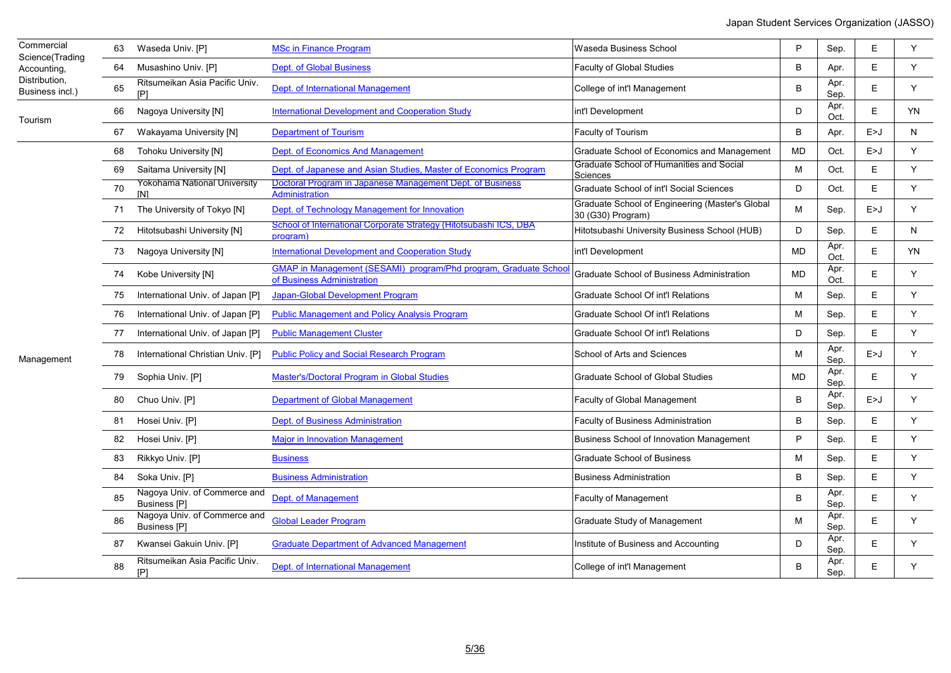| Commercial<br>Science(Trading    | 63 | Waseda Univ. [P]                                    | <b>MSc in Finance Program</b>                                                                  | Waseda Business School                                               | P  | Sep.         | Е     | Y  |
|----------------------------------|----|-----------------------------------------------------|------------------------------------------------------------------------------------------------|----------------------------------------------------------------------|----|--------------|-------|----|
| Accounting,                      | 64 | Musashino Univ. [P]                                 | <b>Dept. of Global Business</b>                                                                | Faculty of Global Studies                                            | B  | Apr.         | E     | Y  |
| Distribution.<br>Business incl.) | 65 | Ritsumeikan Asia Pacific Univ.                      | Dept. of International Management                                                              | College of int'l Management                                          | B  | Apr.<br>Sep. | E     | Y  |
| Tourism                          | 66 | Nagoya University [N]                               | <b>International Development and Cooperation Study</b>                                         | int'l Development                                                    | D  | Apr.<br>Oct. | E     | YN |
|                                  | 67 | Wakayama University [N]                             | <b>Department of Tourism</b>                                                                   | Faculty of Tourism                                                   | B  | Apr.         | E > J | N  |
|                                  | 68 | <b>Tohoku University [N]</b>                        | Dept. of Economics And Management                                                              | Graduate School of Economics and Management                          | MD | Oct.         | E > J | Y  |
|                                  | 69 | Saitama University [N]                              | Dept. of Japanese and Asian Studies, Master of Economics Program                               | Graduate School of Humanities and Social<br>Sciences                 | M  | Oct.         | E     | Y  |
|                                  | 70 | Yokohama National University<br><b>IN1</b>          | Doctoral Program in Japanese Management Dept. of Business<br><b>Administration</b>             | Graduate School of int'l Social Sciences                             | D  | Oct.         | E     | Y  |
|                                  | 71 | The University of Tokyo [N]                         | Dept. of Technology Management for Innovation                                                  | Graduate School of Engineering (Master's Global<br>30 (G30) Program) | M  | Sep.         | E > J | Y  |
|                                  | 72 | Hitotsubashi University [N]                         | School of International Corporate Strategy (Hitotsubashi ICS, DBA<br>program)                  | Hitotsubashi University Business School (HUB)                        | D  | Sep.         | Ε     | N  |
|                                  | 73 | Nagoya University [N]                               | <b>International Development and Cooperation Study</b>                                         | int'l Development                                                    | MD | Apr.<br>Oct. | Е     | YN |
|                                  | 74 | Kobe University [N]                                 | GMAP in Management (SESAMI) program/Phd program, Graduate School<br>of Business Administration | Graduate School of Business Administration                           | MD | Apr.<br>Oct. | Е     | Y  |
|                                  | 75 | International Univ. of Japan [P]                    | Japan-Global Development Program                                                               | <b>Graduate School Of int'l Relations</b>                            | M  | Sep.         | E     | Y  |
|                                  | 76 | International Univ. of Japan [P]                    | <b>Public Management and Policy Analysis Program</b>                                           | Graduate School Of int'l Relations                                   | M  | Sep.         | Е     | Y  |
|                                  | 77 | International Univ. of Japan [P]                    | <b>Public Management Cluster</b>                                                               | Graduate School Of int'l Relations                                   | D  | Sep.         | E     | Y  |
| Management                       | 78 | International Christian Univ. [P]                   | <b>Public Policy and Social Research Program</b>                                               | School of Arts and Sciences                                          | M  | Apr.<br>Sep. | E > J | Y  |
|                                  | 79 | Sophia Univ. [P]                                    | <b>Master's/Doctoral Program in Global Studies</b>                                             | <b>Graduate School of Global Studies</b>                             | MD | Apr.<br>Sep. | E.    | Y  |
|                                  | 80 | Chuo Univ. [P]                                      | <b>Department of Global Management</b>                                                         | <b>Faculty of Global Management</b>                                  | B  | Apr.<br>Sep. | E > J | Y  |
|                                  | 81 | Hosei Univ. [P]                                     | Dept. of Business Administration                                                               | <b>Faculty of Business Administration</b>                            | B  | Sep.         | E     | Y  |
|                                  | 82 | Hosei Univ. [P]                                     | <b>Major in Innovation Management</b>                                                          | <b>Business School of Innovation Management</b>                      | P  | Sep.         | E     | Y  |
|                                  | 83 | Rikkyo Univ. [P]                                    | <b>Business</b>                                                                                | <b>Graduate School of Business</b>                                   | M  | Sep.         | Е     | Y  |
|                                  | 84 | Soka Univ. [P]                                      | <b>Business Administration</b>                                                                 | <b>Business Administration</b>                                       | B  | Sep.         | E     | Y  |
|                                  | 85 | Nagoya Univ. of Commerce and<br><b>Business [P]</b> | Dept. of Management                                                                            | Faculty of Management                                                | B  | Apr.<br>Sep. | E     | Y  |
|                                  | 86 | Nagoya Univ. of Commerce and<br><b>Business</b> [P] | <b>Global Leader Program</b>                                                                   | Graduate Study of Management                                         | M  | Apr.<br>Sep. | E.    | Y  |
|                                  | 87 | Kwansei Gakuin Univ. [P]                            | <b>Graduate Department of Advanced Management</b>                                              | Institute of Business and Accounting                                 | D  | Apr.<br>Sep. | Е     | Y  |
|                                  | 88 | Ritsumeikan Asia Pacific Univ.<br>P]                | Dept. of International Management                                                              | College of int'l Management                                          | B  | Apr.<br>Sep. | Е     | Y  |

÷.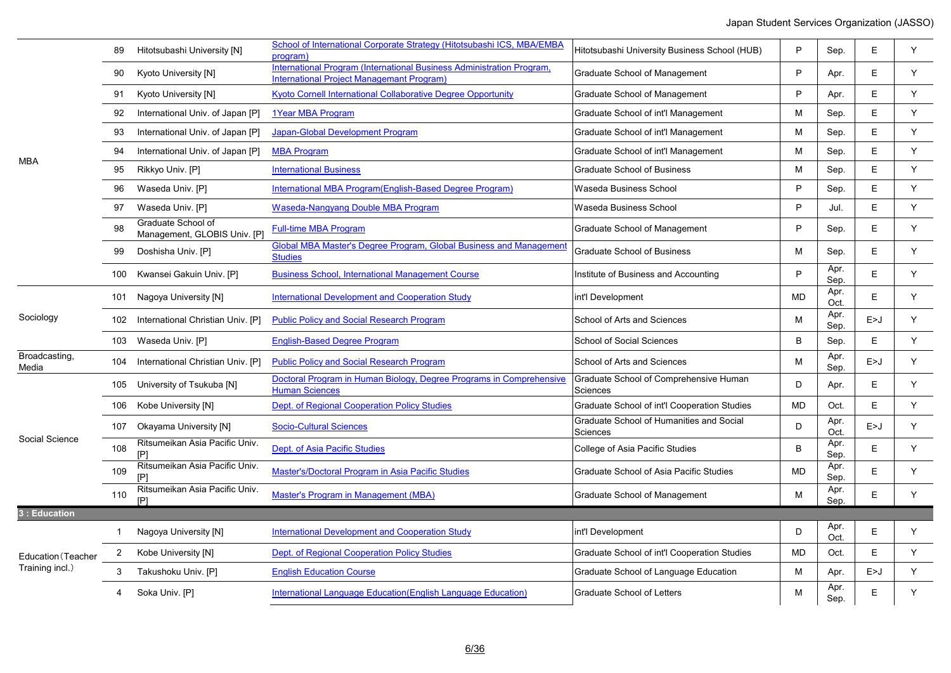|                        | 89             | Hitotsubashi University [N]                        | School of International Corporate Strategy (Hitotsubashi ICS, MBA/EMBA<br>program)                                        | Hitotsubashi University Business School (HUB)        | P         | Sep.         | E.    | Y  |
|------------------------|----------------|----------------------------------------------------|---------------------------------------------------------------------------------------------------------------------------|------------------------------------------------------|-----------|--------------|-------|----|
|                        | 90             | Kyoto University [N]                               | International Program (International Business Administration Program.<br><b>International Project Managemant Program)</b> | Graduate School of Management                        | P         | Apr.         | E.    | Y  |
|                        | 91             | Kyoto University [N]                               | Kyoto Cornell International Collaborative Degree Opportunity                                                              | Graduate School of Management                        | P         | Apr.         | E     | Y. |
|                        | 92             | International Univ. of Japan [P]                   | 1Year MBA Program                                                                                                         | Graduate School of int'l Management                  | M         | Sep.         | E     | Y  |
|                        | 93             | International Univ. of Japan [P]                   | Japan-Global Development Program                                                                                          | Graduate School of int'l Management                  | M         | Sep.         | E     | Y  |
|                        | 94             | International Univ. of Japan [P]                   | <b>MBA Program</b>                                                                                                        | Graduate School of int'l Management                  | M         | Sep.         | E     | Y  |
| <b>MBA</b>             | 95             | Rikkyo Univ. [P]                                   | <b>International Business</b>                                                                                             | <b>Graduate School of Business</b>                   | M         | Sep.         | E     | Y  |
|                        | 96             | Waseda Univ. [P]                                   | International MBA Program (English-Based Degree Program)                                                                  | Waseda Business School                               | P         | Sep.         | E     | Y  |
|                        | 97             | Waseda Univ. [P]                                   | <b>Waseda-Nangyang Double MBA Program</b>                                                                                 | Waseda Business School                               | P         | Jul.         | E     | Y  |
|                        | 98             | Graduate School of<br>Management, GLOBIS Univ. [P] | <b>Full-time MBA Program</b>                                                                                              | Graduate School of Management                        | P         | Sep.         | E     | Y. |
|                        | 99             | Doshisha Univ. [P]                                 | <b>Global MBA Master's Degree Program, Global Business and Management</b><br><b>Studies</b>                               | <b>Graduate School of Business</b>                   | M         | Sep.         | E     | Y  |
|                        |                | 100 Kwansei Gakuin Univ. [P]                       | <b>Business School, International Management Course</b>                                                                   | Institute of Business and Accounting                 | P         | Apr.<br>Sep. | E     | Y. |
|                        |                | 101 Nagoya University [N]                          | <b>International Development and Cooperation Study</b>                                                                    | int'l Development                                    | <b>MD</b> | Apr.<br>Oct. | E     | Y  |
| Sociology              |                | 102 International Christian Univ. [P]              | <b>Public Policy and Social Research Program</b>                                                                          | School of Arts and Sciences                          | M         | Apr.<br>Sep. | E>J   | Y  |
|                        |                | 103 Waseda Univ. [P]                               | <b>English-Based Degree Program</b>                                                                                       | <b>School of Social Sciences</b>                     | B         | Sep.         | E     | Y  |
| Broadcasting,<br>Media | 104            | International Christian Univ. [P]                  | <b>Public Policy and Social Research Program</b>                                                                          | School of Arts and Sciences                          | M         | Apr.<br>Sep. | E>J   | Y. |
|                        | 105            | University of Tsukuba [N]                          | Doctoral Program in Human Biology, Degree Programs in Comprehensive<br><b>Human Sciences</b>                              | Graduate School of Comprehensive Human<br>Sciences   | D         | Apr.         | E     | Y  |
|                        | 106            | Kobe University [N]                                | Dept. of Regional Cooperation Policy Studies                                                                              | Graduate School of int'l Cooperation Studies         | <b>MD</b> | Oct.         | E     | Y  |
|                        |                | 107 Okayama University [N]                         | <b>Socio-Cultural Sciences</b>                                                                                            | Graduate School of Humanities and Social<br>Sciences | D         | Apr.<br>Oct. | E>J   | Y  |
| Social Science         | 108            | Ritsumeikan Asia Pacific Univ.                     | Dept. of Asia Pacific Studies                                                                                             | College of Asia Pacific Studies                      | B         | Apr.<br>Sep. | E     | Y  |
|                        | 109            | Ritsumeikan Asia Pacific Univ.                     | Master's/Doctoral Program in Asia Pacific Studies                                                                         | Graduate School of Asia Pacific Studies              | <b>MD</b> | Apr.<br>Sep. | E     | Y  |
|                        | 110            | Ritsumeikan Asia Pacific Univ.<br>[P]              | Master's Program in Management (MBA)                                                                                      | Graduate School of Management                        | M         | Apr.<br>Sep. | E     | Y  |
| 3 : Education          |                |                                                    |                                                                                                                           |                                                      |           |              |       |    |
|                        | 1              | Nagoya University [N]                              | <b>International Development and Cooperation Study</b>                                                                    | int'l Development                                    | D         | Apr.<br>Oct. | E     | Y  |
| Education (Teacher     | $\overline{2}$ | Kobe University [N]                                | Dept. of Regional Cooperation Policy Studies                                                                              | Graduate School of int'l Cooperation Studies         | <b>MD</b> | Oct.         | E     | Y. |
| Training incl.)        | 3              | Takushoku Univ. [P]                                | <b>English Education Course</b>                                                                                           | Graduate School of Language Education                | M         | Apr.         | E > J | Y. |
|                        | 4              | Soka Univ. [P]                                     | International Language Education (English Language Education)                                                             | <b>Graduate School of Letters</b>                    | M         | Apr.<br>Sep. | E     | Y  |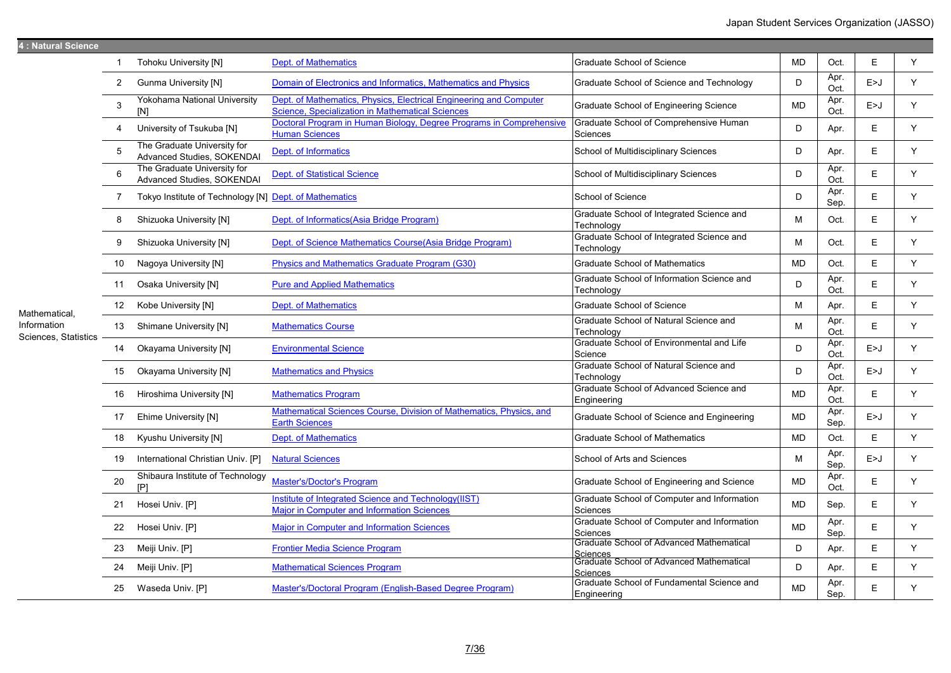| 4 : Natural Science                 |                  |                                                           |                                                                                                                        |                                                                           |           |              |       |   |
|-------------------------------------|------------------|-----------------------------------------------------------|------------------------------------------------------------------------------------------------------------------------|---------------------------------------------------------------------------|-----------|--------------|-------|---|
|                                     | -1               | <b>Tohoku University [N]</b>                              | <b>Dept. of Mathematics</b>                                                                                            | <b>Graduate School of Science</b>                                         | <b>MD</b> | Oct.         | E     | Y |
|                                     | $\overline{2}$   | <b>Gunma University [N]</b>                               | Domain of Electronics and Informatics, Mathematics and Physics                                                         | Graduate School of Science and Technology                                 | D         | Apr.<br>Oct. | E > J | Y |
|                                     | $\mathbf{3}$     | Yokohama National University<br>[N]                       | Dept. of Mathematics, Physics, Electrical Engineering and Computer<br>Science, Specialization in Mathematical Sciences | Graduate School of Engineering Science                                    | <b>MD</b> | Apr.<br>Oct. | E > J | Y |
|                                     | 4                | University of Tsukuba [N]                                 | Doctoral Program in Human Biology, Degree Programs in Comprehensive<br><b>Human Sciences</b>                           | Graduate School of Comprehensive Human<br>Sciences                        | D         | Apr.         | E     | Y |
|                                     | 5                | The Graduate University for<br>Advanced Studies, SOKENDAI | Dept. of Informatics                                                                                                   | School of Multidisciplinary Sciences                                      | D         | Apr.         | E     | Y |
|                                     | 6                | The Graduate University for<br>Advanced Studies, SOKENDAI | <b>Dept. of Statistical Science</b>                                                                                    | School of Multidisciplinary Sciences                                      | D         | Apr.<br>Oct. | E     | Y |
|                                     | $\overline{7}$   | Tokyo Institute of Technology [N] Dept. of Mathematics    |                                                                                                                        | School of Science                                                         | D         | Apr.<br>Sep. | E     | Y |
|                                     | 8                | Shizuoka University [N]                                   | Dept. of Informatics(Asia Bridge Program)                                                                              | Graduate School of Integrated Science and<br>Technology                   | M         | Oct.         | E     | Y |
|                                     | 9                | Shizuoka University [N]                                   | Dept. of Science Mathematics Course (Asia Bridge Program)                                                              | Graduate School of Integrated Science and<br>Technology                   | м         | Oct.         | E     | Y |
|                                     | 10               | Nagoya University [N]                                     | Physics and Mathematics Graduate Program (G30)                                                                         | <b>Graduate School of Mathematics</b>                                     | <b>MD</b> | Oct.         | E     | Y |
| Mathematical,                       | 11               | Osaka University [N]                                      | <b>Pure and Applied Mathematics</b>                                                                                    | Graduate School of Information Science and<br>Technology                  | D         | Apr.<br>Oct. | E     | Y |
|                                     | 12 <sup>12</sup> | Kobe University [N]                                       | <b>Dept. of Mathematics</b>                                                                                            | <b>Graduate School of Science</b>                                         | M         | Apr.         | E     | Y |
| Information<br>Sciences, Statistics | 13               | Shimane University [N]                                    | <b>Mathematics Course</b>                                                                                              | Graduate School of Natural Science and<br>Technology                      | M         | Apr.<br>Oct. | E     | Y |
|                                     | 14               | Okayama University [N]                                    | <b>Environmental Science</b>                                                                                           | Graduate School of Environmental and Life<br>Science                      | D         | Apr.<br>Oct. | E > J | Y |
|                                     | 15               | Okayama University [N]                                    | <b>Mathematics and Physics</b>                                                                                         | Graduate School of Natural Science and<br>Technology                      | D         | Apr.<br>Oct. | E > J | Y |
|                                     | 16               | Hiroshima University [N]                                  | <b>Mathematics Program</b>                                                                                             | Graduate School of Advanced Science and<br>Engineering                    | <b>MD</b> | Apr.<br>Oct. | E     | Y |
|                                     | 17               | Ehime University [N]                                      | Mathematical Sciences Course, Division of Mathematics, Physics, and<br><b>Earth Sciences</b>                           | Graduate School of Science and Engineering                                | <b>MD</b> | Apr.<br>Sep. | E > J | Y |
|                                     | 18               | Kyushu University [N]                                     | <b>Dept. of Mathematics</b>                                                                                            | <b>Graduate School of Mathematics</b>                                     | <b>MD</b> | Oct.         | E     | Y |
|                                     | 19               | International Christian Univ. [P]                         | <b>Natural Sciences</b>                                                                                                | School of Arts and Sciences                                               | M         | Apr.<br>Sep. | E > J | Y |
|                                     | 20               | Shibaura Institute of Technology<br>[P]                   | <b>Master's/Doctor's Program</b>                                                                                       | Graduate School of Engineering and Science                                | <b>MD</b> | Apr.<br>Oct. | E     | Y |
|                                     | 21               | Hosei Univ. [P]                                           | Institute of Integrated Science and Technology(IIST)<br><b>Major in Computer and Information Sciences</b>              | Graduate School of Computer and Information<br>Sciences                   | <b>MD</b> | Sep.         | E     | Y |
|                                     | 22               | Hosei Univ. [P]                                           | <b>Major in Computer and Information Sciences</b>                                                                      | Graduate School of Computer and Information<br>Sciences                   | <b>MD</b> | Apr.<br>Sep. | E     | Y |
|                                     | 23               | Meiji Univ. [P]                                           | <b>Frontier Media Science Program</b>                                                                                  | Graduate School of Advanced Mathematical                                  | D         | Apr.         | E     | Y |
|                                     | 24               | Meiji Univ. [P]                                           | <b>Mathematical Sciences Program</b>                                                                                   | <u> Sciences</u><br> Graduate School of Advanced Mathematical<br>Sciences | D         | Apr.         | E     | Y |
|                                     | 25               | Waseda Univ. [P]                                          | Master's/Doctoral Program (English-Based Degree Program)                                                               | Graduate School of Fundamental Science and<br>Engineering                 | <b>MD</b> | Apr.<br>Sep. | E     | Y |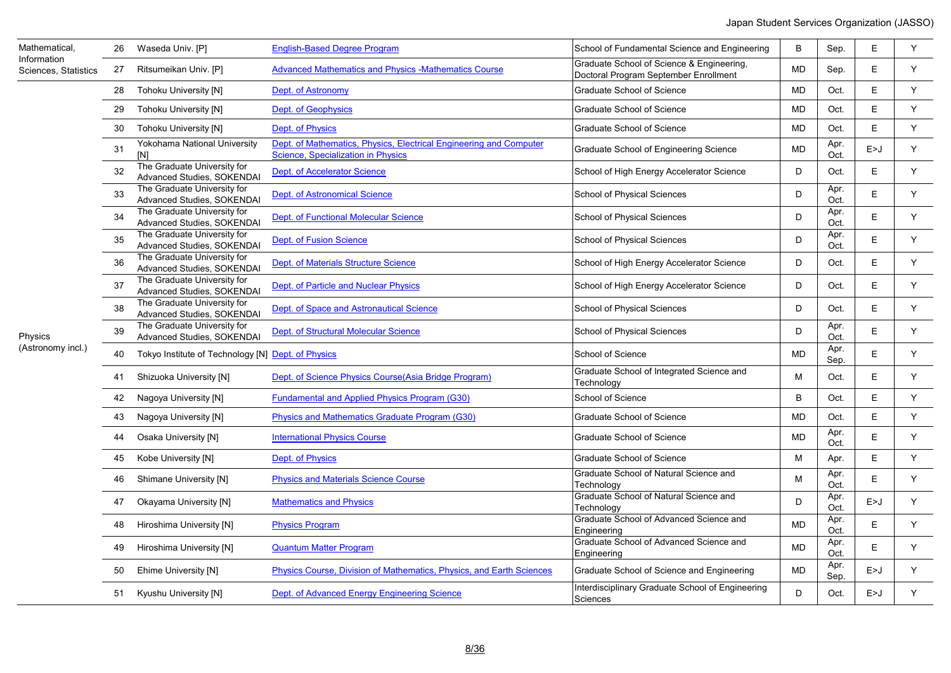| Mathematical,<br>Information | 26 | Waseda Univ. [P]                                          | <b>English-Based Degree Program</b>                                                                             | School of Fundamental Science and Engineering                                      | B         | Sep.         | Е     | Y |
|------------------------------|----|-----------------------------------------------------------|-----------------------------------------------------------------------------------------------------------------|------------------------------------------------------------------------------------|-----------|--------------|-------|---|
| Sciences, Statistics         | 27 | Ritsumeikan Univ. [P]                                     | <b>Advanced Mathematics and Physics -Mathematics Course</b>                                                     | Graduate School of Science & Engineering,<br>Doctoral Program September Enrollment | MD        | Sep.         | E     | Y |
|                              | 28 | <b>Tohoku University [N]</b>                              | Dept. of Astronomy                                                                                              | Graduate School of Science                                                         | MD        | Oct.         | E     | Y |
|                              | 29 | <b>Tohoku University [N]</b>                              | <b>Dept. of Geophysics</b>                                                                                      | <b>Graduate School of Science</b>                                                  | <b>MD</b> | Oct.         | E     | Y |
|                              | 30 | <b>Tohoku University [N]</b>                              | Dept. of Physics                                                                                                | Graduate School of Science                                                         | MD        | Oct.         | E.    | Y |
|                              | 31 | Yokohama National University<br>[N]                       | Dept. of Mathematics, Physics, Electrical Engineering and Computer<br><b>Science, Specialization in Physics</b> | Graduate School of Engineering Science                                             | MD        | Apr.<br>Oct. | E>J   | Y |
|                              | 32 | The Graduate University for<br>Advanced Studies, SOKENDAI | <b>Dept. of Accelerator Science</b>                                                                             | School of High Energy Accelerator Science                                          | D         | Oct.         | E.    | Y |
|                              | 33 | The Graduate University for<br>Advanced Studies, SOKENDAI | <b>Dept. of Astronomical Science</b>                                                                            | School of Physical Sciences                                                        | D         | Apr.<br>Oct. | E     | Y |
|                              | 34 | The Graduate University for<br>Advanced Studies, SOKENDAI | <b>Dept. of Functional Molecular Science</b>                                                                    | <b>School of Physical Sciences</b>                                                 | D         | Apr.<br>Oct. | E.    | Y |
|                              | 35 | The Graduate University for<br>Advanced Studies, SOKENDAI | <b>Dept. of Fusion Science</b>                                                                                  | School of Physical Sciences                                                        | D         | Apr.<br>Oct. | E     | Y |
|                              | 36 | The Graduate University for<br>Advanced Studies, SOKENDAI | Dept. of Materials Structure Science                                                                            | School of High Energy Accelerator Science                                          | D         | Oct.         | E.    | Y |
|                              | 37 | The Graduate University for<br>Advanced Studies, SOKENDAI | Dept. of Particle and Nuclear Physics                                                                           | School of High Energy Accelerator Science                                          | D         | Oct.         | E     | Y |
|                              | 38 | The Graduate University for<br>Advanced Studies, SOKENDAI | Dept. of Space and Astronautical Science                                                                        | School of Physical Sciences                                                        | D         | Oct.         | E     | Y |
| Physics                      | 39 | The Graduate University for<br>Advanced Studies, SOKENDAI | Dept. of Structural Molecular Science                                                                           | School of Physical Sciences                                                        | D         | Apr.<br>Oct. | E     | Y |
| (Astronomy incl.)            | 40 | Tokyo Institute of Technology [N] Dept. of Physics        |                                                                                                                 | School of Science                                                                  | <b>MD</b> | Apr.<br>Sep. | E     | Y |
|                              | 41 | Shizuoka University [N]                                   | Dept. of Science Physics Course (Asia Bridge Program)                                                           | Graduate School of Integrated Science and<br>Technology                            | M         | Oct.         | E     | Y |
|                              | 42 | Nagoya University [N]                                     | <b>Fundamental and Applied Physics Program (G30)</b>                                                            | School of Science                                                                  | B         | Oct.         | E     | Y |
|                              | 43 | Nagoya University [N]                                     | Physics and Mathematics Graduate Program (G30)                                                                  | <b>Graduate School of Science</b>                                                  | <b>MD</b> | Oct.         | E     | Y |
|                              | 44 | Osaka University [N]                                      | <b>International Physics Course</b>                                                                             | Graduate School of Science                                                         | <b>MD</b> | Apr.<br>Oct. | E     | Y |
|                              | 45 | Kobe University [N]                                       | Dept. of Physics                                                                                                | <b>Graduate School of Science</b>                                                  | M         | Apr.         | E     | Y |
|                              | 46 | Shimane University [N]                                    | <b>Physics and Materials Science Course</b>                                                                     | Graduate School of Natural Science and<br>Technology                               | M         | Apr.<br>Oct. | E     | Y |
|                              | 47 | Okayama University [N]                                    | <b>Mathematics and Physics</b>                                                                                  | Graduate School of Natural Science and<br>Technology                               | D         | Apr.<br>Oct. | E > J | Y |
|                              | 48 | Hiroshima University [N]                                  | <b>Physics Program</b>                                                                                          | Graduate School of Advanced Science and<br>Engineering                             | <b>MD</b> | Apr.<br>Oct. | E     | Y |
|                              | 49 | Hiroshima University [N]                                  | <b>Quantum Matter Program</b>                                                                                   | Graduate School of Advanced Science and<br>Engineering                             | <b>MD</b> | Apr.<br>Oct. | E     | Y |
|                              | 50 | Ehime University [N]                                      | Physics Course, Division of Mathematics, Physics, and Earth Sciences                                            | Graduate School of Science and Engineering                                         | <b>MD</b> | Apr.<br>Sep. | E > J | Y |
|                              |    | 51 Kyushu University [N]                                  | Dept. of Advanced Energy Engineering Science                                                                    | Interdisciplinary Graduate School of Engineering<br>Sciences                       | D         | Oct.         | E > J | Y |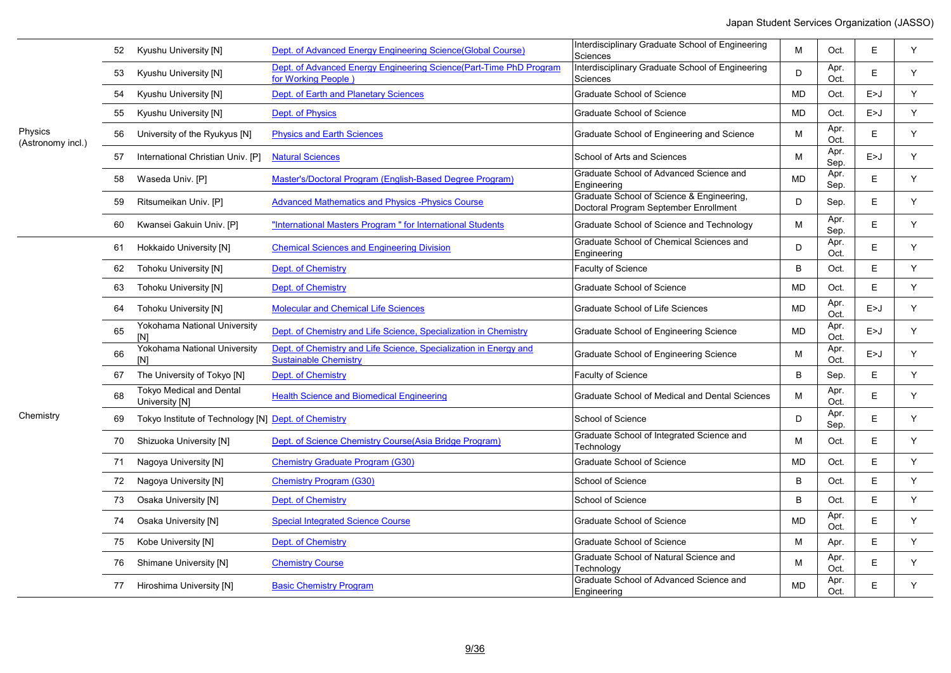|                              | 52 | Kyushu University [N]                                | Dept. of Advanced Energy Engineering Science(Global Course)                                       | Interdisciplinary Graduate School of Engineering<br>Sciences                       | M         | Oct.         | Ε     | Y |
|------------------------------|----|------------------------------------------------------|---------------------------------------------------------------------------------------------------|------------------------------------------------------------------------------------|-----------|--------------|-------|---|
|                              | 53 | Kyushu University [N]                                | Dept. of Advanced Energy Engineering Science(Part-Time PhD Program<br>for Working People)         | Interdisciplinary Graduate School of Engineering<br>Sciences                       | D         | Apr.<br>Oct. | Ε     | Y |
|                              | 54 | Kyushu University [N]                                | Dept. of Earth and Planetary Sciences                                                             | Graduate School of Science                                                         | <b>MD</b> | Oct.         | E > J | Y |
|                              | 55 | Kyushu University [N]                                | Dept. of Physics                                                                                  | Graduate School of Science                                                         | <b>MD</b> | Oct.         | E > J | Y |
| Physics<br>(Astronomy incl.) | 56 | University of the Ryukyus [N]                        | <b>Physics and Earth Sciences</b>                                                                 | Graduate School of Engineering and Science                                         | М         | Apr.<br>Oct. | Е     | Y |
|                              | 57 | International Christian Univ. [P]                    | <b>Natural Sciences</b>                                                                           | School of Arts and Sciences                                                        | M         | Apr.<br>Sep. | E>J   | Y |
|                              | 58 | Waseda Univ. [P]                                     | Master's/Doctoral Program (English-Based Degree Program)                                          | Graduate School of Advanced Science and<br>Engineering                             | MD        | Apr.<br>Sep. | E     | Y |
|                              | 59 | Ritsumeikan Univ. [P]                                | <b>Advanced Mathematics and Physics - Physics Course</b>                                          | Graduate School of Science & Engineering,<br>Doctoral Program September Enrollment | D         | Sep.         | E     | Y |
|                              | 60 | Kwansei Gakuin Univ. [P]                             | "International Masters Program " for International Students                                       | Graduate School of Science and Technology                                          | М         | Apr.<br>Sep. | E     | Y |
|                              | 61 | Hokkaido University [N]                              | <b>Chemical Sciences and Engineering Division</b>                                                 | Graduate School of Chemical Sciences and<br>Engineering                            | D         | Apr.<br>Oct. | E     | Y |
|                              | 62 | <b>Tohoku University [N]</b>                         | Dept. of Chemistry                                                                                | Faculty of Science                                                                 | B         | Oct.         | Ε     | Y |
|                              | 63 | Tohoku University [N]                                | Dept. of Chemistry                                                                                | Graduate School of Science                                                         | MD        | Oct.         | Ε     | Y |
|                              | 64 | <b>Tohoku University [N]</b>                         | <b>Molecular and Chemical Life Sciences</b>                                                       | Graduate School of Life Sciences                                                   | MD        | Apr.<br>Oct. | E>J   | Y |
|                              | 65 | Yokohama National University<br>[N]                  | Dept. of Chemistry and Life Science, Specialization in Chemistry                                  | Graduate School of Engineering Science                                             | MD        | Apr.<br>Oct. | E > J | Y |
|                              | 66 | Yokohama National University<br>[N]                  | Dept. of Chemistry and Life Science. Specialization in Energy and<br><b>Sustainable Chemistry</b> | Graduate School of Engineering Science                                             | M         | Apr.<br>Oct. | E > J | Y |
|                              | 67 | The University of Tokyo [N]                          | Dept. of Chemistry                                                                                | <b>Faculty of Science</b>                                                          | B         | Sep.         | E     | Y |
|                              | 68 | <b>Tokyo Medical and Dental</b><br>University [N]    | <b>Health Science and Biomedical Engineering</b>                                                  | Graduate School of Medical and Dental Sciences                                     | M         | Apr.<br>Oct. | E     | Y |
| Chemistry                    | 69 | Tokyo Institute of Technology [N] Dept. of Chemistry |                                                                                                   | School of Science                                                                  | D         | Apr.<br>Sep. | Ε     | Y |
|                              | 70 | Shizuoka University [N]                              | Dept. of Science Chemistry Course (Asia Bridge Program)                                           | Graduate School of Integrated Science and<br>Technology                            | M         | Oct.         | E     | Y |
|                              | 71 | Nagoya University [N]                                | <b>Chemistry Graduate Program (G30)</b>                                                           | <b>Graduate School of Science</b>                                                  | MD        | Oct.         | Е     | Y |
|                              | 72 | Nagoya University [N]                                | <b>Chemistry Program (G30)</b>                                                                    | School of Science                                                                  | B         | Oct.         | E     | Y |
|                              | 73 | Osaka University [N]                                 | Dept. of Chemistry                                                                                | School of Science                                                                  | B         | Oct.         | E     | Y |
|                              | 74 | Osaka University [N]                                 | <b>Special Integrated Science Course</b>                                                          | Graduate School of Science                                                         | MD        | Apr.<br>Oct. | E     | Y |
|                              | 75 | Kobe University [N]                                  | Dept. of Chemistry                                                                                | <b>Graduate School of Science</b>                                                  | M         | Apr.         | E     | Y |
|                              | 76 | <b>Shimane University [N]</b>                        | <b>Chemistry Course</b>                                                                           | Graduate School of Natural Science and<br>Technology                               | M         | Apr.<br>Oct. | Ε     | Y |
|                              |    | 77 Hiroshima University [N]                          | <b>Basic Chemistry Program</b>                                                                    | Graduate School of Advanced Science and<br>Engineering                             | <b>MD</b> | Apr.<br>Oct. | E     | Y |

 $\overline{\phantom{0}}$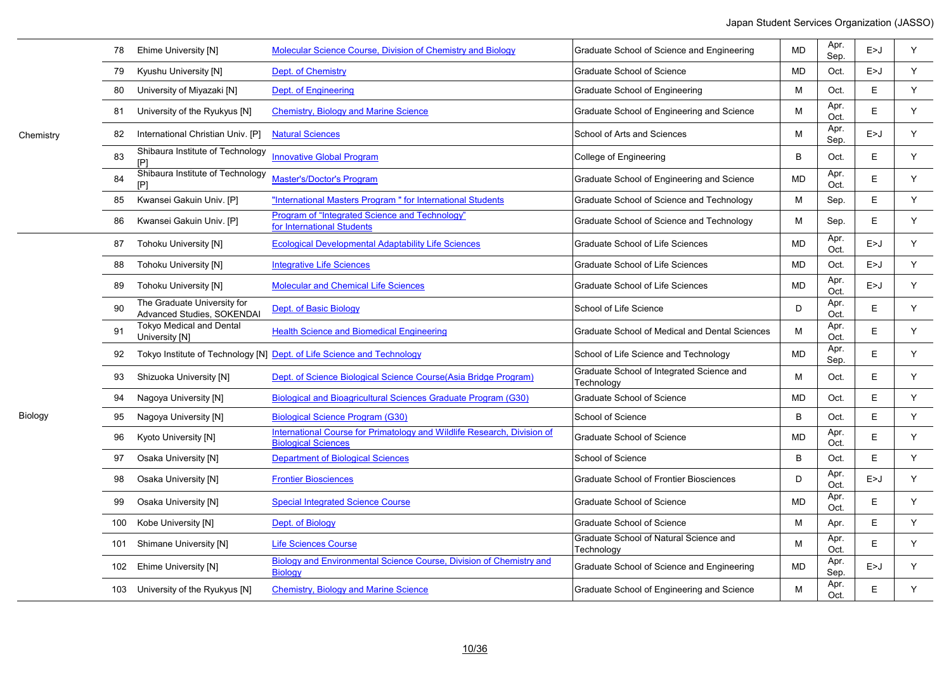|     | Ehime University [N]                                             | Molecular Science Course, Division of Chemistry and Biology                                           | Graduate School of Science and Engineering              | <b>MD</b> | Apr.<br>Sep. | E>J   | Y  |
|-----|------------------------------------------------------------------|-------------------------------------------------------------------------------------------------------|---------------------------------------------------------|-----------|--------------|-------|----|
| 79  | Kyushu University [N]                                            | Dept. of Chemistry                                                                                    | Graduate School of Science                              | <b>MD</b> | Oct.         | E > J | Y  |
| 80  | University of Miyazaki [N]                                       | Dept. of Engineering                                                                                  | Graduate School of Engineering                          | M         | Oct.         | E     | Y  |
| 81  | University of the Ryukyus [N]                                    | <b>Chemistry, Biology and Marine Science</b>                                                          | Graduate School of Engineering and Science              | М         | Apr.<br>Oct. | E     | Y  |
| 82  | International Christian Univ. [P]                                | <b>Natural Sciences</b>                                                                               | School of Arts and Sciences                             | M         | Apr.<br>Sep. | E > J | Y  |
| 83  | Shibaura Institute of Technology<br>[P]                          | <b>Innovative Global Program</b>                                                                      | College of Engineering                                  | B         | Oct.         | E     | Y  |
| 84  | Shibaura Institute of Technology<br>[P]                          | <b>Master's/Doctor's Program</b>                                                                      | Graduate School of Engineering and Science              | <b>MD</b> | Apr.<br>Oct. | E     | Y  |
| 85  | Kwansei Gakuin Univ. [P]                                         | "International Masters Program " for International Students                                           | Graduate School of Science and Technology               | M         | Sep.         | E     | Y. |
| 86  | Kwansei Gakuin Univ. [P]                                         | Program of "Integrated Science and Technology"<br>for International Students                          | Graduate School of Science and Technology               | M         | Sep.         | E     | Y  |
| 87  | <b>Tohoku University [N]</b>                                     | <b>Ecological Developmental Adaptability Life Sciences</b>                                            | Graduate School of Life Sciences                        | <b>MD</b> | Apr.<br>Oct. | E > J | Y  |
| 88  | <b>Tohoku University [N]</b>                                     | <b>Integrative Life Sciences</b>                                                                      | Graduate School of Life Sciences                        | MD        | Oct.         | E > J | Y  |
| 89  | <b>Tohoku University [N]</b>                                     | <b>Molecular and Chemical Life Sciences</b>                                                           | <b>Graduate School of Life Sciences</b>                 | <b>MD</b> | Apr.<br>Oct. | E > J | Y  |
| 90  | The Graduate University for<br><b>Advanced Studies, SOKENDAI</b> | Dept. of Basic Biology                                                                                | School of Life Science                                  | D         | Apr.<br>Oct. | E     | Y  |
| 91  | <b>Tokyo Medical and Dental</b><br>University [N]                | <b>Health Science and Biomedical Engineering</b>                                                      | Graduate School of Medical and Dental Sciences          | M         | Apr.<br>Oct. | E.    | Y  |
| 92  |                                                                  | Tokyo Institute of Technology [N] Dept. of Life Science and Technology                                | School of Life Science and Technology                   | <b>MD</b> | Apr.<br>Sep. | E     | Y  |
| 93  | Shizuoka University [N]                                          | Dept. of Science Biological Science Course(Asia Bridge Program)                                       | Graduate School of Integrated Science and<br>Technology | M         | Oct.         | E     | Y  |
| 94  | Nagoya University [N]                                            | <b>Biological and Bioagricultural Sciences Graduate Program (G30)</b>                                 | <b>Graduate School of Science</b>                       | <b>MD</b> | Oct.         | E     | Y  |
| 95  | Nagoya University [N]                                            | <b>Biological Science Program (G30)</b>                                                               | School of Science                                       | B         | Oct.         | E     | Y  |
| 96  | Kyoto University [N]                                             | International Course for Primatology and Wildlife Research, Division of<br><b>Biological Sciences</b> | Graduate School of Science                              | <b>MD</b> | Apr.<br>Oct. | E     | Y  |
| 97  | Osaka University [N]                                             | <b>Department of Biological Sciences</b>                                                              | School of Science                                       | B         | Oct.         | E     | Y  |
| 98  | Osaka University [N]                                             | <b>Frontier Biosciences</b>                                                                           | <b>Graduate School of Frontier Biosciences</b>          | D         | Apr.<br>Oct. | E > J | Y  |
| 99  | Osaka University [N]                                             | <b>Special Integrated Science Course</b>                                                              | <b>Graduate School of Science</b>                       | <b>MD</b> | Apr.<br>Oct. | E     | Y  |
| 100 | Kobe University [N]                                              | Dept. of Biology                                                                                      | <b>Graduate School of Science</b>                       | M         | Apr.         | E     | Y  |
| 101 | Shimane University [N]                                           | <b>Life Sciences Course</b>                                                                           | Graduate School of Natural Science and<br>Technology    | M         | Apr.<br>Oct. | E     | Y  |
| 102 | Ehime University [N]                                             | Biology and Environmental Science Course, Division of Chemistry and<br><b>Biology</b>                 | Graduate School of Science and Engineering              | <b>MD</b> | Apr.<br>Sep. | E > J | Y  |
| 103 | University of the Ryukyus [N]                                    | <b>Chemistry, Biology and Marine Science</b>                                                          | Graduate School of Engineering and Science              | M         | Apr.<br>Oct. | E     | Y  |

Chemistry

Biology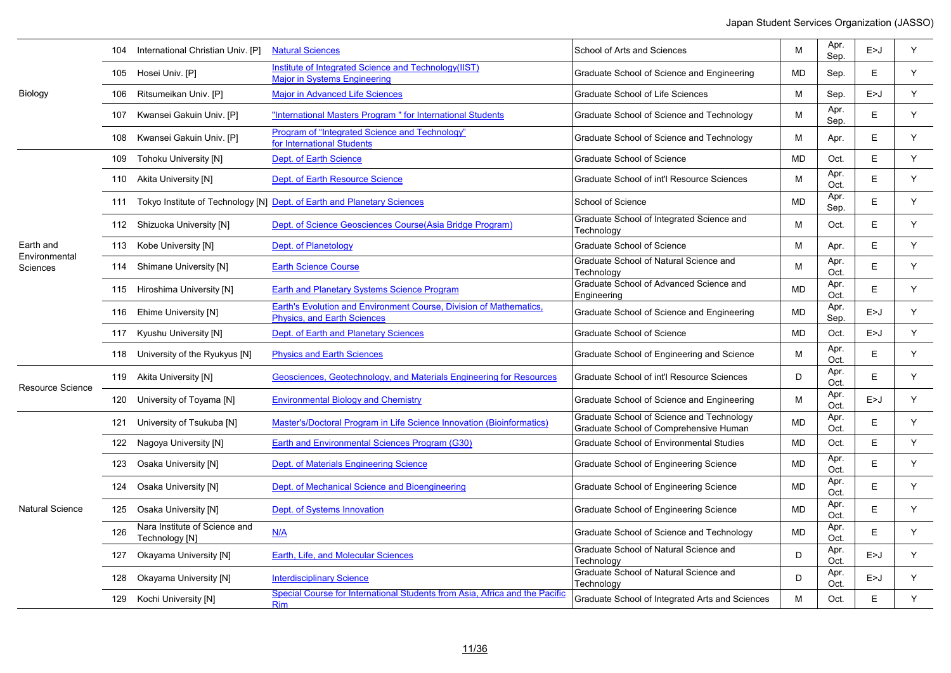|                           | 104 | International Christian Univ. [P]               | <b>Natural Sciences</b>                                                                                  | School of Arts and Sciences                                                         | M         | Apr.<br>Sep. | E>J | Y |
|---------------------------|-----|-------------------------------------------------|----------------------------------------------------------------------------------------------------------|-------------------------------------------------------------------------------------|-----------|--------------|-----|---|
|                           |     | 105 Hosei Univ. [P]                             | Institute of Integrated Science and Technology(IIST)<br><b>Major in Systems Engineering</b>              | Graduate School of Science and Engineering                                          | MD        | Sep.         | E.  | Y |
| Biology                   | 106 | Ritsumeikan Univ. [P]                           | <b>Major in Advanced Life Sciences</b>                                                                   | Graduate School of Life Sciences                                                    | M         | Sep.         | E>J | Y |
|                           | 107 | Kwansei Gakuin Univ. [P]                        | "International Masters Program " for International Students                                              | Graduate School of Science and Technology                                           | M         | Apr.<br>Sep. | E.  | Y |
|                           | 108 | Kwansei Gakuin Univ. [P]                        | Program of "Integrated Science and Technology"<br>for International Students                             | Graduate School of Science and Technology                                           | M         | Apr.         | E.  | Y |
|                           |     | 109 Tohoku University [N]                       | Dept. of Earth Science                                                                                   | <b>Graduate School of Science</b>                                                   | <b>MD</b> | Oct.         | E   | Y |
|                           |     | 110 Akita University [N]                        | Dept. of Earth Resource Science                                                                          | Graduate School of int'l Resource Sciences                                          | M         | Apr.<br>Oct. | E.  | Y |
|                           |     |                                                 | 111 Tokyo Institute of Technology [N] Dept. of Earth and Planetary Sciences                              | School of Science                                                                   | <b>MD</b> | Apr.<br>Sep. | E   | Y |
|                           |     | 112 Shizuoka University [N]                     | Dept. of Science Geosciences Course (Asia Bridge Program)                                                | Graduate School of Integrated Science and<br>Technology                             | M         | Oct.         | E   | Y |
| Earth and                 |     | 113 Kobe University [N]                         | Dept. of Planetology                                                                                     | Graduate School of Science                                                          | M         | Apr.         | E   | Y |
| Environmental<br>Sciences |     | 114 Shimane University [N]                      | <b>Earth Science Course</b>                                                                              | Graduate School of Natural Science and<br>Technology                                | м         | Apr.<br>Oct. | E.  | Y |
|                           |     | 115 Hiroshima University [N]                    | <b>Earth and Planetary Systems Science Program</b>                                                       | Graduate School of Advanced Science and<br>Engineering                              | <b>MD</b> | Apr.<br>Oct. | E.  | Y |
|                           |     | 116 Ehime University [N]                        | Earth's Evolution and Environment Course, Division of Mathematics.<br><b>Physics, and Earth Sciences</b> | Graduate School of Science and Engineering                                          | <b>MD</b> | Apr.<br>Sep. | E>J | Y |
|                           |     | 117 Kyushu University [N]                       | Dept. of Earth and Planetary Sciences                                                                    | <b>Graduate School of Science</b>                                                   | <b>MD</b> | Oct.         | E>J | Y |
|                           |     | 118 University of the Ryukyus [N]               | <b>Physics and Earth Sciences</b>                                                                        | Graduate School of Engineering and Science                                          | M         | Apr.<br>Oct. | E.  | Y |
| <b>Resource Science</b>   |     | 119 Akita University [N]                        | Geosciences, Geotechnology, and Materials Engineering for Resources                                      | Graduate School of int'l Resource Sciences                                          | D         | Apr.<br>Oct. | E.  | Y |
|                           |     | 120 University of Toyama [N]                    | <b>Environmental Biology and Chemistry</b>                                                               | Graduate School of Science and Engineering                                          | M         | Apr.<br>Oct. | E>J | Y |
|                           | 121 | University of Tsukuba [N]                       | Master's/Doctoral Program in Life Science Innovation (Bioinformatics)                                    | Graduate School of Science and Technology<br>Graduate School of Comprehensive Human | MD        | Apr.<br>Oct. | Е   | Y |
|                           |     | 122 Nagoya University [N]                       | Earth and Environmental Sciences Program (G30)                                                           | <b>Graduate School of Environmental Studies</b>                                     | <b>MD</b> | Oct.         | E   | Y |
|                           | 123 | Osaka University [N]                            | Dept. of Materials Engineering Science                                                                   | Graduate School of Engineering Science                                              | <b>MD</b> | Apr.<br>Oct. | E.  | Y |
|                           |     | 124 Osaka University [N]                        | Dept. of Mechanical Science and Bioengineering                                                           | Graduate School of Engineering Science                                              | <b>MD</b> | Apr.<br>Oct. | E   | Y |
| <b>Natural Science</b>    |     | 125 Osaka University [N]                        | Dept. of Systems Innovation                                                                              | Graduate School of Engineering Science                                              | <b>MD</b> | Apr.<br>Oct. | E.  | Y |
|                           | 126 | Nara Institute of Science and<br>Technology [N] | N/A                                                                                                      | Graduate School of Science and Technology                                           | <b>MD</b> | Apr.<br>Oct. | E   | Y |
|                           | 127 | Okayama University [N]                          | Earth, Life, and Molecular Sciences                                                                      | Graduate School of Natural Science and<br>Technology                                | D         | Apr.<br>Oct. | E>J | Y |
|                           | 128 | Okayama University [N]                          | <b>Interdisciplinary Science</b>                                                                         | Graduate School of Natural Science and<br>Technology                                | D         | Apr.<br>Oct. | E>J | Y |
|                           |     | 129 Kochi University [N]                        | Special Course for International Students from Asia, Africa and the Pacific<br><b>Rim</b>                | Graduate School of Integrated Arts and Sciences                                     | M         | Oct.         | E.  | Y |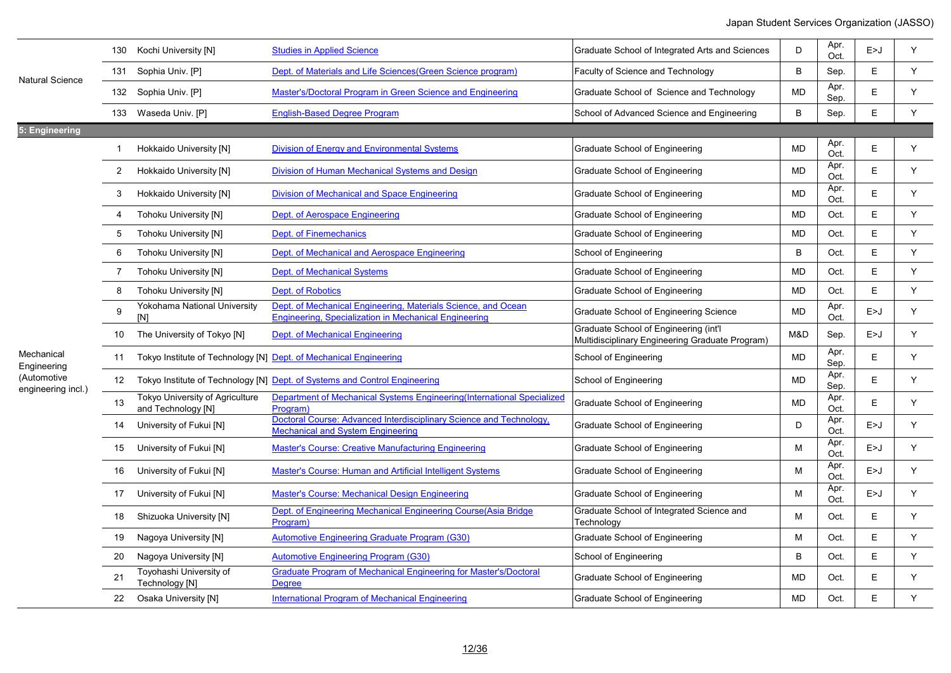|                                   |                       | 130 Kochi University [N]                                          | <b>Studies in Applied Science</b>                                                                                      | Graduate School of Integrated Arts and Sciences                                          | D            | Apr.<br>Oct. | E > J | Y |
|-----------------------------------|-----------------------|-------------------------------------------------------------------|------------------------------------------------------------------------------------------------------------------------|------------------------------------------------------------------------------------------|--------------|--------------|-------|---|
| <b>Natural Science</b>            |                       | 131 Sophia Univ. [P]                                              | Dept. of Materials and Life Sciences (Green Science program)                                                           | Faculty of Science and Technology                                                        | B            | Sep.         | E.    | Y |
|                                   |                       | 132 Sophia Univ. [P]                                              | Master's/Doctoral Program in Green Science and Engineering                                                             | Graduate School of Science and Technology                                                | <b>MD</b>    | Apr.<br>Sep. | E     | Y |
|                                   |                       | 133 Waseda Univ. [P]                                              | <b>English-Based Degree Program</b>                                                                                    | School of Advanced Science and Engineering                                               | $\mathsf{B}$ | Sep.         | E.    | Y |
| 5: Engineering                    |                       |                                                                   |                                                                                                                        |                                                                                          |              |              |       |   |
|                                   | $\mathbf 1$           | Hokkaido University [N]                                           | <b>Division of Energy and Environmental Systems</b>                                                                    | Graduate School of Engineering                                                           | <b>MD</b>    | Apr.<br>Oct. | E     | Y |
|                                   | $\mathbf{2}^{\prime}$ | Hokkaido University [N]                                           | Division of Human Mechanical Systems and Design                                                                        | Graduate School of Engineering                                                           | <b>MD</b>    | Apr.<br>Oct. | E     | Y |
|                                   | 3                     | Hokkaido University [N]                                           | Division of Mechanical and Space Engineering                                                                           | Graduate School of Engineering                                                           | <b>MD</b>    | Apr.<br>Oct. | E.    | Y |
|                                   | 4                     | <b>Tohoku University [N]</b>                                      | Dept. of Aerospace Engineering                                                                                         | Graduate School of Engineering                                                           | <b>MD</b>    | Oct.         | E     | Y |
|                                   | 5                     | Tohoku University [N]                                             | Dept. of Finemechanics                                                                                                 | Graduate School of Engineering                                                           | <b>MD</b>    | Oct.         | E     | Y |
|                                   | 6                     | Tohoku University [N]                                             | Dept. of Mechanical and Aerospace Engineering                                                                          | School of Engineering                                                                    | B            | Oct.         | E.    | Y |
|                                   | $\overline{7}$        | <b>Tohoku University [N]</b>                                      | <b>Dept. of Mechanical Systems</b>                                                                                     | Graduate School of Engineering                                                           | <b>MD</b>    | Oct.         | E     | Y |
|                                   | 8                     | Tohoku University [N]                                             | <b>Dept. of Robotics</b>                                                                                               | Graduate School of Engineering                                                           | <b>MD</b>    | Oct.         | E     | Y |
|                                   | 9                     | Yokohama National University<br>[N]                               | Dept. of Mechanical Engineering, Materials Science, and Ocean<br>Engineering, Specialization in Mechanical Engineering | Graduate School of Engineering Science                                                   | <b>MD</b>    | Apr.<br>Oct. | E>J   | Y |
|                                   | 10                    | The University of Tokyo [N]                                       | <b>Dept. of Mechanical Engineering</b>                                                                                 | Graduate School of Engineering (int'l<br>Multidisciplinary Engineering Graduate Program) | M&D          | Sep.         | E > J | Y |
| Mechanical<br>Engineering         | 11                    | Tokyo Institute of Technology [N] Dept. of Mechanical Engineering |                                                                                                                        | School of Engineering                                                                    | <b>MD</b>    | Apr.<br>Sep. | E.    | Y |
| (Automotive<br>engineering incl.) | 12 <sup>2</sup>       |                                                                   | Tokyo Institute of Technology [N] Dept. of Systems and Control Engineering                                             | School of Engineering                                                                    | <b>MD</b>    | Apr.<br>Sep. | E.    | Y |
|                                   | 13                    | Tokyo University of Agriculture<br>and Technology [N]             | Department of Mechanical Systems Engineering (International Specialized<br>Program)                                    | Graduate School of Engineering                                                           | <b>MD</b>    | Apr.<br>Oct. | E.    | Y |
|                                   | 14                    | University of Fukui [N]                                           | Doctoral Course: Advanced Interdisciplinary Science and Technology,<br><b>Mechanical and System Engineering</b>        | Graduate School of Engineering                                                           | D            | Apr.<br>Oct. | E > J | Y |
|                                   | 15                    | University of Fukui [N]                                           | Master's Course: Creative Manufacturing Engineering                                                                    | Graduate School of Engineering                                                           | M            | Apr.<br>Oct. | E > J | Y |
|                                   | 16                    | University of Fukui [N]                                           | <b>Master's Course: Human and Artificial Intelligent Systems</b>                                                       | Graduate School of Engineering                                                           | M            | Apr.<br>Oct. | E>J   | Y |
|                                   | 17                    | University of Fukui [N]                                           | <b>Master's Course: Mechanical Design Engineering</b>                                                                  | Graduate School of Engineering                                                           | м            | Apr.<br>Oct. | E>J   | Y |
|                                   | 18                    | Shizuoka University [N]                                           | Dept. of Engineering Mechanical Engineering Course (Asia Bridge<br>Program)                                            | Graduate School of Integrated Science and<br>Technology                                  | м            | Oct.         | E.    | Y |
|                                   | 19                    | Nagoya University [N]                                             | Automotive Engineering Graduate Program (G30)                                                                          | Graduate School of Engineering                                                           | M            | Oct.         | E     | Y |
|                                   | 20                    | Nagoya University [N]                                             | <b>Automotive Engineering Program (G30)</b>                                                                            | School of Engineering                                                                    | B            | Oct.         | E     | Y |
|                                   | 21                    | Toyohashi University of<br>Technology [N]                         | <b>Graduate Program of Mechanical Engineering for Master's/Doctoral</b><br><b>Dearee</b>                               | Graduate School of Engineering                                                           | MD           | Oct.         | Е     | Y |
|                                   | 22                    | Osaka University [N]                                              | International Program of Mechanical Engineering                                                                        | Graduate School of Engineering                                                           | <b>MD</b>    | Oct.         | E     | Y |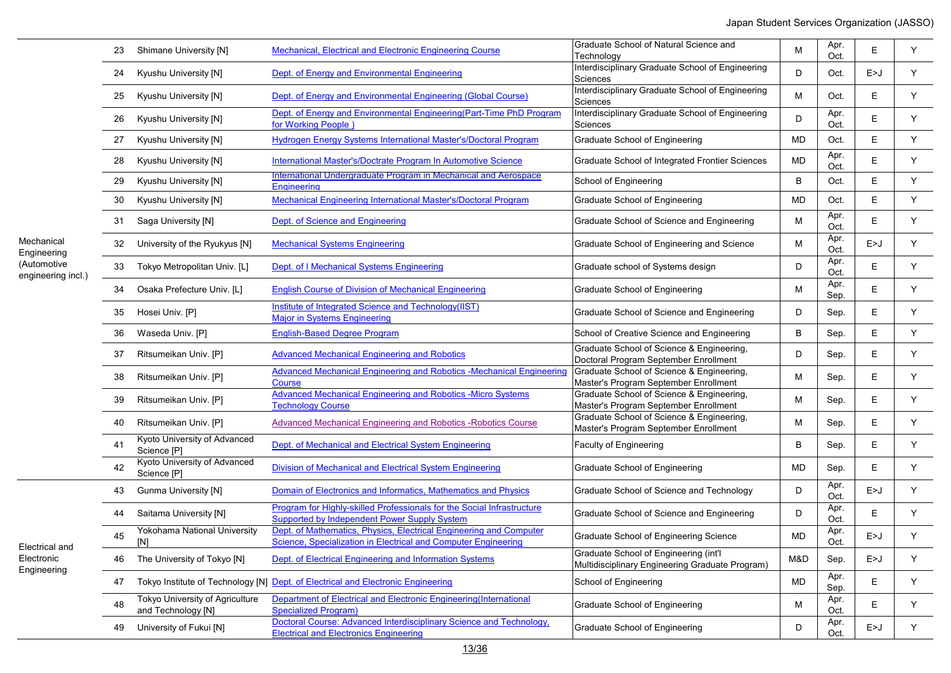|                                   | 23 | Shimane University [N]                                | Mechanical, Electrical and Electronic Engineering Course                                                                             | Graduate School of Natural Science and<br>Technology                                     | M         | Apr.<br>Oct. | E     | Y  |
|-----------------------------------|----|-------------------------------------------------------|--------------------------------------------------------------------------------------------------------------------------------------|------------------------------------------------------------------------------------------|-----------|--------------|-------|----|
|                                   | 24 | Kyushu University [N]                                 | Dept. of Energy and Environmental Engineering                                                                                        | Interdisciplinary Graduate School of Engineering<br>Sciences                             | D         | Oct.         | E > J | Y  |
|                                   | 25 | Kyushu University [N]                                 | Dept. of Energy and Environmental Engineering (Global Course)                                                                        | Interdisciplinary Graduate School of Engineering<br>Sciences                             | м         | Oct.         | E     | Y  |
|                                   | 26 | Kyushu University [N]                                 | Dept. of Energy and Environmental Engineering (Part-Time PhD Program<br>for Working People                                           | Interdisciplinary Graduate School of Engineering<br>Sciences                             | D         | Apr.<br>Oct. | E     | Y  |
|                                   | 27 | Kyushu University [N]                                 | Hydrogen Energy Systems International Master's/Doctoral Program                                                                      | Graduate School of Engineering                                                           | <b>MD</b> | Oct.         | E.    | Y  |
|                                   | 28 | Kyushu University [N]                                 | International Master's/Doctrate Program In Automotive Science                                                                        | Graduate School of Integrated Frontier Sciences                                          | <b>MD</b> | Apr.<br>Oct. | E     | Y  |
|                                   | 29 | Kyushu University [N]                                 | International Undergraduate Program in Mechanical and Aerospace<br><b>Engineering</b>                                                | School of Engineering                                                                    | B         | Oct.         | E     | Y  |
|                                   | 30 | Kyushu University [N]                                 | Mechanical Engineering International Master's/Doctoral Program                                                                       | Graduate School of Engineering                                                           | <b>MD</b> | Oct.         | E.    | Y  |
|                                   | 31 | Saga University [N]                                   | Dept. of Science and Engineering                                                                                                     | Graduate School of Science and Engineering                                               | м         | Apr.<br>Oct. | E     | Y  |
| Mechanical<br>Engineering         | 32 | University of the Ryukyus [N]                         | <b>Mechanical Systems Engineering</b>                                                                                                | Graduate School of Engineering and Science                                               | м         | Apr.<br>Oct. | E>J   | Y  |
| (Automotive<br>engineering incl.) | 33 | Tokyo Metropolitan Univ. [L]                          | Dept. of I Mechanical Systems Engineering                                                                                            | Graduate school of Systems design                                                        | D         | Apr.<br>Oct. | E.    | Y  |
|                                   | 34 | Osaka Prefecture Univ. [L]                            | <b>English Course of Division of Mechanical Engineering</b>                                                                          | <b>Graduate School of Engineering</b>                                                    | M         | Apr.<br>Sep. | E     | Y  |
|                                   | 35 | Hosei Univ. [P]                                       | Institute of Integrated Science and Technology(IIST)<br><b>Major in Systems Engineering</b>                                          | Graduate School of Science and Engineering                                               | D         | Sep.         | E     | Y  |
|                                   | 36 | Waseda Univ. [P]                                      | <b>English-Based Degree Program</b>                                                                                                  | School of Creative Science and Engineering                                               | B         | Sep.         | Е     | Y. |
|                                   | 37 | Ritsumeikan Univ. [P]                                 | <b>Advanced Mechanical Engineering and Robotics</b>                                                                                  | Graduate School of Science & Engineering,<br>Doctoral Program September Enrollment       | D         | Sep.         | Е     | Y  |
|                                   | 38 | Ritsumeikan Univ. [P]                                 | Advanced Mechanical Engineering and Robotics -Mechanical Engineering<br>Course                                                       | Graduate School of Science & Engineering,<br>Master's Program September Enrollment       | M         | Sep.         | E     | Y  |
|                                   | 39 | Ritsumeikan Univ. [P]                                 | <b>Advanced Mechanical Engineering and Robotics -Micro Systems</b><br><b>Technology Course</b>                                       | Graduate School of Science & Engineering,<br>Master's Program September Enrollment       | M         | Sep.         | E     | Y  |
|                                   | 40 | Ritsumeikan Univ. [P]                                 | Advanced Mechanical Engineering and Robotics - Robotics Course                                                                       | Graduate School of Science & Engineering,<br>Master's Program September Enrollment       | M         | Sep.         | Е     | Y  |
|                                   | 41 | Kyoto University of Advanced<br>Science [P]           | Dept. of Mechanical and Electrical System Engineering                                                                                | Faculty of Engineering                                                                   | B         | Sep.         | E.    | Y  |
|                                   | 42 | Kyoto University of Advanced<br>Science [P]           | Division of Mechanical and Electrical System Engineering                                                                             | <b>Graduate School of Engineering</b>                                                    | MD        | Sep.         | E.    | Y  |
|                                   | 43 | <b>Gunma University [N]</b>                           | Domain of Electronics and Informatics, Mathematics and Physics                                                                       | Graduate School of Science and Technology                                                | D         | Apr.<br>Oct. | E > J | Y  |
|                                   | 44 | Saitama University [N]                                | Program for Highly-skilled Professionals for the Social Infrastructure<br>Supported by Independent Power Supply System               | Graduate School of Science and Engineering                                               | D         | Apr.<br>Oct. | Е     | Y  |
|                                   | 45 | Yokohama National University<br>[N]                   | Dept. of Mathematics, Physics, Electrical Engineering and Computer<br>Science, Specialization in Electrical and Computer Engineering | <b>Graduate School of Engineering Science</b>                                            | <b>MD</b> | Apr.<br>Oct. | E>J   | Y  |
| Electrical and<br>Electronic      | 46 | The University of Tokyo [N]                           | Dept. of Electrical Engineering and Information Systems                                                                              | Graduate School of Engineering (int'l<br>Multidisciplinary Engineering Graduate Program) | M&D       | Sep.         | E>J   | Υ  |
| Engineering                       | 47 |                                                       | Tokyo Institute of Technology [N] Dept. of Electrical and Electronic Engineering                                                     | School of Engineering                                                                    | MD        | Apr.<br>Sep. | E.    | Y  |
|                                   | 48 | Tokyo University of Agriculture<br>and Technology [N] | Department of Electrical and Electronic Engineering (International<br><b>Specialized Program)</b>                                    | Graduate School of Engineering                                                           | M         | Apr.<br>Oct. | E     | Y  |
|                                   | 49 | University of Fukui [N]                               | Doctoral Course: Advanced Interdisciplinary Science and Technology,<br><b>Electrical and Electronics Engineering</b>                 | Graduate School of Engineering                                                           | D         | Apr.<br>Oct. | E>J   | Y. |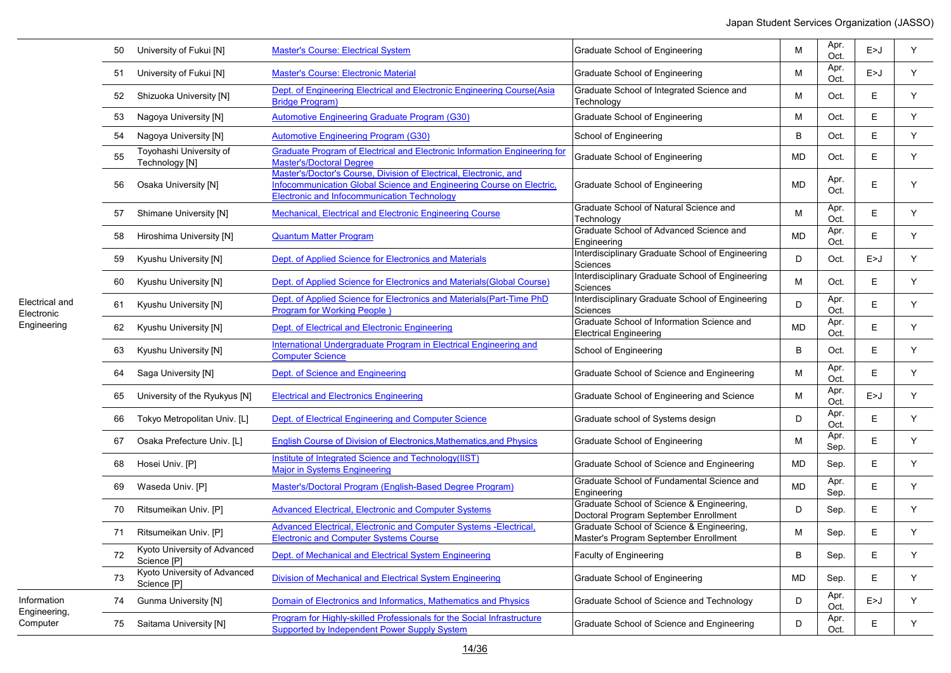| 50 | University of Fukui [N]                     | <b>Master's Course: Electrical System</b>                                                                                                                                                       | Graduate School of Engineering                                                     | M            | Apr.<br>Oct. | E > J | Y |
|----|---------------------------------------------|-------------------------------------------------------------------------------------------------------------------------------------------------------------------------------------------------|------------------------------------------------------------------------------------|--------------|--------------|-------|---|
| 51 | University of Fukui [N]                     | <b>Master's Course: Electronic Material</b>                                                                                                                                                     | Graduate School of Engineering                                                     | M            | Apr.<br>Oct. | E > J | Y |
| 52 | Shizuoka University [N]                     | Dept. of Engineering Electrical and Electronic Engineering Course(Asia<br><b>Bridge Program)</b>                                                                                                | Graduate School of Integrated Science and<br>Technology                            | M            | Oct.         | E     | Y |
| 53 | Nagoya University [N]                       | <b>Automotive Engineering Graduate Program (G30)</b>                                                                                                                                            | Graduate School of Engineering                                                     | М            | Oct.         | E     | Y |
| 54 | Nagoya University [N]                       | <b>Automotive Engineering Program (G30)</b>                                                                                                                                                     | School of Engineering                                                              | B            | Oct.         | Ε     | Y |
| 55 | Toyohashi University of<br>Technology [N]   | <b>Graduate Program of Electrical and Electronic Information Engineering for</b><br><b>Master's/Doctoral Degree</b>                                                                             | Graduate School of Engineering                                                     | MD           | Oct.         | Е     | Y |
| 56 | Osaka University [N]                        | Master's/Doctor's Course, Division of Electrical, Electronic, and<br>Infocommunication Global Science and Engineering Course on Electric,<br><b>Electronic and Infocommunication Technology</b> | Graduate School of Engineering                                                     | <b>MD</b>    | Apr.<br>Oct. | E     | Y |
| 57 | Shimane University [N]                      | <b>Mechanical, Electrical and Electronic Engineering Course</b>                                                                                                                                 | Graduate School of Natural Science and<br>Technology                               | M            | Apr.<br>Oct. | E     | Y |
| 58 | Hiroshima University [N]                    | <b>Quantum Matter Program</b>                                                                                                                                                                   | Graduate School of Advanced Science and<br>Engineering                             | <b>MD</b>    | Apr.<br>Oct. | Ε     | Y |
| 59 | Kyushu University [N]                       | Dept. of Applied Science for Electronics and Materials                                                                                                                                          | Interdisciplinary Graduate School of Engineering<br>Sciences                       | D            | Oct.         | E > J | Y |
| 60 | Kyushu University [N]                       | Dept. of Applied Science for Electronics and Materials (Global Course)                                                                                                                          | Interdisciplinary Graduate School of Engineering<br>Sciences                       | M            | Oct.         | Е     | Y |
| 61 | Kyushu University [N]                       | Dept. of Applied Science for Electronics and Materials (Part-Time PhD<br><b>Program for Working People</b> )                                                                                    | Interdisciplinary Graduate School of Engineering<br>Sciences                       | D            | Apr.<br>Oct. | Ε     | Y |
| 62 | Kyushu University [N]                       | Dept. of Electrical and Electronic Engineering                                                                                                                                                  | Graduate School of Information Science and<br><b>Electrical Engineering</b>        | <b>MD</b>    | Apr.<br>Oct. | Ε     | Y |
| 63 | Kyushu University [N]                       | International Undergraduate Program in Electrical Engineering and<br><b>Computer Science</b>                                                                                                    | School of Engineering                                                              | $\, {\bf B}$ | Oct.         | E     | Y |
| 64 | Saga University [N]                         | Dept. of Science and Engineering                                                                                                                                                                | Graduate School of Science and Engineering                                         | M            | Apr.<br>Oct. | Ε     | Y |
| 65 | University of the Ryukyus [N]               | <b>Electrical and Electronics Engineering</b>                                                                                                                                                   | Graduate School of Engineering and Science                                         | M            | Apr.<br>Oct. | E > J | Y |
| 66 | Tokyo Metropolitan Univ. [L]                | Dept. of Electrical Engineering and Computer Science                                                                                                                                            | Graduate school of Systems design                                                  | D            | Apr.<br>Oct. | E     | Y |
| 67 | Osaka Prefecture Univ. [L]                  | <b>English Course of Division of Electronics, Mathematics, and Physics</b>                                                                                                                      | Graduate School of Engineering                                                     | M            | Apr.<br>Sep. | Ε     | Y |
| 68 | Hosei Univ. [P]                             | Institute of Integrated Science and Technology(IIST)<br><b>Major in Systems Engineering</b>                                                                                                     | Graduate School of Science and Engineering                                         | MD           | Sep.         | E     | Y |
| 69 | Waseda Univ. [P]                            | Master's/Doctoral Program (English-Based Degree Program)                                                                                                                                        | Graduate School of Fundamental Science and<br>Engineering                          | <b>MD</b>    | Apr.<br>Sep. | Ε     | Y |
| 70 | Ritsumeikan Univ. [P]                       | <b>Advanced Electrical, Electronic and Computer Systems</b>                                                                                                                                     | Graduate School of Science & Engineering,<br>Doctoral Program September Enrollment | D            | Sep.         | Е     | Y |
| 71 | Ritsumeikan Univ. [P]                       | Advanced Electrical, Electronic and Computer Systems -Electrical,<br><b>Electronic and Computer Systems Course</b>                                                                              | Graduate School of Science & Engineering,<br>Master's Program September Enrollment | M            | Sep.         | Е     | Y |
| 72 | Kyoto University of Advanced<br>Science [P] | Dept. of Mechanical and Electrical System Engineering                                                                                                                                           | <b>Faculty of Engineering</b>                                                      | B            | Sep.         | Е     | Υ |
| 73 | Kyoto University of Advanced<br>Science [P] | Division of Mechanical and Electrical System Engineering                                                                                                                                        | Graduate School of Engineering                                                     | MD           | Sep.         | Е     | Y |
| 74 | <b>Gunma University [N]</b>                 | Domain of Electronics and Informatics, Mathematics and Physics                                                                                                                                  | Graduate School of Science and Technology                                          | D            | Apr.<br>Oct. | E>J   | Y |
| 75 | Saitama University [N]                      | Program for Highly-skilled Professionals for the Social Infrastructure<br><b>Supported by Independent Power Supply System</b>                                                                   | Graduate School of Science and Engineering                                         | D            | Apr.<br>Oct. | E     | Y |

Information Engineering, Computer

Electrical and Electronic Engineering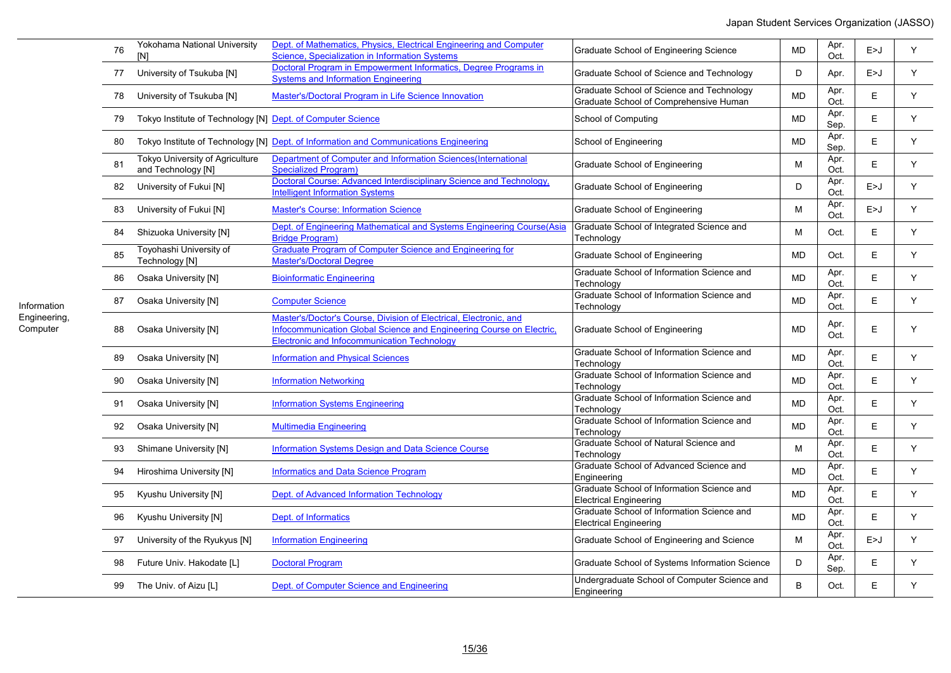| 76 | Yokohama National University<br>[N]                          | Dept. of Mathematics, Physics, Electrical Engineering and Computer<br>Science, Specialization in Information Systems                                                                     | Graduate School of Engineering Science                                              | <b>MD</b> | Apr.<br>Oct. | E>J   | Y |
|----|--------------------------------------------------------------|------------------------------------------------------------------------------------------------------------------------------------------------------------------------------------------|-------------------------------------------------------------------------------------|-----------|--------------|-------|---|
| 77 | University of Tsukuba [N]                                    | Doctoral Program in Empowerment Informatics, Degree Programs in<br><b>Systems and Information Engineering</b>                                                                            | Graduate School of Science and Technology                                           | D         | Apr.         | E > J | Y |
| 78 | University of Tsukuba [N]                                    | Master's/Doctoral Program in Life Science Innovation                                                                                                                                     | Graduate School of Science and Technology<br>Graduate School of Comprehensive Human | <b>MD</b> | Apr.<br>Oct. | E     | Y |
| 79 | Tokyo Institute of Technology [N] Dept. of Computer Science  |                                                                                                                                                                                          | School of Computing                                                                 | <b>MD</b> | Apr.<br>Sep. | E     | Y |
| 80 |                                                              | Tokyo Institute of Technology [N] Dept. of Information and Communications Engineering                                                                                                    | School of Engineering                                                               | <b>MD</b> | Apr.<br>Sep. | E.    | Y |
| 81 | <b>Tokyo University of Agriculture</b><br>and Technology [N] | Department of Computer and Information Sciences (International<br><b>Specialized Program)</b>                                                                                            | Graduate School of Engineering                                                      | М         | Apr.<br>Oct. | E.    | Y |
| 82 | University of Fukui [N]                                      | Doctoral Course: Advanced Interdisciplinary Science and Technology,<br><b>Intelligent Information Systems</b>                                                                            | Graduate School of Engineering                                                      | D         | Apr.<br>Oct. | E > J | Y |
| 83 | University of Fukui [N]                                      | <b>Master's Course: Information Science</b>                                                                                                                                              | Graduate School of Engineering                                                      | M         | Apr.<br>Oct. | E > J | Y |
| 84 | Shizuoka University [N]                                      | Dept. of Engineering Mathematical and Systems Engineering Course(Asia<br><b>Bridge Program)</b>                                                                                          | Graduate School of Integrated Science and<br>Technology                             | М         | Oct.         | E     | Y |
| 85 | Toyohashi University of<br>Technology [N]                    | Graduate Program of Computer Science and Engineering for<br><b>Master's/Doctoral Degree</b>                                                                                              | Graduate School of Engineering                                                      | MD        | Oct.         | E.    | Y |
| 86 | Osaka University [N]                                         | <b>Bioinformatic Engineering</b>                                                                                                                                                         | Graduate School of Information Science and<br>Technology                            | MD        | Apr.<br>Oct. | E     | Y |
| 87 | Osaka University [N]                                         | <b>Computer Science</b>                                                                                                                                                                  | Graduate School of Information Science and<br>Technology                            | <b>MD</b> | Apr.<br>Oct. | E     | Y |
| 88 | Osaka University [N]                                         | Master's/Doctor's Course, Division of Electrical, Electronic, and<br>Infocommunication Global Science and Engineering Course on Electric,<br>Electronic and Infocommunication Technology | Graduate School of Engineering                                                      | <b>MD</b> | Apr.<br>Oct. | E     | Y |
| 89 | Osaka University [N]                                         | <b>Information and Physical Sciences</b>                                                                                                                                                 | Graduate School of Information Science and<br>Technology                            | <b>MD</b> | Apr.<br>Oct. | E     | Y |
| 90 | Osaka University [N]                                         | <b>Information Networking</b>                                                                                                                                                            | Graduate School of Information Science and<br>Technology                            | MD        | Apr.<br>Oct. | E.    | Y |
| 91 | Osaka University [N]                                         | <b>Information Systems Engineering</b>                                                                                                                                                   | Graduate School of Information Science and<br>Technology                            | <b>MD</b> | Apr.<br>Oct. | E.    | Y |
| 92 | Osaka University [N]                                         | <b>Multimedia Engineering</b>                                                                                                                                                            | Graduate School of Information Science and<br>Technology                            | MD        | Apr.<br>Oct. | E     | Y |
| 93 | Shimane University [N]                                       | <b>Information Systems Design and Data Science Course</b>                                                                                                                                | Graduate School of Natural Science and<br>Technology                                | М         | Apr.<br>Oct. | E     | Y |
| 94 | Hiroshima University [N]                                     | <b>Informatics and Data Science Program</b>                                                                                                                                              | Graduate School of Advanced Science and<br>Engineering                              | <b>MD</b> | Apr.<br>Oct. | E     | Y |
| 95 | Kyushu University [N]                                        | Dept. of Advanced Information Technology                                                                                                                                                 | Graduate School of Information Science and<br><b>Electrical Engineering</b>         | <b>MD</b> | Apr.<br>Oct. | E     | Y |
| 96 | Kyushu University [N]                                        | Dept. of Informatics                                                                                                                                                                     | Graduate School of Information Science and<br><b>Electrical Engineering</b>         | <b>MD</b> | Apr.<br>Oct. | E     | Y |
| 97 | University of the Ryukyus [N]                                | <b>Information Engineering</b>                                                                                                                                                           | Graduate School of Engineering and Science                                          | M         | Apr.<br>Oct. | E > J | Y |
| 98 | Future Univ. Hakodate [L]                                    | <b>Doctoral Program</b>                                                                                                                                                                  | Graduate School of Systems Information Science                                      | D         | Apr.<br>Sep. | E     | Y |
| 99 | The Univ. of Aizu [L]                                        | Dept. of Computer Science and Engineering                                                                                                                                                | Undergraduate School of Computer Science and<br>Engineering                         | B         | Oct.         | E     | Y |

Information Engineering, Computer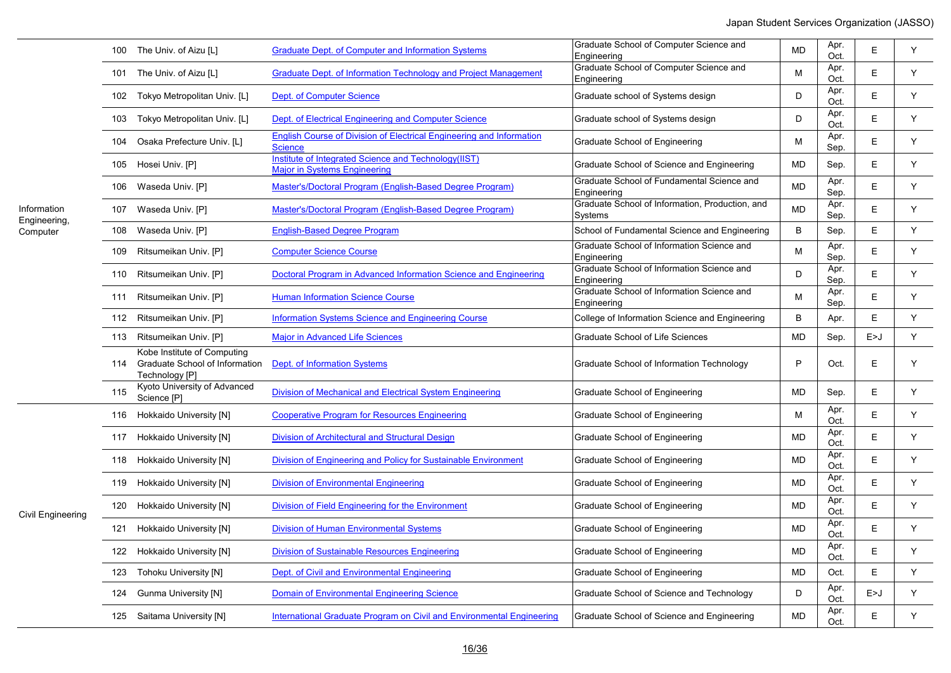|                             |     | 100 The Univ. of Aizu [L]                                                       | <b>Graduate Dept. of Computer and Information Systems</b>                                   | Graduate School of Computer Science and<br>Engineering     | <b>MD</b> | Apr.<br>Oct. | Е     | Y |
|-----------------------------|-----|---------------------------------------------------------------------------------|---------------------------------------------------------------------------------------------|------------------------------------------------------------|-----------|--------------|-------|---|
|                             |     | 101 The Univ. of Aizu [L]                                                       | Graduate Dept. of Information Technology and Project Management                             | Graduate School of Computer Science and<br>Engineering     | M         | Apr.<br>Oct. | E     | Y |
|                             |     | 102 Tokyo Metropolitan Univ. [L]                                                | <b>Dept. of Computer Science</b>                                                            | Graduate school of Systems design                          | D         | Apr.<br>Oct. | E     | Y |
|                             | 103 | Tokyo Metropolitan Univ. [L]                                                    | Dept. of Electrical Engineering and Computer Science                                        | Graduate school of Systems design                          | D         | Apr.<br>Oct. | E     | Y |
|                             | 104 | Osaka Prefecture Univ. [L]                                                      | English Course of Division of Electrical Engineering and Information<br><b>Science</b>      | Graduate School of Engineering                             | M         | Apr.<br>Sep. | E     | Y |
|                             |     | 105 Hosei Univ. [P]                                                             | Institute of Integrated Science and Technology(IIST)<br><b>Major in Systems Engineering</b> | Graduate School of Science and Engineering                 | <b>MD</b> | Sep.         | E.    | Y |
|                             |     | 106 Waseda Univ. [P]                                                            | Master's/Doctoral Program (English-Based Degree Program)                                    | Graduate School of Fundamental Science and<br>Engineering  | <b>MD</b> | Apr.<br>Sep. | E     | Y |
| Information<br>Engineering, |     | 107 Waseda Univ. [P]                                                            | Master's/Doctoral Program (English-Based Degree Program)                                    | Graduate School of Information, Production, and<br>Systems | <b>MD</b> | Apr.<br>Sep. | E     | Y |
| Computer                    |     | 108 Waseda Univ. [P]                                                            | <b>English-Based Degree Program</b>                                                         | School of Fundamental Science and Engineering              | B         | Sep.         | E     | Y |
|                             | 109 | Ritsumeikan Univ. [P]                                                           | <b>Computer Science Course</b>                                                              | Graduate School of Information Science and<br>Engineering  | M         | Apr.<br>Sep. | E     | Y |
|                             |     | 110 Ritsumeikan Univ. [P]                                                       | Doctoral Program in Advanced Information Science and Engineering                            | Graduate School of Information Science and<br>Engineering  | D.        | Apr.<br>Sep. | E     | Y |
|                             |     | 111 Ritsumeikan Univ. [P]                                                       | <b>Human Information Science Course</b>                                                     | Graduate School of Information Science and<br>Engineering  | M         | Apr.<br>Sep. | E     | Y |
|                             |     | 112 Ritsumeikan Univ. [P]                                                       | <b>Information Systems Science and Engineering Course</b>                                   | College of Information Science and Engineering             | B         | Apr.         | E     | Y |
|                             |     | 113 Ritsumeikan Univ. [P]                                                       | <b>Major in Advanced Life Sciences</b>                                                      | Graduate School of Life Sciences                           | <b>MD</b> | Sep.         | E > J | Y |
|                             | 114 | Kobe Institute of Computing<br>Graduate School of Information<br>Technology [P] | Dept. of Information Systems                                                                | Graduate School of Information Technology                  | P         | Oct.         | E     | Y |
|                             | 115 | Kyoto University of Advanced<br>Science [P]                                     | Division of Mechanical and Electrical System Engineering                                    | Graduate School of Engineering                             | <b>MD</b> | Sep.         | E     | Y |
|                             |     | 116 Hokkaido University [N]                                                     | <b>Cooperative Program for Resources Engineering</b>                                        | Graduate School of Engineering                             | M         | Apr.<br>Oct. | E     | Y |
|                             |     | 117 Hokkaido University [N]                                                     | <b>Division of Architectural and Structural Design</b>                                      | Graduate School of Engineering                             | <b>MD</b> | Apr.<br>Oct. | E     | Y |
|                             |     | 118 Hokkaido University [N]                                                     | Division of Engineering and Policy for Sustainable Environment                              | Graduate School of Engineering                             | <b>MD</b> | Apr.<br>Oct. | E     | Y |
|                             |     | 119 Hokkaido University [N]                                                     | <b>Division of Environmental Engineering</b>                                                | Graduate School of Engineering                             | MD        | Apr.<br>Oct. | E     | Y |
| Civil Engineering           |     | 120 Hokkaido University [N]                                                     | Division of Field Engineering for the Environment                                           | Graduate School of Engineering                             | <b>MD</b> | Apr.<br>Oct. | E     | Y |
|                             |     | 121 Hokkaido University [N]                                                     | <b>Division of Human Environmental Systems</b>                                              | Graduate School of Engineering                             | <b>MD</b> | Apr.<br>Oct. | E     | Y |
|                             |     | 122 Hokkaido University [N]                                                     | <b>Division of Sustainable Resources Engineering</b>                                        | Graduate School of Engineering                             | <b>MD</b> | Apr.<br>Oct. | E     | Y |
|                             | 123 | <b>Tohoku University [N]</b>                                                    | Dept. of Civil and Environmental Engineering                                                | Graduate School of Engineering                             | <b>MD</b> | Oct.         | E     | Y |
|                             | 124 | <b>Gunma University [N]</b>                                                     | <b>Domain of Environmental Engineering Science</b>                                          | Graduate School of Science and Technology                  | D         | Apr.<br>Oct. | E>J   | Y |
|                             |     | 125 Saitama University [N]                                                      | International Graduate Program on Civil and Environmental Engineering                       | Graduate School of Science and Engineering                 | <b>MD</b> | Apr.<br>Oct  | E     | Υ |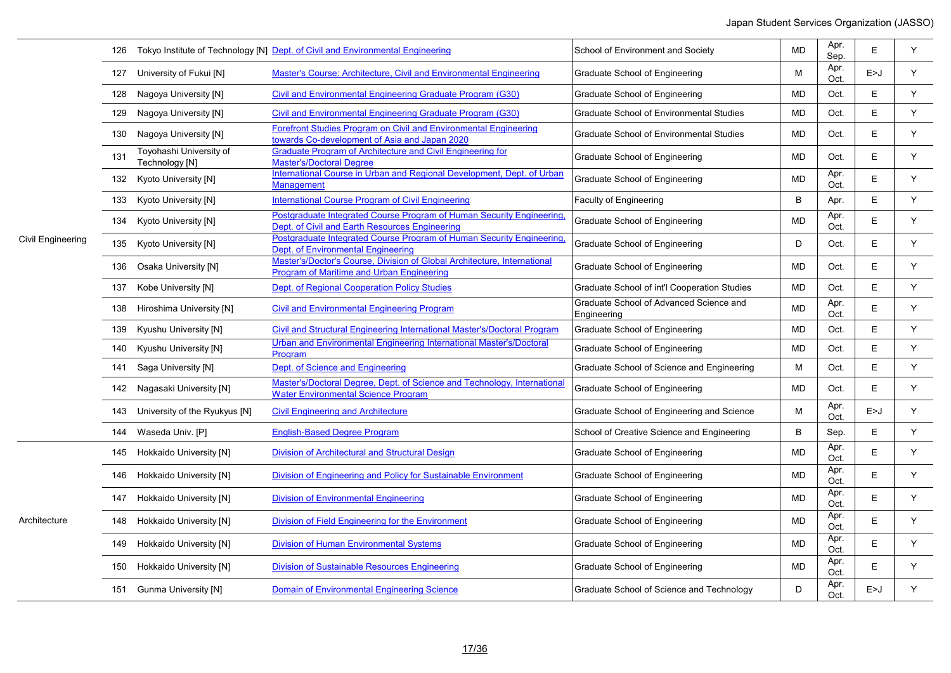|                   |     |                                           | 126 Tokyo Institute of Technology [N] Dept. of Civil and Environmental Engineering                                       | School of Environment and Society                      | <b>MD</b> | Apr.<br>Sep. | E     | Y |
|-------------------|-----|-------------------------------------------|--------------------------------------------------------------------------------------------------------------------------|--------------------------------------------------------|-----------|--------------|-------|---|
|                   |     | 127 University of Fukui [N]               | Master's Course: Architecture, Civil and Environmental Engineering                                                       | Graduate School of Engineering                         | М         | Apr.<br>Oct. | E > J | Y |
|                   |     | 128 Nagoya University [N]                 | Civil and Environmental Engineering Graduate Program (G30)                                                               | Graduate School of Engineering                         | <b>MD</b> | Oct.         | Е     | Y |
|                   | 129 | Nagoya University [N]                     | Civil and Environmental Engineering Graduate Program (G30)                                                               | <b>Graduate School of Environmental Studies</b>        | <b>MD</b> | Oct.         | E.    | Y |
|                   | 130 | Nagoya University [N]                     | <b>Forefront Studies Program on Civil and Environmental Engineering</b><br>towards Co-development of Asia and Japan 2020 | <b>Graduate School of Environmental Studies</b>        | <b>MD</b> | Oct.         | E     | Y |
|                   | 131 | Toyohashi University of<br>Technology [N] | Graduate Program of Architecture and Civil Engineering for<br><b>Master's/Doctoral Degree</b>                            | Graduate School of Engineering                         | <b>MD</b> | Oct.         | E     | Y |
|                   |     | 132 Kyoto University [N]                  | International Course in Urban and Regional Development, Dept. of Urban<br><b>Management</b>                              | Graduate School of Engineering                         | <b>MD</b> | Apr.<br>Oct. | E     | Υ |
|                   |     | 133 Kyoto University [N]                  | <b>International Course Program of Civil Engineering</b>                                                                 | <b>Faculty of Engineering</b>                          | B         | Apr.         | Е     | Y |
|                   |     | 134 Kyoto University [N]                  | Postgraduate Integrated Course Program of Human Security Engineering,<br>Dept. of Civil and Earth Resources Engineering  | Graduate School of Engineering                         | <b>MD</b> | Apr.<br>Oct. | E     | Y |
| Civil Engineering |     | 135 Kyoto University [N]                  | Postgraduate Integrated Course Program of Human Security Engineering,<br>Dept. of Environmental Engineering              | Graduate School of Engineering                         | D         | Oct.         | E     | Y |
|                   |     | 136 Osaka University [N]                  | Master's/Doctor's Course, Division of Global Architecture, International<br>Program of Maritime and Urban Engineering    | Graduate School of Engineering                         | <b>MD</b> | Oct.         | E     | Y |
|                   |     | 137 Kobe University [N]                   | Dept. of Regional Cooperation Policy Studies                                                                             | Graduate School of int'l Cooperation Studies           | MD        | Oct.         | E     | Y |
|                   | 138 | Hiroshima University [N]                  | <b>Civil and Environmental Engineering Program</b>                                                                       | Graduate School of Advanced Science and<br>Engineering | <b>MD</b> | Apr.<br>Oct. | E     | Y |
|                   | 139 | Kyushu University [N]                     | Civil and Structural Engineering International Master's/Doctoral Program                                                 | Graduate School of Engineering                         | MD        | Oct.         | Е     | Y |
|                   |     | 140 Kyushu University [N]                 | Urban and Environmental Engineering International Master's/Doctoral<br>Program                                           | Graduate School of Engineering                         | MD        | Oct.         | E     | Y |
|                   |     | 141 Saga University [N]                   | Dept. of Science and Engineering                                                                                         | Graduate School of Science and Engineering             | М         | Oct.         | E     | Y |
|                   |     | 142 Nagasaki University [N]               | Master's/Doctoral Degree, Dept. of Science and Technology, International<br><b>Water Environmental Science Program</b>   | Graduate School of Engineering                         | <b>MD</b> | Oct.         | E     | Y |
|                   |     | 143 University of the Ryukyus [N]         | <b>Civil Engineering and Architecture</b>                                                                                | Graduate School of Engineering and Science             | M         | Apr.<br>Oct. | E > J | Y |
|                   | 144 | Waseda Univ. [P]                          | <b>English-Based Degree Program</b>                                                                                      | School of Creative Science and Engineering             | B         | Sep.         | E     | Y |
|                   | 145 | Hokkaido University [N]                   | <b>Division of Architectural and Structural Design</b>                                                                   | Graduate School of Engineering                         | <b>MD</b> | Apr.<br>Oct. | E     | Y |
|                   |     | 146 Hokkaido University [N]               | Division of Engineering and Policy for Sustainable Environment                                                           | Graduate School of Engineering                         | <b>MD</b> | Apr.<br>Oct. | E     | Υ |
|                   |     | 147 Hokkaido University [N]               | <b>Division of Environmental Engineering</b>                                                                             | Graduate School of Engineering                         | <b>MD</b> | Apr.<br>Oct. | E     | Y |
| Architecture      |     | 148 Hokkaido University [N]               | Division of Field Engineering for the Environment                                                                        | Graduate School of Engineering                         | <b>MD</b> | Apr.<br>Oct. | E     | Y |
|                   | 149 | Hokkaido University [N]                   | <b>Division of Human Environmental Systems</b>                                                                           | Graduate School of Engineering                         | <b>MD</b> | Apr.<br>Oct. | Е     | Y |
|                   | 150 | Hokkaido University [N]                   | <b>Division of Sustainable Resources Engineering</b>                                                                     | Graduate School of Engineering                         | <b>MD</b> | Apr.<br>Oct. | Е     | Y |
|                   | 151 | <b>Gunma University [N]</b>               | <b>Domain of Environmental Engineering Science</b>                                                                       | Graduate School of Science and Technology              | D         | Apr.<br>Oct  | E>J   | Y |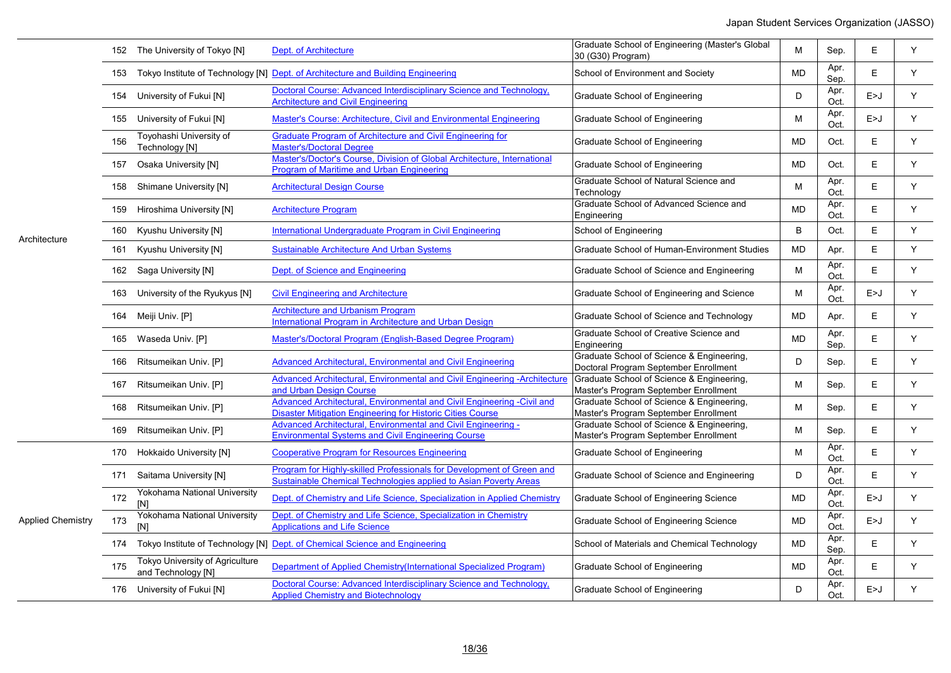|                          |     | 152 The University of Tokyo [N]                       | Dept. of Architecture                                                                                                                     | Graduate School of Engineering (Master's Global<br>30 (G30) Program)               | M         | Sep.         | E     | Y |
|--------------------------|-----|-------------------------------------------------------|-------------------------------------------------------------------------------------------------------------------------------------------|------------------------------------------------------------------------------------|-----------|--------------|-------|---|
|                          | 153 |                                                       | Tokyo Institute of Technology [N] Dept. of Architecture and Building Engineering                                                          | School of Environment and Society                                                  | <b>MD</b> | Apr.<br>Sep. | E     | Y |
|                          | 154 | University of Fukui [N]                               | Doctoral Course: Advanced Interdisciplinary Science and Technology,<br><b>Architecture and Civil Engineering</b>                          | <b>Graduate School of Engineering</b>                                              | D         | Apr.<br>Oct. | E > J | Y |
|                          |     | 155 University of Fukui [N]                           | Master's Course: Architecture, Civil and Environmental Engineering                                                                        | Graduate School of Engineering                                                     | Μ         | Apr.<br>Oct. | E>J   | Y |
|                          | 156 | Toyohashi University of<br>Technology [N]             | <b>Graduate Program of Architecture and Civil Engineering for</b><br><b>Master's/Doctoral Degree</b>                                      | Graduate School of Engineering                                                     | <b>MD</b> | Oct.         | E     | Y |
|                          | 157 | Osaka University [N]                                  | Master's/Doctor's Course, Division of Global Architecture, International<br>Program of Maritime and Urban Engineering                     | Graduate School of Engineering                                                     | MD        | Oct.         | E     | Y |
|                          |     | 158 Shimane University [N]                            | <b>Architectural Design Course</b>                                                                                                        | Graduate School of Natural Science and<br>Technology                               | M         | Apr.<br>Oct. | E     | Y |
|                          | 159 | Hiroshima University [N]                              | <b>Architecture Program</b>                                                                                                               | Graduate School of Advanced Science and<br>Engineering                             | <b>MD</b> | Apr.<br>Oct. | E     | Y |
| Architecture             | 160 | Kyushu University [N]                                 | International Undergraduate Program in Civil Engineering                                                                                  | School of Engineering                                                              | B         | Oct.         | E     | Y |
|                          | 161 | Kyushu University [N]                                 | Sustainable Architecture And Urban Systems                                                                                                | Graduate School of Human-Environment Studies                                       | <b>MD</b> | Apr.         | E     | Y |
|                          |     | 162 Saga University [N]                               | Dept. of Science and Engineering                                                                                                          | Graduate School of Science and Engineering                                         | М         | Apr.<br>Oct. | E     | Y |
|                          |     | 163 University of the Ryukyus [N]                     | <b>Civil Engineering and Architecture</b>                                                                                                 | Graduate School of Engineering and Science                                         | M         | Apr.<br>Oct. | E > J | Y |
|                          |     | 164 Meiji Univ. [P]                                   | <b>Architecture and Urbanism Program</b><br>International Program in Architecture and Urban Design                                        | Graduate School of Science and Technology                                          | MD        | Apr.         | Е     | Y |
|                          |     | 165 Waseda Univ. [P]                                  | Master's/Doctoral Program (English-Based Degree Program)                                                                                  | Graduate School of Creative Science and<br>Engineering                             | <b>MD</b> | Apr.<br>Sep. | E     | Y |
|                          |     | 166 Ritsumeikan Univ. [P]                             | Advanced Architectural, Environmental and Civil Engineering                                                                               | Graduate School of Science & Engineering,<br>Doctoral Program September Enrollment | D         | Sep.         | Е     | Y |
|                          |     | 167 Ritsumeikan Univ. [P]                             | Advanced Architectural, Environmental and Civil Engineering -Architecture<br>and Urban Design Course                                      | Graduate School of Science & Engineering,<br>Master's Program September Enrollment | М         | Sep.         | E     | Y |
|                          |     | 168 Ritsumeikan Univ. [P]                             | Advanced Architectural, Environmental and Civil Engineering -Civil and<br>Disaster Mitigation Engineering for Historic Cities Course      | Graduate School of Science & Engineering,<br>Master's Program September Enrollment | Μ         | Sep.         | E     | Y |
|                          |     | 169 Ritsumeikan Univ. [P]                             | Advanced Architectural, Environmental and Civil Engineering -<br><b>Environmental Systems and Civil Engineering Course</b>                | Graduate School of Science & Engineering,<br>Master's Program September Enrollment | М         | Sep.         | E     | Y |
|                          |     | 170 Hokkaido University [N]                           | <b>Cooperative Program for Resources Engineering</b>                                                                                      | Graduate School of Engineering                                                     | M         | Apr.<br>Oct. | E     | Y |
|                          |     | 171 Saitama University [N]                            | Program for Highly-skilled Professionals for Development of Green and<br>Sustainable Chemical Technologies applied to Asian Poverty Areas | Graduate School of Science and Engineering                                         | D         | Apr.<br>Oct. | E     | Y |
|                          | 172 | Yokohama National University<br>[N]                   | Dept. of Chemistry and Life Science. Specialization in Applied Chemistry                                                                  | Graduate School of Engineering Science                                             | MD        | Apr.<br>Oct. | E > J | Y |
| <b>Applied Chemistry</b> | 173 | Yokohama National University<br>[N]                   | Dept. of Chemistry and Life Science, Specialization in Chemistry<br><b>Applications and Life Science</b>                                  | Graduate School of Engineering Science                                             | <b>MD</b> | Apr.<br>Oct. | E > J | Y |
|                          |     |                                                       | 174 Tokyo Institute of Technology [N] Dept. of Chemical Science and Engineering                                                           | School of Materials and Chemical Technology                                        | <b>MD</b> | Apr.<br>Sep. | E     | Y |
|                          | 175 | Tokyo University of Agriculture<br>and Technology [N] | Department of Applied Chemistry(International Specialized Program)                                                                        | Graduate School of Engineering                                                     | <b>MD</b> | Apr.<br>Oct. | E     | Y |
|                          |     | 176 University of Fukui [N]                           | Doctoral Course: Advanced Interdisciplinary Science and Technology,<br><b>Applied Chemistry and Biotechnology</b>                         | Graduate School of Engineering                                                     | D         | Apr.<br>Oct. | E > J | Y |

18/36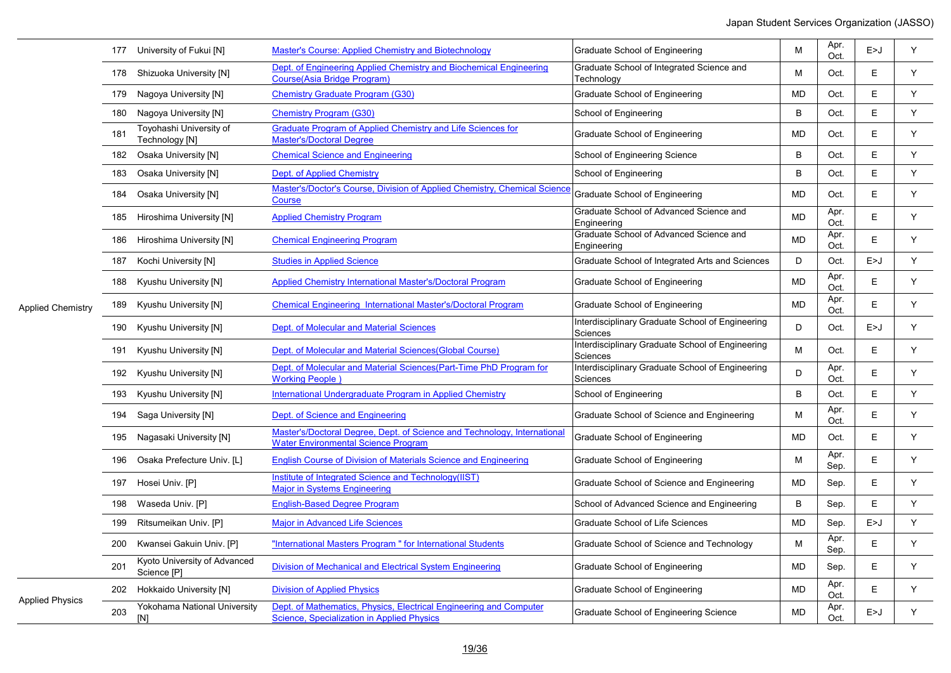|                          |     | 177 University of Fukui [N]                 | <b>Master's Course: Applied Chemistry and Biotechnology</b>                                                             | Graduate School of Engineering                               | M            | Apr.<br>Oct. | E>J   | Y  |
|--------------------------|-----|---------------------------------------------|-------------------------------------------------------------------------------------------------------------------------|--------------------------------------------------------------|--------------|--------------|-------|----|
| <b>Applied Chemistry</b> |     | 178 Shizuoka University [N]                 | Dept. of Engineering Applied Chemistry and Biochemical Engineering<br><b>Course(Asia Bridge Program)</b>                | Graduate School of Integrated Science and<br>Technology      | M            | Oct.         | E     | Y  |
|                          | 179 | Nagoya University [N]                       | <b>Chemistry Graduate Program (G30)</b>                                                                                 | Graduate School of Engineering                               | <b>MD</b>    | Oct.         | E.    | Y  |
|                          |     | 180 Nagoya University [N]                   | <b>Chemistry Program (G30)</b>                                                                                          | School of Engineering                                        | B            | Oct.         | E     | Y. |
|                          | 181 | Toyohashi University of<br>Technology [N]   | Graduate Program of Applied Chemistry and Life Sciences for<br><b>Master's/Doctoral Degree</b>                          | Graduate School of Engineering                               | <b>MD</b>    | Oct.         | E     | Y  |
|                          |     | 182 Osaka University [N]                    | <b>Chemical Science and Engineering</b>                                                                                 | School of Engineering Science                                | B            | Oct.         | E.    | Y  |
|                          |     | 183 Osaka University [N]                    | Dept. of Applied Chemistry                                                                                              | School of Engineering                                        | B            | Oct.         | E     | Y  |
|                          | 184 | Osaka University [N]                        | Master's/Doctor's Course, Division of Applied Chemistry, Chemical Science<br>Course                                     | Graduate School of Engineering                               | <b>MD</b>    | Oct.         | E     | Y  |
|                          |     | 185 Hiroshima University [N]                | <b>Applied Chemistry Program</b>                                                                                        | Graduate School of Advanced Science and<br>Engineering       | <b>MD</b>    | Apr.<br>Oct. | E     | Y  |
|                          |     | 186 Hiroshima University [N]                | <b>Chemical Engineering Program</b>                                                                                     | Graduate School of Advanced Science and<br>Engineering       | MD           | Apr.<br>Oct. | E     | Y  |
|                          |     | 187 Kochi University [N]                    | <b>Studies in Applied Science</b>                                                                                       | Graduate School of Integrated Arts and Sciences              | D            | Oct.         | E > J | Y. |
|                          |     | 188 Kyushu University [N]                   | <b>Applied Chemistry International Master's/Doctoral Program</b>                                                        | Graduate School of Engineering                               | MD           | Apr.<br>Oct. | E     | Y  |
|                          |     | 189 Kyushu University [N]                   | <b>Chemical Engineering International Master's/Doctoral Program</b>                                                     | Graduate School of Engineering                               | MD           | Apr.<br>Oct. | E     | Y  |
|                          |     | 190 Kyushu University [N]                   | Dept. of Molecular and Material Sciences                                                                                | Interdisciplinary Graduate School of Engineering<br>Sciences | D            | Oct.         | E>J   | Y  |
|                          |     | 191 Kyushu University [N]                   | Dept. of Molecular and Material Sciences (Global Course)                                                                | Interdisciplinary Graduate School of Engineering<br>Sciences | M            | Oct.         | E.    | Y  |
|                          |     | 192 Kyushu University [N]                   | Dept. of Molecular and Material Sciences(Part-Time PhD Program for<br><b>Working People</b>                             | Interdisciplinary Graduate School of Engineering<br>Sciences | D            | Apr.<br>Oct. | E     | Y  |
|                          |     | 193 Kyushu University [N]                   | International Undergraduate Program in Applied Chemistry                                                                | School of Engineering                                        | $\, {\bf B}$ | Oct.         | E     | Y  |
|                          |     | 194 Saga University [N]                     | Dept. of Science and Engineering                                                                                        | Graduate School of Science and Engineering                   | M            | Apr.<br>Oct. | E     | Y  |
|                          |     | 195 Nagasaki University [N]                 | Master's/Doctoral Degree, Dept. of Science and Technology, International<br><b>Water Environmental Science Program</b>  | Graduate School of Engineering                               | MD           | Oct.         | E     | Y. |
|                          |     | 196 Osaka Prefecture Univ. [L]              | <b>English Course of Division of Materials Science and Engineering</b>                                                  | Graduate School of Engineering                               | M            | Apr.<br>Sep. | E     | Y  |
|                          |     | 197 Hosei Univ. [P]                         | Institute of Integrated Science and Technology(IIST)<br><b>Major in Systems Engineering</b>                             | Graduate School of Science and Engineering                   | MD           | Sep.         | E     | Y  |
|                          |     | 198 Waseda Univ. [P]                        | <b>English-Based Degree Program</b>                                                                                     | School of Advanced Science and Engineering                   | B            | Sep.         | E     | Y  |
|                          | 199 | Ritsumeikan Univ. [P]                       | <b>Major in Advanced Life Sciences</b>                                                                                  | Graduate School of Life Sciences                             | MD           | Sep.         | E > J | Y  |
|                          |     | 200 Kwansei Gakuin Univ. [P]                | "International Masters Program " for International Students                                                             | Graduate School of Science and Technology                    | M            | Apr.<br>Sep. | E     | Y  |
|                          | 201 | Kyoto University of Advanced<br>Science [P] | Division of Mechanical and Electrical System Engineering                                                                | Graduate School of Engineering                               | MD           | Sep.         | E     | Y  |
| <b>Applied Physics</b>   | 202 | Hokkaido University [N]                     | <b>Division of Applied Physics</b>                                                                                      | Graduate School of Engineering                               | <b>MD</b>    | Apr.<br>Oct. | E     | Y  |
|                          | 203 | Yokohama National University<br>[N]         | Dept. of Mathematics, Physics, Electrical Engineering and Computer<br><b>Science. Specialization in Applied Physics</b> | Graduate School of Engineering Science                       | <b>MD</b>    | Apr.<br>Oct. | E>J   | Y  |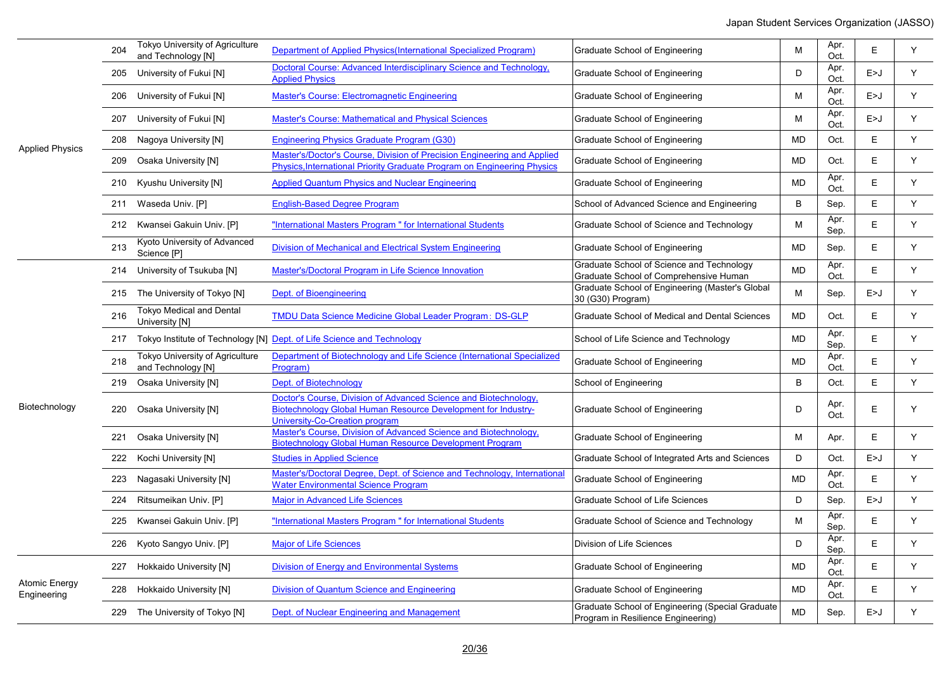|                              | 204 | Tokyo University of Agriculture<br>and Technology [N] | Department of Applied Physics (International Specialized Program)                                                                                                          | Graduate School of Engineering                                                         | м         | Apr.<br>Oct. | E     | Y |
|------------------------------|-----|-------------------------------------------------------|----------------------------------------------------------------------------------------------------------------------------------------------------------------------------|----------------------------------------------------------------------------------------|-----------|--------------|-------|---|
|                              |     | 205 University of Fukui [N]                           | Doctoral Course: Advanced Interdisciplinary Science and Technology,<br><b>Applied Physics</b>                                                                              | Graduate School of Engineering                                                         | D         | Apr.<br>Oct. | E > J | Y |
|                              |     | 206 University of Fukui [N]                           | Master's Course: Electromagnetic Engineering                                                                                                                               | Graduate School of Engineering                                                         | М         | Apr.<br>Oct. | E > J | Y |
|                              |     | 207 University of Fukui [N]                           | <b>Master's Course: Mathematical and Physical Sciences</b>                                                                                                                 | Graduate School of Engineering                                                         | М         | Apr.<br>Oct. | E > J | Y |
|                              |     | 208 Nagoya University [N]                             | Engineering Physics Graduate Program (G30)                                                                                                                                 | Graduate School of Engineering                                                         | <b>MD</b> | Oct.         | E     | Y |
| <b>Applied Physics</b>       |     | 209 Osaka University [N]                              | Master's/Doctor's Course, Division of Precision Engineering and Applied<br>Physics, International Priority Graduate Program on Engineering Physics                         | Graduate School of Engineering                                                         | <b>MD</b> | Oct.         | E     | Y |
|                              |     | 210 Kyushu University [N]                             | <b>Applied Quantum Physics and Nuclear Engineering</b>                                                                                                                     | Graduate School of Engineering                                                         | <b>MD</b> | Apr.<br>Oct. | E     | Y |
|                              |     | 211 Waseda Univ. [P]                                  | <b>English-Based Degree Program</b>                                                                                                                                        | School of Advanced Science and Engineering                                             | B         | Sep.         | E     | Y |
|                              |     | 212 Kwansei Gakuin Univ. [P]                          | "International Masters Program" for International Students                                                                                                                 | Graduate School of Science and Technology                                              | M         | Apr.<br>Sep. | E     | Y |
|                              | 213 | Kyoto University of Advanced<br>Science [P]           | Division of Mechanical and Electrical System Engineering                                                                                                                   | Graduate School of Engineering                                                         | MD        | Sep.         | E     | Y |
|                              | 214 | University of Tsukuba [N]                             | Master's/Doctoral Program in Life Science Innovation                                                                                                                       | Graduate School of Science and Technology<br>Graduate School of Comprehensive Human    | MD        | Apr.<br>Oct. | E     | Y |
|                              |     | 215 The University of Tokyo [N]                       | Dept. of Bioengineering                                                                                                                                                    | Graduate School of Engineering (Master's Global<br>30 (G30) Program)                   | М         | Sep.         | E > J | Y |
|                              | 216 | <b>Tokyo Medical and Dental</b><br>University [N]     | <b>TMDU Data Science Medicine Global Leader Program: DS-GLP</b>                                                                                                            | Graduate School of Medical and Dental Sciences                                         | MD        | Oct.         | E     | Y |
|                              | 217 |                                                       | Tokyo Institute of Technology [N] Dept. of Life Science and Technology                                                                                                     | School of Life Science and Technology                                                  | <b>MD</b> | Apr.<br>Sep. | E     | Y |
|                              | 218 | Tokyo University of Agriculture<br>and Technology [N] | Department of Biotechnology and Life Science (International Specialized<br>Program)                                                                                        | Graduate School of Engineering                                                         | <b>MD</b> | Apr.<br>Oct. | E     | Y |
|                              |     | 219 Osaka University [N]                              | Dept. of Biotechnology                                                                                                                                                     | School of Engineering                                                                  | B         | Oct.         | E     | Y |
| Biotechnology                | 220 | Osaka University [N]                                  | Doctor's Course, Division of Advanced Science and Biotechnology,<br><b>Biotechnology Global Human Resource Development for Industry-</b><br>University-Co-Creation program | Graduate School of Engineering                                                         | D         | Apr.<br>Oct. | E     | Y |
|                              |     | 221 Osaka University [N]                              | Master's Course, Division of Advanced Science and Biotechnology,<br>Biotechnology Global Human Resource Development Program                                                | Graduate School of Engineering                                                         | М         | Apr.         | E     | Y |
|                              |     | 222 Kochi University [N]                              | <b>Studies in Applied Science</b>                                                                                                                                          | Graduate School of Integrated Arts and Sciences                                        | D         | Oct.         | E > J | Υ |
|                              |     | 223 Nagasaki University [N]                           | Master's/Doctoral Degree, Dept. of Science and Technology, International<br><b>Water Environmental Science Program</b>                                                     | Graduate School of Engineering                                                         | <b>MD</b> | Apr.<br>Oct. | E     | Y |
|                              |     | 224 Ritsumeikan Univ. [P]                             | <b>Major in Advanced Life Sciences</b>                                                                                                                                     | Graduate School of Life Sciences                                                       | D         | Sep.         | E > J | Y |
|                              |     | 225 Kwansei Gakuin Univ. [P]                          | "International Masters Program " for International Students                                                                                                                | Graduate School of Science and Technology                                              | М         | Apr.<br>Sep. | E     | Y |
|                              |     | 226 Kyoto Sangyo Univ. [P]                            | <b>Major of Life Sciences</b>                                                                                                                                              | Division of Life Sciences                                                              | D         | Apr.<br>Sep. | E     | Y |
|                              | 227 | Hokkaido University [N]                               | <b>Division of Energy and Environmental Systems</b>                                                                                                                        | Graduate School of Engineering                                                         | <b>MD</b> | Apr.<br>Oct. | E     | Y |
| Atomic Energy<br>Engineering | 228 | Hokkaido University [N]                               | <b>Division of Quantum Science and Engineering</b>                                                                                                                         | Graduate School of Engineering                                                         | <b>MD</b> | Apr.<br>Oct. | E     | Υ |
|                              |     | 229 The University of Tokyo [N]                       | Dept. of Nuclear Engineering and Management                                                                                                                                | Graduate School of Engineering (Special Graduate<br>Program in Resilience Engineering) | <b>MD</b> | Sep.         | E > J | Υ |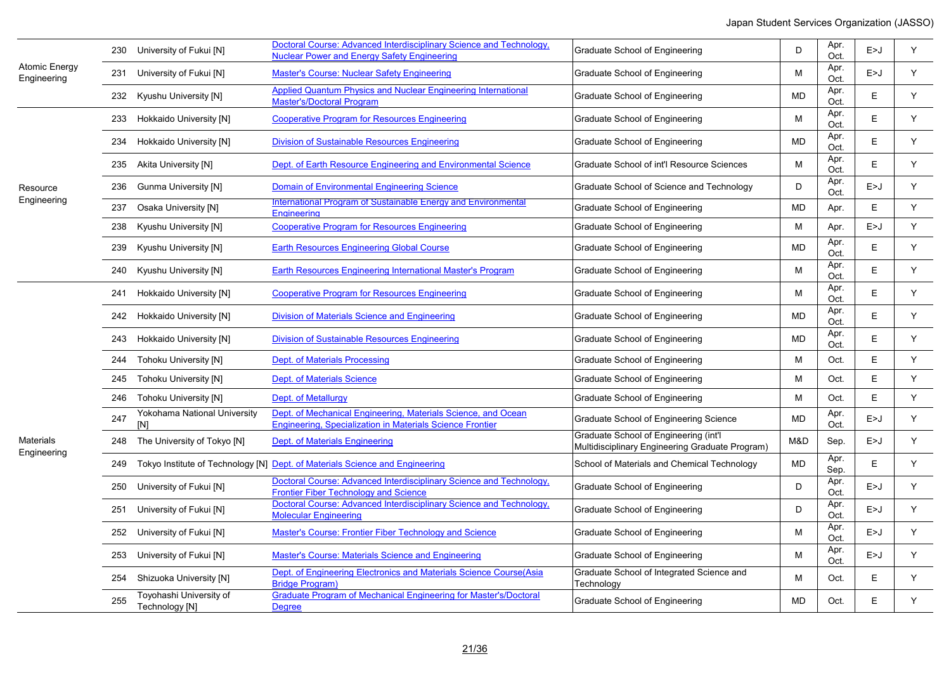|                                     |     | 230 University of Fukui [N]               | Doctoral Course: Advanced Interdisciplinary Science and Technology,<br><b>Nuclear Power and Energy Safety Engineering</b>                                                                                                                                                                                                                                                                                                                                                                                                                                                                                                                                                                                                                                                                                                                                                                                                                                                                                                                                                                                                                                                                                                                                                                                                                                                                                                                                                                                                                                                                                                                                                                                                                                                                                                                                                                                                                                                                                                                                                                                                                                                                                                                                                                                                                                                                                                                                                                                                                                                                                                                                                                                                                                                                                                                                                                                                                                                                                                                                                                                                                                                                                                                                                                                                                                                                                               | Graduate School of Engineering | D | Apr.<br>Oct. | E>J   | Y |
|-------------------------------------|-----|-------------------------------------------|-------------------------------------------------------------------------------------------------------------------------------------------------------------------------------------------------------------------------------------------------------------------------------------------------------------------------------------------------------------------------------------------------------------------------------------------------------------------------------------------------------------------------------------------------------------------------------------------------------------------------------------------------------------------------------------------------------------------------------------------------------------------------------------------------------------------------------------------------------------------------------------------------------------------------------------------------------------------------------------------------------------------------------------------------------------------------------------------------------------------------------------------------------------------------------------------------------------------------------------------------------------------------------------------------------------------------------------------------------------------------------------------------------------------------------------------------------------------------------------------------------------------------------------------------------------------------------------------------------------------------------------------------------------------------------------------------------------------------------------------------------------------------------------------------------------------------------------------------------------------------------------------------------------------------------------------------------------------------------------------------------------------------------------------------------------------------------------------------------------------------------------------------------------------------------------------------------------------------------------------------------------------------------------------------------------------------------------------------------------------------------------------------------------------------------------------------------------------------------------------------------------------------------------------------------------------------------------------------------------------------------------------------------------------------------------------------------------------------------------------------------------------------------------------------------------------------------------------------------------------------------------------------------------------------------------------------------------------------------------------------------------------------------------------------------------------------------------------------------------------------------------------------------------------------------------------------------------------------------------------------------------------------------------------------------------------------------------------------------------------------------------------------------------------------|--------------------------------|---|--------------|-------|---|
| <b>Atomic Energy</b><br>Engineering |     | 231 University of Fukui [N]               | <b>Master's Course: Nuclear Safety Engineering</b>                                                                                                                                                                                                                                                                                                                                                                                                                                                                                                                                                                                                                                                                                                                                                                                                                                                                                                                                                                                                                                                                                                                                                                                                                                                                                                                                                                                                                                                                                                                                                                                                                                                                                                                                                                                                                                                                                                                                                                                                                                                                                                                                                                                                                                                                                                                                                                                                                                                                                                                                                                                                                                                                                                                                                                                                                                                                                                                                                                                                                                                                                                                                                                                                                                                                                                                                                                      | Graduate School of Engineering | м | Apr.<br>Oct. | E > J | Y |
|                                     |     | 232 Kyushu University [N]                 | Applied Quantum Physics and Nuclear Engineering International<br>Apr.<br>Y.<br>MD<br>E<br>Graduate School of Engineering<br><b>Master's/Doctoral Program</b><br>Oct.<br>Apr.<br><b>Cooperative Program for Resources Engineering</b><br>E<br>Y<br>M<br>Graduate School of Engineering<br>Oct.<br>Apr.<br>E<br>Y<br><b>Division of Sustainable Resources Engineering</b><br>Graduate School of Engineering<br>MD<br>Oct.<br>Apr.<br>Y<br>Dept. of Earth Resource Engineering and Environmental Science<br>E<br>Graduate School of int'l Resource Sciences<br>M<br>Oct.<br>Apr.<br>Y<br>D<br>E>J<br><b>Domain of Environmental Engineering Science</b><br>Graduate School of Science and Technology<br>Oct.<br>International Program of Sustainable Energy and Environmental<br>E<br>Y<br><b>MD</b><br>Graduate School of Engineering<br>Apr.<br>Engineering<br><b>Cooperative Program for Resources Engineering</b><br>Y<br>M<br>E>J<br>Graduate School of Engineering<br>Apr.<br>Apr.<br>Y<br>E<br><b>Earth Resources Engineering Global Course</b><br>MD<br>Graduate School of Engineering<br>Oct.<br>Apr.<br>E<br>Y<br>Earth Resources Engineering International Master's Program<br>M<br>Graduate School of Engineering<br>Oct.<br>Apr.<br>Y<br><b>Cooperative Program for Resources Engineering</b><br>E<br>Graduate School of Engineering<br>M<br>Oct.<br>Apr.<br>E<br>Y<br>Division of Materials Science and Engineering<br><b>MD</b><br>Graduate School of Engineering<br>Oct.<br>Apr.<br>E<br>Y<br><b>Division of Sustainable Resources Engineering</b><br><b>MD</b><br>Graduate School of Engineering<br>Oct.<br>E<br>Y<br>Dept. of Materials Processing<br>M<br>Oct.<br>Graduate School of Engineering<br>E<br>Y<br>Dept. of Materials Science<br>M<br>Oct.<br>Graduate School of Engineering<br>E<br>Y<br>Dept. of Metallurgy<br>M<br>Oct.<br>Graduate School of Engineering<br>Dept. of Mechanical Engineering, Materials Science, and Ocean<br>Apr.<br><b>MD</b><br>Y<br>Graduate School of Engineering Science<br>E>J<br>Engineering, Specialization in Materials Science Frontier<br>Oct.<br>Graduate School of Engineering (int'l<br>Dept. of Materials Engineering<br>Y<br>M&D<br>Sep.<br>E > J<br>Multidisciplinary Engineering Graduate Program)<br>Apr.<br><b>MD</b><br>E<br>Y<br>249 Tokyo Institute of Technology [N] Dept. of Materials Science and Engineering<br>School of Materials and Chemical Technology<br>Sep.<br>Doctoral Course: Advanced Interdisciplinary Science and Technology,<br>Apr.<br>D<br>Y<br>E>J<br>Graduate School of Engineering<br><b>Frontier Fiber Technology and Science</b><br>Oct.<br>Doctoral Course: Advanced Interdisciplinary Science and Technology,<br>Apr.<br>D<br>Y<br>E>J<br>Graduate School of Engineering<br><b>Molecular Engineering</b><br>Oct.<br>Apr.<br>Y<br><b>Master's Course: Frontier Fiber Technology and Science</b><br>M<br>Graduate School of Engineering<br>E>J<br>Oct.<br>Apr.<br>Master's Course: Materials Science and Engineering<br>Y<br>Graduate School of Engineering<br>M<br>E>J<br>Oct.<br>Dept. of Engineering Electronics and Materials Science Course(Asia<br>Graduate School of Integrated Science and<br>Y<br>M<br>Oct.<br>E.<br><b>Bridge Program)</b><br>Technology<br>Graduate Program of Mechanical Engineering for Master's/Doctoral<br>Y<br>Graduate School of Engineering<br><b>MD</b><br>Oct.<br>Е<br><b>Degree</b> |                                |   |              |       |   |
|                                     |     | 233 Hokkaido University [N]               |                                                                                                                                                                                                                                                                                                                                                                                                                                                                                                                                                                                                                                                                                                                                                                                                                                                                                                                                                                                                                                                                                                                                                                                                                                                                                                                                                                                                                                                                                                                                                                                                                                                                                                                                                                                                                                                                                                                                                                                                                                                                                                                                                                                                                                                                                                                                                                                                                                                                                                                                                                                                                                                                                                                                                                                                                                                                                                                                                                                                                                                                                                                                                                                                                                                                                                                                                                                                                         |                                |   |              |       |   |
|                                     |     | 234 Hokkaido University [N]               |                                                                                                                                                                                                                                                                                                                                                                                                                                                                                                                                                                                                                                                                                                                                                                                                                                                                                                                                                                                                                                                                                                                                                                                                                                                                                                                                                                                                                                                                                                                                                                                                                                                                                                                                                                                                                                                                                                                                                                                                                                                                                                                                                                                                                                                                                                                                                                                                                                                                                                                                                                                                                                                                                                                                                                                                                                                                                                                                                                                                                                                                                                                                                                                                                                                                                                                                                                                                                         |                                |   |              |       |   |
|                                     |     | 235 Akita University [N]                  |                                                                                                                                                                                                                                                                                                                                                                                                                                                                                                                                                                                                                                                                                                                                                                                                                                                                                                                                                                                                                                                                                                                                                                                                                                                                                                                                                                                                                                                                                                                                                                                                                                                                                                                                                                                                                                                                                                                                                                                                                                                                                                                                                                                                                                                                                                                                                                                                                                                                                                                                                                                                                                                                                                                                                                                                                                                                                                                                                                                                                                                                                                                                                                                                                                                                                                                                                                                                                         |                                |   |              |       |   |
| Resource                            |     | 236 Gunma University [N]                  |                                                                                                                                                                                                                                                                                                                                                                                                                                                                                                                                                                                                                                                                                                                                                                                                                                                                                                                                                                                                                                                                                                                                                                                                                                                                                                                                                                                                                                                                                                                                                                                                                                                                                                                                                                                                                                                                                                                                                                                                                                                                                                                                                                                                                                                                                                                                                                                                                                                                                                                                                                                                                                                                                                                                                                                                                                                                                                                                                                                                                                                                                                                                                                                                                                                                                                                                                                                                                         |                                |   |              |       |   |
| Engineering                         |     | 237 Osaka University [N]                  |                                                                                                                                                                                                                                                                                                                                                                                                                                                                                                                                                                                                                                                                                                                                                                                                                                                                                                                                                                                                                                                                                                                                                                                                                                                                                                                                                                                                                                                                                                                                                                                                                                                                                                                                                                                                                                                                                                                                                                                                                                                                                                                                                                                                                                                                                                                                                                                                                                                                                                                                                                                                                                                                                                                                                                                                                                                                                                                                                                                                                                                                                                                                                                                                                                                                                                                                                                                                                         |                                |   |              |       |   |
|                                     |     | 238 Kyushu University [N]                 |                                                                                                                                                                                                                                                                                                                                                                                                                                                                                                                                                                                                                                                                                                                                                                                                                                                                                                                                                                                                                                                                                                                                                                                                                                                                                                                                                                                                                                                                                                                                                                                                                                                                                                                                                                                                                                                                                                                                                                                                                                                                                                                                                                                                                                                                                                                                                                                                                                                                                                                                                                                                                                                                                                                                                                                                                                                                                                                                                                                                                                                                                                                                                                                                                                                                                                                                                                                                                         |                                |   |              |       |   |
|                                     |     | 239 Kyushu University [N]                 |                                                                                                                                                                                                                                                                                                                                                                                                                                                                                                                                                                                                                                                                                                                                                                                                                                                                                                                                                                                                                                                                                                                                                                                                                                                                                                                                                                                                                                                                                                                                                                                                                                                                                                                                                                                                                                                                                                                                                                                                                                                                                                                                                                                                                                                                                                                                                                                                                                                                                                                                                                                                                                                                                                                                                                                                                                                                                                                                                                                                                                                                                                                                                                                                                                                                                                                                                                                                                         |                                |   |              |       |   |
|                                     |     | 240 Kyushu University [N]                 |                                                                                                                                                                                                                                                                                                                                                                                                                                                                                                                                                                                                                                                                                                                                                                                                                                                                                                                                                                                                                                                                                                                                                                                                                                                                                                                                                                                                                                                                                                                                                                                                                                                                                                                                                                                                                                                                                                                                                                                                                                                                                                                                                                                                                                                                                                                                                                                                                                                                                                                                                                                                                                                                                                                                                                                                                                                                                                                                                                                                                                                                                                                                                                                                                                                                                                                                                                                                                         |                                |   |              |       |   |
|                                     |     | 241 Hokkaido University [N]               |                                                                                                                                                                                                                                                                                                                                                                                                                                                                                                                                                                                                                                                                                                                                                                                                                                                                                                                                                                                                                                                                                                                                                                                                                                                                                                                                                                                                                                                                                                                                                                                                                                                                                                                                                                                                                                                                                                                                                                                                                                                                                                                                                                                                                                                                                                                                                                                                                                                                                                                                                                                                                                                                                                                                                                                                                                                                                                                                                                                                                                                                                                                                                                                                                                                                                                                                                                                                                         |                                |   |              |       |   |
|                                     |     | 242 Hokkaido University [N]               |                                                                                                                                                                                                                                                                                                                                                                                                                                                                                                                                                                                                                                                                                                                                                                                                                                                                                                                                                                                                                                                                                                                                                                                                                                                                                                                                                                                                                                                                                                                                                                                                                                                                                                                                                                                                                                                                                                                                                                                                                                                                                                                                                                                                                                                                                                                                                                                                                                                                                                                                                                                                                                                                                                                                                                                                                                                                                                                                                                                                                                                                                                                                                                                                                                                                                                                                                                                                                         |                                |   |              |       |   |
|                                     |     | 243 Hokkaido University [N]               |                                                                                                                                                                                                                                                                                                                                                                                                                                                                                                                                                                                                                                                                                                                                                                                                                                                                                                                                                                                                                                                                                                                                                                                                                                                                                                                                                                                                                                                                                                                                                                                                                                                                                                                                                                                                                                                                                                                                                                                                                                                                                                                                                                                                                                                                                                                                                                                                                                                                                                                                                                                                                                                                                                                                                                                                                                                                                                                                                                                                                                                                                                                                                                                                                                                                                                                                                                                                                         |                                |   |              |       |   |
|                                     |     | 244 Tohoku University [N]                 |                                                                                                                                                                                                                                                                                                                                                                                                                                                                                                                                                                                                                                                                                                                                                                                                                                                                                                                                                                                                                                                                                                                                                                                                                                                                                                                                                                                                                                                                                                                                                                                                                                                                                                                                                                                                                                                                                                                                                                                                                                                                                                                                                                                                                                                                                                                                                                                                                                                                                                                                                                                                                                                                                                                                                                                                                                                                                                                                                                                                                                                                                                                                                                                                                                                                                                                                                                                                                         |                                |   |              |       |   |
|                                     |     | 245 Tohoku University [N]                 |                                                                                                                                                                                                                                                                                                                                                                                                                                                                                                                                                                                                                                                                                                                                                                                                                                                                                                                                                                                                                                                                                                                                                                                                                                                                                                                                                                                                                                                                                                                                                                                                                                                                                                                                                                                                                                                                                                                                                                                                                                                                                                                                                                                                                                                                                                                                                                                                                                                                                                                                                                                                                                                                                                                                                                                                                                                                                                                                                                                                                                                                                                                                                                                                                                                                                                                                                                                                                         |                                |   |              |       |   |
|                                     |     | 246 Tohoku University [N]                 |                                                                                                                                                                                                                                                                                                                                                                                                                                                                                                                                                                                                                                                                                                                                                                                                                                                                                                                                                                                                                                                                                                                                                                                                                                                                                                                                                                                                                                                                                                                                                                                                                                                                                                                                                                                                                                                                                                                                                                                                                                                                                                                                                                                                                                                                                                                                                                                                                                                                                                                                                                                                                                                                                                                                                                                                                                                                                                                                                                                                                                                                                                                                                                                                                                                                                                                                                                                                                         |                                |   |              |       |   |
|                                     | 247 | Yokohama National University<br>[N]       |                                                                                                                                                                                                                                                                                                                                                                                                                                                                                                                                                                                                                                                                                                                                                                                                                                                                                                                                                                                                                                                                                                                                                                                                                                                                                                                                                                                                                                                                                                                                                                                                                                                                                                                                                                                                                                                                                                                                                                                                                                                                                                                                                                                                                                                                                                                                                                                                                                                                                                                                                                                                                                                                                                                                                                                                                                                                                                                                                                                                                                                                                                                                                                                                                                                                                                                                                                                                                         |                                |   |              |       |   |
| <b>Materials</b><br>Engineering     | 248 | The University of Tokyo [N]               |                                                                                                                                                                                                                                                                                                                                                                                                                                                                                                                                                                                                                                                                                                                                                                                                                                                                                                                                                                                                                                                                                                                                                                                                                                                                                                                                                                                                                                                                                                                                                                                                                                                                                                                                                                                                                                                                                                                                                                                                                                                                                                                                                                                                                                                                                                                                                                                                                                                                                                                                                                                                                                                                                                                                                                                                                                                                                                                                                                                                                                                                                                                                                                                                                                                                                                                                                                                                                         |                                |   |              |       |   |
|                                     |     |                                           |                                                                                                                                                                                                                                                                                                                                                                                                                                                                                                                                                                                                                                                                                                                                                                                                                                                                                                                                                                                                                                                                                                                                                                                                                                                                                                                                                                                                                                                                                                                                                                                                                                                                                                                                                                                                                                                                                                                                                                                                                                                                                                                                                                                                                                                                                                                                                                                                                                                                                                                                                                                                                                                                                                                                                                                                                                                                                                                                                                                                                                                                                                                                                                                                                                                                                                                                                                                                                         |                                |   |              |       |   |
|                                     |     | 250 University of Fukui [N]               |                                                                                                                                                                                                                                                                                                                                                                                                                                                                                                                                                                                                                                                                                                                                                                                                                                                                                                                                                                                                                                                                                                                                                                                                                                                                                                                                                                                                                                                                                                                                                                                                                                                                                                                                                                                                                                                                                                                                                                                                                                                                                                                                                                                                                                                                                                                                                                                                                                                                                                                                                                                                                                                                                                                                                                                                                                                                                                                                                                                                                                                                                                                                                                                                                                                                                                                                                                                                                         |                                |   |              |       |   |
|                                     | 251 | University of Fukui [N]                   |                                                                                                                                                                                                                                                                                                                                                                                                                                                                                                                                                                                                                                                                                                                                                                                                                                                                                                                                                                                                                                                                                                                                                                                                                                                                                                                                                                                                                                                                                                                                                                                                                                                                                                                                                                                                                                                                                                                                                                                                                                                                                                                                                                                                                                                                                                                                                                                                                                                                                                                                                                                                                                                                                                                                                                                                                                                                                                                                                                                                                                                                                                                                                                                                                                                                                                                                                                                                                         |                                |   |              |       |   |
|                                     |     | 252 University of Fukui [N]               |                                                                                                                                                                                                                                                                                                                                                                                                                                                                                                                                                                                                                                                                                                                                                                                                                                                                                                                                                                                                                                                                                                                                                                                                                                                                                                                                                                                                                                                                                                                                                                                                                                                                                                                                                                                                                                                                                                                                                                                                                                                                                                                                                                                                                                                                                                                                                                                                                                                                                                                                                                                                                                                                                                                                                                                                                                                                                                                                                                                                                                                                                                                                                                                                                                                                                                                                                                                                                         |                                |   |              |       |   |
|                                     |     | 253 University of Fukui [N]               |                                                                                                                                                                                                                                                                                                                                                                                                                                                                                                                                                                                                                                                                                                                                                                                                                                                                                                                                                                                                                                                                                                                                                                                                                                                                                                                                                                                                                                                                                                                                                                                                                                                                                                                                                                                                                                                                                                                                                                                                                                                                                                                                                                                                                                                                                                                                                                                                                                                                                                                                                                                                                                                                                                                                                                                                                                                                                                                                                                                                                                                                                                                                                                                                                                                                                                                                                                                                                         |                                |   |              |       |   |
|                                     |     | 254 Shizuoka University [N]               |                                                                                                                                                                                                                                                                                                                                                                                                                                                                                                                                                                                                                                                                                                                                                                                                                                                                                                                                                                                                                                                                                                                                                                                                                                                                                                                                                                                                                                                                                                                                                                                                                                                                                                                                                                                                                                                                                                                                                                                                                                                                                                                                                                                                                                                                                                                                                                                                                                                                                                                                                                                                                                                                                                                                                                                                                                                                                                                                                                                                                                                                                                                                                                                                                                                                                                                                                                                                                         |                                |   |              |       |   |
|                                     | 255 | Toyohashi University of<br>Technology [N] |                                                                                                                                                                                                                                                                                                                                                                                                                                                                                                                                                                                                                                                                                                                                                                                                                                                                                                                                                                                                                                                                                                                                                                                                                                                                                                                                                                                                                                                                                                                                                                                                                                                                                                                                                                                                                                                                                                                                                                                                                                                                                                                                                                                                                                                                                                                                                                                                                                                                                                                                                                                                                                                                                                                                                                                                                                                                                                                                                                                                                                                                                                                                                                                                                                                                                                                                                                                                                         |                                |   |              |       |   |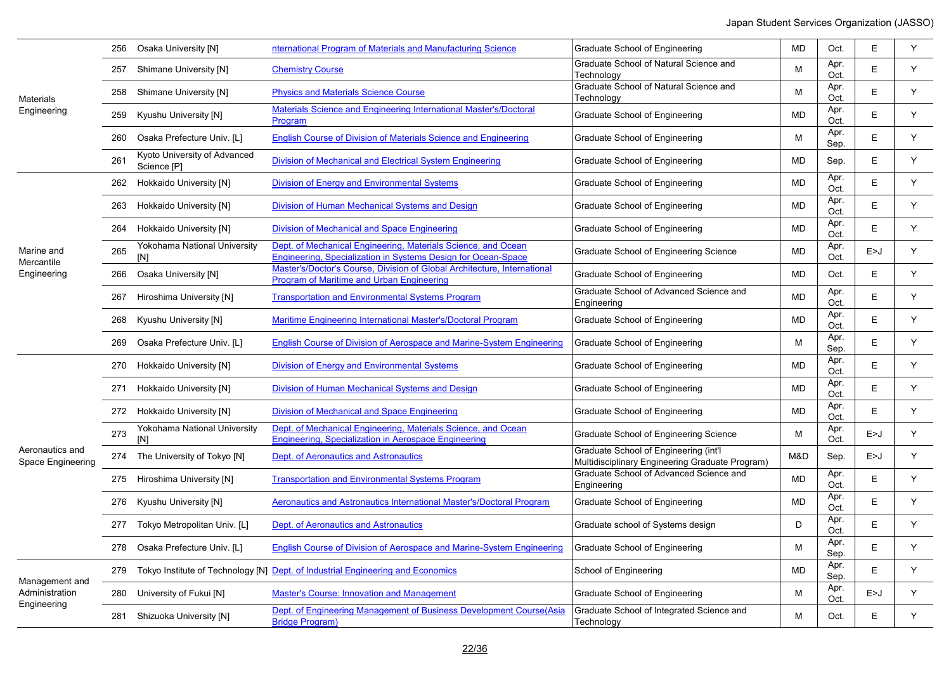|                                      | 256 | Osaka University [N]                        | nternational Program of Materials and Manufacturing Science                                                                    | Graduate School of Engineering                                                           | <b>MD</b> | Oct.         | E     | Υ |
|--------------------------------------|-----|---------------------------------------------|--------------------------------------------------------------------------------------------------------------------------------|------------------------------------------------------------------------------------------|-----------|--------------|-------|---|
|                                      |     | 257 Shimane University [N]                  | <b>Chemistry Course</b>                                                                                                        | Graduate School of Natural Science and<br>Technology                                     | M         | Apr.<br>Oct. | E     | Y |
| Materials                            |     | 258 Shimane University [N]                  | <b>Physics and Materials Science Course</b>                                                                                    | Graduate School of Natural Science and<br>Technology                                     | M         | Apr.<br>Oct. | E     | Y |
| Engineering                          |     | 259 Kyushu University [N]                   | Materials Science and Engineering International Master's/Doctoral<br>Program                                                   | Graduate School of Engineering                                                           | <b>MD</b> | Apr.<br>Oct. | E.    | Y |
|                                      |     | 260 Osaka Prefecture Univ. [L]              | <b>English Course of Division of Materials Science and Engineering</b>                                                         | Graduate School of Engineering                                                           | M         | Apr.<br>Sep. | E.    | Y |
|                                      | 261 | Kyoto University of Advanced<br>Science [P] | Division of Mechanical and Electrical System Engineering                                                                       | Graduate School of Engineering                                                           | <b>MD</b> | Sep.         | E.    | Y |
|                                      |     | 262 Hokkaido University [N]                 | Division of Energy and Environmental Systems                                                                                   | Graduate School of Engineering                                                           | <b>MD</b> | Apr.<br>Oct. | E     | Y |
|                                      |     | 263 Hokkaido University [N]                 | Division of Human Mechanical Systems and Design                                                                                | Graduate School of Engineering                                                           | <b>MD</b> | Apr.<br>Oct. | E     | Y |
|                                      |     | 264 Hokkaido University [N]                 | Division of Mechanical and Space Engineering                                                                                   | Graduate School of Engineering                                                           | <b>MD</b> | Apr.<br>Oct. | E.    | Y |
| Marine and<br>Mercantile             | 265 | Yokohama National University<br>[N]         | Dept. of Mechanical Engineering. Materials Science, and Ocean<br>Engineering, Specialization in Systems Design for Ocean-Space | Graduate School of Engineering Science                                                   | <b>MD</b> | Apr.<br>Oct. | E > J | Y |
| Engineering                          | 266 | Osaka University [N]                        | Master's/Doctor's Course, Division of Global Architecture, International<br>Program of Maritime and Urban Engineering          | Graduate School of Engineering                                                           | <b>MD</b> | Oct.         | E.    | Y |
|                                      | 267 | Hiroshima University [N]                    | <b>Transportation and Environmental Systems Program</b>                                                                        | Graduate School of Advanced Science and<br>Engineering                                   | <b>MD</b> | Apr.<br>Oct. | E.    | Y |
|                                      |     | 268 Kyushu University [N]                   | Maritime Engineering International Master's/Doctoral Program                                                                   | Graduate School of Engineering                                                           | <b>MD</b> | Apr.<br>Oct. | E.    | Y |
|                                      | 269 | Osaka Prefecture Univ. [L]                  | English Course of Division of Aerospace and Marine-System Engineering                                                          | Graduate School of Engineering                                                           | M         | Apr.<br>Sep. | E.    | Y |
|                                      |     | 270 Hokkaido University [N]                 | <b>Division of Energy and Environmental Systems</b>                                                                            | Graduate School of Engineering                                                           | <b>MD</b> | Apr.<br>Oct. | E.    | Y |
|                                      |     | 271 Hokkaido University [N]                 | Division of Human Mechanical Systems and Design                                                                                | Graduate School of Engineering                                                           | <b>MD</b> | Apr.<br>Oct. | E.    | Y |
|                                      |     | 272 Hokkaido University [N]                 | Division of Mechanical and Space Engineering                                                                                   | Graduate School of Engineering                                                           | <b>MD</b> | Apr.<br>Oct. | E     | Y |
|                                      | 273 | Yokohama National University<br>[N]         | Dept. of Mechanical Engineering. Materials Science, and Ocean<br>Engineering, Specialization in Aerospace Engineering          | Graduate School of Engineering Science                                                   | M         | Apr.<br>Oct. | E>J   | Y |
| Aeronautics and<br>Space Engineering |     | 274 The University of Tokyo [N]             | Dept. of Aeronautics and Astronautics                                                                                          | Graduate School of Engineering (int'l<br>Multidisciplinary Engineering Graduate Program) | M&D       | Sep.         | E > J | Y |
|                                      |     | 275 Hiroshima University [N]                | <b>Transportation and Environmental Systems Program</b>                                                                        | Graduate School of Advanced Science and<br>Engineering                                   | <b>MD</b> | Apr.<br>Oct. | E.    | Y |
|                                      |     | 276 Kyushu University [N]                   | Aeronautics and Astronautics International Master's/Doctoral Program                                                           | Graduate School of Engineering                                                           | <b>MD</b> | Apr.<br>Oct. | E.    | Y |
|                                      |     | 277 Tokyo Metropolitan Univ. [L]            | Dept. of Aeronautics and Astronautics                                                                                          | Graduate school of Systems design                                                        | D         | Apr.<br>Oct. | E.    | Y |
|                                      |     | 278 Osaka Prefecture Univ. [L]              | English Course of Division of Aerospace and Marine-System Engineering                                                          | Graduate School of Engineering                                                           | M         | Apr.<br>Sep. | E.    | Y |
| Management and                       | 279 |                                             | Tokyo Institute of Technology [N] Dept. of Industrial Engineering and Economics                                                | School of Engineering                                                                    | <b>MD</b> | Apr.<br>Sep. | E.    | Y |
| Administration<br>Engineering        |     | 280 University of Fukui [N]                 | <b>Master's Course: Innovation and Management</b>                                                                              | Graduate School of Engineering                                                           | м         | Apr.<br>Oct. | E>J   | Y |
|                                      |     | 281 Shizuoka University [N]                 | Dept. of Engineering Management of Business Development Course(Asia<br><b>Bridge Program)</b>                                  | Graduate School of Integrated Science and<br>Technology                                  | M         | Oct.         | E     | Y |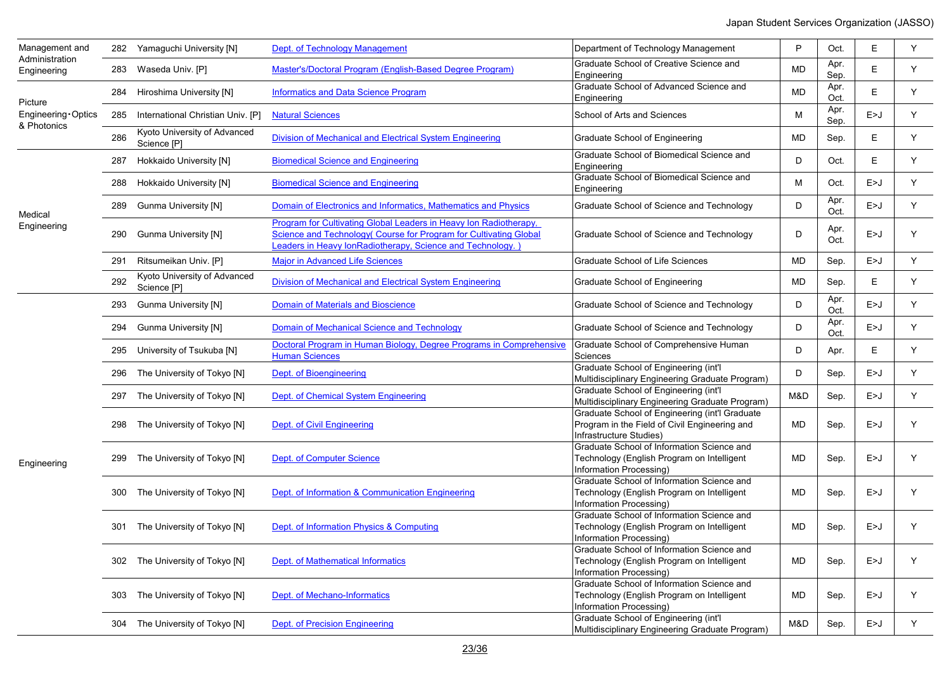| Management and<br>Administration  |     | 282 Yamaguchi University [N]                | Dept. of Technology Management                                                                                                                                                                       | Department of Technology Management                                                                                        | P         | Oct.         | E     | Υ |
|-----------------------------------|-----|---------------------------------------------|------------------------------------------------------------------------------------------------------------------------------------------------------------------------------------------------------|----------------------------------------------------------------------------------------------------------------------------|-----------|--------------|-------|---|
| Engineering                       |     | 283 Waseda Univ. [P]                        | Master's/Doctoral Program (English-Based Degree Program)                                                                                                                                             | Graduate School of Creative Science and<br>Engineering                                                                     | <b>MD</b> | Apr.<br>Sep. | E     | Y |
| Picture                           |     | 284 Hiroshima University [N]                | <b>Informatics and Data Science Program</b>                                                                                                                                                          | Graduate School of Advanced Science and<br>Engineering                                                                     | MD        | Apr.<br>Oct. | E     | Y |
| Engineering Optics<br>& Photonics | 285 | International Christian Univ. [P]           | <b>Natural Sciences</b>                                                                                                                                                                              | School of Arts and Sciences                                                                                                | M         | Apr.<br>Sep. | E>J   | Y |
|                                   | 286 | Kyoto University of Advanced<br>Science [P] | Division of Mechanical and Electrical System Engineering                                                                                                                                             | Graduate School of Engineering                                                                                             | MD        | Sep.         | Е     | Y |
|                                   | 287 | Hokkaido University [N]                     | <b>Biomedical Science and Engineering</b>                                                                                                                                                            | Graduate School of Biomedical Science and<br>Engineering                                                                   | D         | Oct.         | E     | Y |
|                                   | 288 | Hokkaido University [N]                     | <b>Biomedical Science and Engineering</b>                                                                                                                                                            | Graduate School of Biomedical Science and<br>Engineering                                                                   | M         | Oct.         | E>J   | Y |
| Medical                           |     | 289 Gunma University [N]                    | Domain of Electronics and Informatics, Mathematics and Physics                                                                                                                                       | Graduate School of Science and Technology                                                                                  | D         | Apr.<br>Oct. | E>J   | Y |
| Engineering                       |     | 290 Gunma University [N]                    | Program for Cultivating Global Leaders in Heavy Ion Radiotherapy,<br>Science and Technology (Course for Program for Cultivating Global<br>Leaders in Heavy lonRadiotherapy, Science and Technology.) | Graduate School of Science and Technology                                                                                  | D         | Apr.<br>Oct. | E>J   | Y |
|                                   |     | 291 Ritsumeikan Univ. [P]                   | <b>Major in Advanced Life Sciences</b>                                                                                                                                                               | Graduate School of Life Sciences                                                                                           | MD        | Sep.         | E>J   | Y |
|                                   | 292 | Kyoto University of Advanced<br>Science [P] | Division of Mechanical and Electrical System Engineering                                                                                                                                             | Graduate School of Engineering                                                                                             | MD        | Sep.         | E.    | Y |
|                                   | 293 | <b>Gunma University [N]</b>                 | <b>Domain of Materials and Bioscience</b>                                                                                                                                                            | Graduate School of Science and Technology                                                                                  | D         | Apr.<br>Oct. | E>J   | Y |
|                                   |     | 294 Gunma University [N]                    | Domain of Mechanical Science and Technology                                                                                                                                                          | Graduate School of Science and Technology                                                                                  | D         | Apr.<br>Oct. | E>J   | Y |
|                                   |     | 295 University of Tsukuba [N]               | Doctoral Program in Human Biology, Degree Programs in Comprehensive<br><b>Human Sciences</b>                                                                                                         | Graduate School of Comprehensive Human<br>Sciences                                                                         | D         | Apr.         | Е     | Y |
|                                   |     | 296 The University of Tokyo [N]             | Dept. of Bioengineering                                                                                                                                                                              | Graduate School of Engineering (int'l<br>Multidisciplinary Engineering Graduate Program)                                   | D         | Sep.         | E>J   | Y |
|                                   |     | 297 The University of Tokyo [N]             | Dept. of Chemical System Engineering                                                                                                                                                                 | Graduate School of Engineering (int'l<br>Multidisciplinary Engineering Graduate Program)                                   | M&D       | Sep.         | E>J   | Y |
|                                   |     | 298 The University of Tokyo [N]             | Dept. of Civil Engineering                                                                                                                                                                           | Graduate School of Engineering (int'l Graduate<br>Program in the Field of Civil Engineering and<br>Infrastructure Studies) | MD        | Sep.         | E>J   | Y |
| Engineering                       |     | 299 The University of Tokyo [N]             | Dept. of Computer Science                                                                                                                                                                            | Graduate School of Information Science and<br>Technology (English Program on Intelligent<br>Information Processing)        | MD        | Sep.         | E > J | Υ |
|                                   |     | 300 The University of Tokyo [N]             | Dept. of Information & Communication Engineering                                                                                                                                                     | Graduate School of Information Science and<br>Technology (English Program on Intelligent<br>Information Processing)        | MD        | Sep.         | E>J   | Y |
|                                   | 301 | The University of Tokyo [N]                 | Dept. of Information Physics & Computing                                                                                                                                                             | Graduate School of Information Science and<br>Technology (English Program on Intelligent<br>Information Processing)        | MD        | Sep.         | E>J   | Υ |
|                                   |     | 302 The University of Tokyo [N]             | Dept. of Mathematical Informatics                                                                                                                                                                    | Graduate School of Information Science and<br>Technology (English Program on Intelligent<br>Information Processing)        | MD        | Sep.         | E>J   | Y |
|                                   | 303 | The University of Tokyo [N]                 | Dept. of Mechano-Informatics                                                                                                                                                                         | Graduate School of Information Science and<br>Technology (English Program on Intelligent<br>Information Processing)        | MD        | Sep.         | E>J   | Υ |
|                                   | 304 | The University of Tokyo [N]                 | <b>Dept. of Precision Engineering</b>                                                                                                                                                                | Graduate School of Engineering (int'l<br>Multidisciplinary Engineering Graduate Program)                                   | M&D       | Sep.         | E>J   | Y |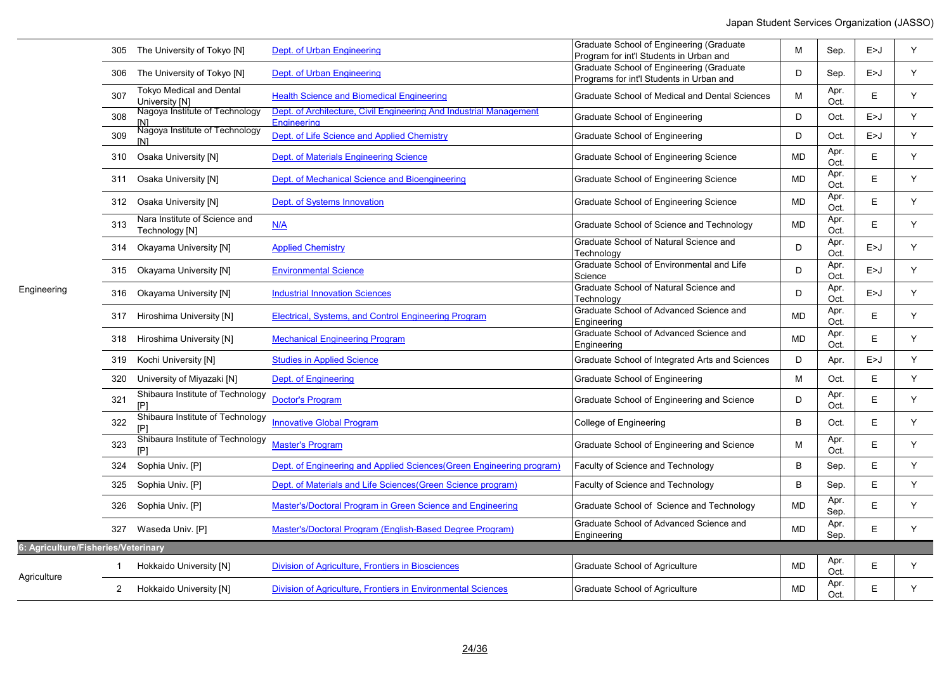|                                     |                | 305 The University of Tokyo [N]                     | Dept. of Urban Engineering                                                        | Graduate School of Engineering (Graduate<br>Program for int'l Students in Urban and  | M         | Sep.         | E>J   | Y |
|-------------------------------------|----------------|-----------------------------------------------------|-----------------------------------------------------------------------------------|--------------------------------------------------------------------------------------|-----------|--------------|-------|---|
|                                     |                | 306 The University of Tokyo [N]                     | Dept. of Urban Engineering                                                        | Graduate School of Engineering (Graduate<br>Programs for int'l Students in Urban and | D         | Sep.         | E > J | Y |
|                                     | 307            | <b>Tokyo Medical and Dental</b><br>University [N]   | <b>Health Science and Biomedical Engineering</b>                                  | Graduate School of Medical and Dental Sciences                                       | M         | Apr.<br>Oct. | E     | Y |
|                                     | 308            | Nagoya Institute of Technology                      | Dept. of Architecture, Civil Engineering And Industrial Management<br>Engineering | Graduate School of Engineering                                                       | D         | Oct.         | E > J | Y |
|                                     | 309            | <u>INI</u><br>Nagoya Institute of Technology<br>[N] | Dept. of Life Science and Applied Chemistry                                       | Graduate School of Engineering                                                       | D         | Oct.         | E>J   | Y |
|                                     | 310            | Osaka University [N]                                | Dept. of Materials Engineering Science                                            | Graduate School of Engineering Science                                               | <b>MD</b> | Apr.<br>Oct. | E     | Y |
|                                     |                | 311 Osaka University [N]                            | Dept. of Mechanical Science and Bioengineering                                    | Graduate School of Engineering Science                                               | MD        | Apr.<br>Oct. | Е     | Y |
|                                     |                | 312 Osaka University [N]                            | Dept. of Systems Innovation                                                       | Graduate School of Engineering Science                                               | <b>MD</b> | Apr.<br>Oct. | E     | Y |
|                                     | 313            | Nara Institute of Science and<br>Technology [N]     | N/A                                                                               | Graduate School of Science and Technology                                            | MD        | Apr.<br>Oct. | E     | Y |
|                                     |                | 314 Okayama University [N]                          | <b>Applied Chemistry</b>                                                          | Graduate School of Natural Science and<br>Technology                                 | D         | Apr.<br>Oct. | E>J   | Y |
| Engineering                         |                | 315 Okayama University [N]                          | <b>Environmental Science</b>                                                      | Graduate School of Environmental and Life<br>Science                                 | D         | Apr.<br>Oct. | E > J | Y |
|                                     |                | 316 Okayama University [N]                          | <b>Industrial Innovation Sciences</b>                                             | Graduate School of Natural Science and<br>Technology                                 | D         | Apr.<br>Oct. | E>J   | Y |
|                                     |                | 317 Hiroshima University [N]                        | Electrical, Systems, and Control Engineering Program                              | Graduate School of Advanced Science and<br>Engineering                               | <b>MD</b> | Apr.<br>Oct. | E     | Y |
|                                     |                | 318 Hiroshima University [N]                        | <b>Mechanical Engineering Program</b>                                             | Graduate School of Advanced Science and<br>Engineering                               | <b>MD</b> | Apr.<br>Oct. | E     | Y |
|                                     |                | 319 Kochi University [N]                            | <b>Studies in Applied Science</b>                                                 | Graduate School of Integrated Arts and Sciences                                      | D         | Apr.         | E>J   | Y |
|                                     |                | 320 University of Miyazaki [N]                      | Dept. of Engineering                                                              | Graduate School of Engineering                                                       | M         | Oct.         | E     | Y |
|                                     | 321            | Shibaura Institute of Technology<br>[P]             | <b>Doctor's Program</b>                                                           | Graduate School of Engineering and Science                                           | D         | Apr.<br>Oct. | E     | Y |
|                                     | 322            | Shibaura Institute of Technology<br>[P]             | <b>Innovative Global Program</b>                                                  | College of Engineering                                                               | B         | Oct.         | E     | Y |
|                                     | 323            | Shibaura Institute of Technology<br>[P]             | <b>Master's Program</b>                                                           | Graduate School of Engineering and Science                                           | М         | Apr.<br>Oct. | E     | Y |
|                                     | 324            | Sophia Univ. [P]                                    | Dept. of Engineering and Applied Sciences (Green Engineering program)             | Faculty of Science and Technology                                                    | B         | Sep.         | E     | Y |
|                                     |                | 325 Sophia Univ. [P]                                | Dept. of Materials and Life Sciences (Green Science program)                      | Faculty of Science and Technology                                                    | B         | Sep.         | E     | Y |
|                                     |                | 326 Sophia Univ. [P]                                | Master's/Doctoral Program in Green Science and Engineering                        | Graduate School of Science and Technology                                            | <b>MD</b> | Apr.<br>Sep. | E     | Y |
|                                     |                | 327 Waseda Univ. [P]                                | Master's/Doctoral Program (English-Based Degree Program)                          | Graduate School of Advanced Science and<br>Engineering                               | MD        | Apr.<br>Sep. | E     | Y |
| 6: Agriculture/Fisheries/Veterinary |                |                                                     |                                                                                   |                                                                                      |           |              |       |   |
|                                     | 1              | Hokkaido University [N]                             | <b>Division of Agriculture, Frontiers in Biosciences</b>                          | <b>Graduate School of Agriculture</b>                                                | <b>MD</b> | Apr.<br>Oct. | Е     | Υ |
| Agriculture                         | $\overline{2}$ | Hokkaido University [N]                             | Division of Agriculture, Frontiers in Environmental Sciences                      | Graduate School of Agriculture                                                       | <b>MD</b> | Apr.<br>Oct. | E     | Υ |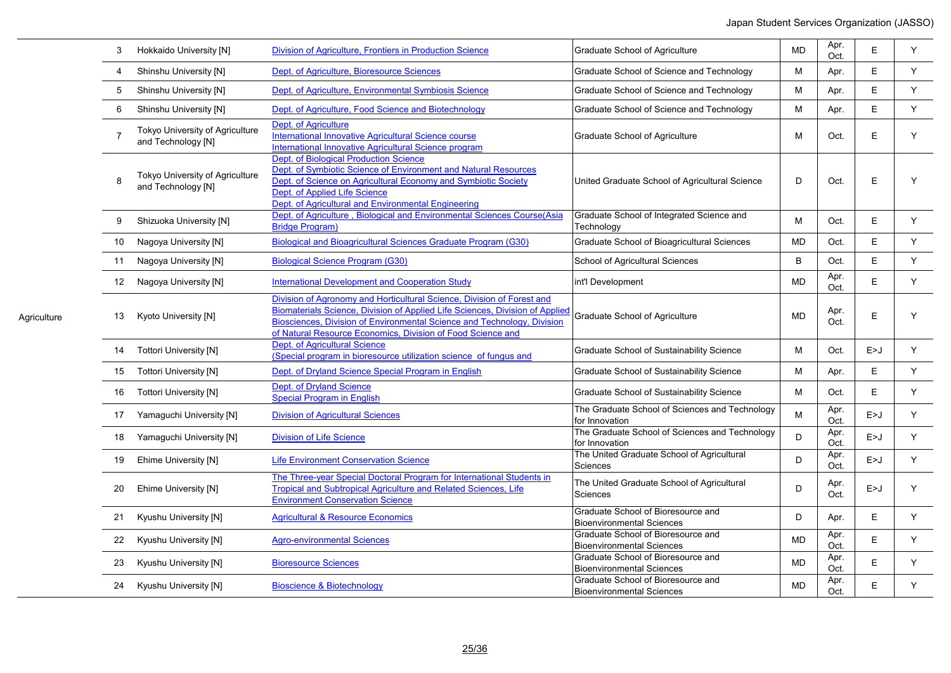| 3              | Hokkaido University [N]                               | Division of Agriculture, Frontiers in Production Science                                                                                                                                                                                                                                         | <b>Graduate School of Agriculture</b>                                  | <b>MD</b> | Apr.<br>Oct. | E     | Y |
|----------------|-------------------------------------------------------|--------------------------------------------------------------------------------------------------------------------------------------------------------------------------------------------------------------------------------------------------------------------------------------------------|------------------------------------------------------------------------|-----------|--------------|-------|---|
| 4              | Shinshu University [N]                                | Dept. of Agriculture, Bioresource Sciences                                                                                                                                                                                                                                                       | Graduate School of Science and Technology                              | M         | Apr.         | E     | Y |
| 5              | Shinshu University [N]                                | Dept. of Agriculture, Environmental Symbiosis Science                                                                                                                                                                                                                                            | Graduate School of Science and Technology                              | M         | Apr.         | E     | Y |
| 6              | Shinshu University [N]                                | Dept. of Agriculture, Food Science and Biotechnology                                                                                                                                                                                                                                             | Graduate School of Science and Technology                              | M         | Apr.         | E     | Y |
| $\overline{7}$ | Tokyo University of Agriculture<br>and Technology [N] | <b>Dept. of Agriculture</b><br>International Innovative Agricultural Science course<br>International Innovative Agricultural Science program                                                                                                                                                     | Graduate School of Agriculture                                         | M         | Oct.         | E     | Υ |
| 8              | Tokyo University of Agriculture<br>and Technology [N] | <b>Dept. of Biological Production Science</b><br>Dept. of Symbiotic Science of Environment and Natural Resources<br>Dept. of Science on Agricultural Economy and Symbiotic Society<br>Dept. of Applied Life Science<br>Dept. of Agricultural and Environmental Engineering                       | United Graduate School of Agricultural Science                         | D         | Oct.         | E     | Y |
| 9              | Shizuoka University [N]                               | Dept. of Agriculture, Biological and Environmental Sciences Course(Asia<br><b>Bridge Program)</b>                                                                                                                                                                                                | Graduate School of Integrated Science and<br>Technology                | M         | Oct.         | Е     | Y |
| 10             | Nagoya University [N]                                 | <b>Biological and Bioagricultural Sciences Graduate Program (G30)</b>                                                                                                                                                                                                                            | Graduate School of Bioagricultural Sciences                            | <b>MD</b> | Oct.         | E     | Y |
| 11             | Nagoya University [N]                                 | <b>Biological Science Program (G30)</b>                                                                                                                                                                                                                                                          | School of Agricultural Sciences                                        | B         | Oct.         | E     | Y |
| 12             | Nagoya University [N]                                 | <b>International Development and Cooperation Study</b>                                                                                                                                                                                                                                           | int'l Development                                                      | <b>MD</b> | Apr.<br>Oct. | E     | Y |
| 13             | Kyoto University [N]                                  | Division of Agronomy and Horticultural Science. Division of Forest and<br>Biomaterials Science, Division of Applied Life Sciences, Division of Applied<br>Biosciences, Division of Environmental Science and Technology, Division<br>of Natural Resource Economics, Division of Food Science and | Graduate School of Agriculture                                         | <b>MD</b> | Apr.<br>Oct. | E     | Y |
| 14             | <b>Tottori University [N]</b>                         | <b>Dept. of Agricultural Science</b><br>(Special program in bioresource utilization science of fungus and                                                                                                                                                                                        | Graduate School of Sustainability Science                              | M         | Oct.         | E>J   | Y |
| 15             | <b>Tottori University [N]</b>                         | Dept. of Dryland Science Special Program in English                                                                                                                                                                                                                                              | Graduate School of Sustainability Science                              | M         | Apr.         | Е     | Y |
| 16             | <b>Tottori University [N]</b>                         | <b>Dept. of Dryland Science</b><br><b>Special Program in English</b>                                                                                                                                                                                                                             | Graduate School of Sustainability Science                              | M         | Oct.         | E     | Y |
| 17             | Yamaguchi University [N]                              | <b>Division of Agricultural Sciences</b>                                                                                                                                                                                                                                                         | The Graduate School of Sciences and Technology<br>for Innovation       | M         | Apr.<br>Oct. | E > J | Y |
| 18             | Yamaguchi University [N]                              | <b>Division of Life Science</b>                                                                                                                                                                                                                                                                  | The Graduate School of Sciences and Technology<br>for Innovation       | D         | Apr.<br>Oct. | E > J | Y |
| 19             | Ehime University [N]                                  | <b>Life Environment Conservation Science</b>                                                                                                                                                                                                                                                     | The United Graduate School of Agricultural<br>Sciences                 | D         | Apr.<br>Oct. | E > J | Υ |
| 20             | Ehime University [N]                                  | The Three-vear Special Doctoral Program for International Students in<br>Tropical and Subtropical Agriculture and Related Sciences, Life<br><b>Environment Conservation Science</b>                                                                                                              | The United Graduate School of Agricultural<br>Sciences                 | D         | Apr.<br>Oct. | E>J   | Υ |
| 21             | Kyushu University [N]                                 | <b>Agricultural &amp; Resource Economics</b>                                                                                                                                                                                                                                                     | Graduate School of Bioresource and<br><b>Bioenvironmental Sciences</b> | D         | Apr.         | E     | Y |
| 22             | Kyushu University [N]                                 | <b>Agro-environmental Sciences</b>                                                                                                                                                                                                                                                               | Graduate School of Bioresource and<br><b>Bioenvironmental Sciences</b> | <b>MD</b> | Apr.<br>Oct. | E     | Y |
| 23             | Kyushu University [N]                                 | <b>Bioresource Sciences</b>                                                                                                                                                                                                                                                                      | Graduate School of Bioresource and<br><b>Bioenvironmental Sciences</b> | <b>MD</b> | Apr.<br>Oct. | E     | Y |
| 24             | Kyushu University [N]                                 | <b>Bioscience &amp; Biotechnology</b>                                                                                                                                                                                                                                                            | Graduate School of Bioresource and<br><b>Bioenvironmental Sciences</b> | <b>MD</b> | Apr.<br>Oct. | E     | Y |

Agriculture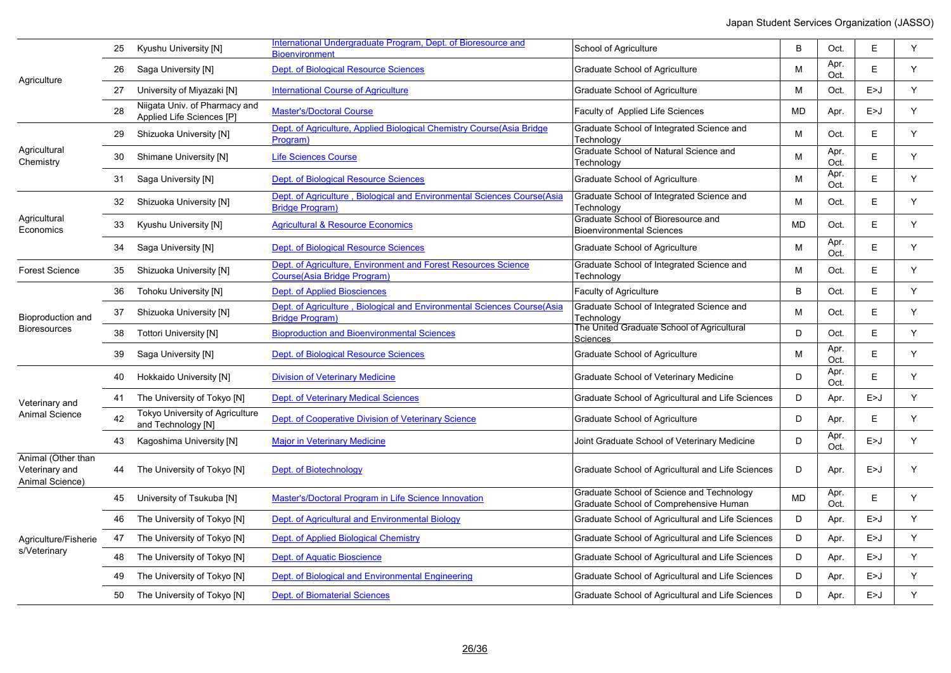|                                                         | 25 | Kyushu University [N]                                      | International Undergraduate Program, Dept. of Bioresource and<br><b>Bioenvironment</b>               | School of Agriculture                                                               | B         | Oct.         | E     | Y  |
|---------------------------------------------------------|----|------------------------------------------------------------|------------------------------------------------------------------------------------------------------|-------------------------------------------------------------------------------------|-----------|--------------|-------|----|
| Agriculture                                             | 26 | Saga University [N]                                        | Dept. of Biological Resource Sciences                                                                | Graduate School of Agriculture                                                      | м         | Apr.<br>Oct. | E     | Y  |
|                                                         | 27 | University of Miyazaki [N]                                 | <b>International Course of Agriculture</b>                                                           | Graduate School of Agriculture                                                      | M         | Oct.         | E>J   | Y  |
|                                                         | 28 | Niigata Univ. of Pharmacy and<br>Applied Life Sciences [P] | <b>Master's/Doctoral Course</b>                                                                      | Faculty of Applied Life Sciences                                                    | <b>MD</b> | Apr.         | E>J   | Y  |
|                                                         | 29 | Shizuoka University [N]                                    | Dept. of Agriculture, Applied Biological Chemistry Course(Asia Bridge<br>Program)                    | Graduate School of Integrated Science and<br>Technology                             | м         | Oct.         | E     | Y  |
| Agricultural<br>Chemistry                               | 30 | Shimane University [N]                                     | <b>Life Sciences Course</b>                                                                          | Graduate School of Natural Science and<br>Technology                                | M         | Apr.<br>Oct. | E.    | Y  |
|                                                         | 31 | Saga University [N]                                        | <b>Dept. of Biological Resource Sciences</b>                                                         | <b>Graduate School of Agriculture</b>                                               | M         | Apr.<br>Oct. | E     | Y  |
|                                                         | 32 | Shizuoka University [N]                                    | Dept. of Agriculture, Biological and Environmental Sciences Course(Asia<br><b>Bridge Program)</b>    | Graduate School of Integrated Science and<br>Technology                             | M         | Oct.         | E.    | Y  |
| Agricultural<br>Economics                               | 33 | Kyushu University [N]                                      | <b>Agricultural &amp; Resource Economics</b>                                                         | Graduate School of Bioresource and<br><b>Bioenvironmental Sciences</b>              | <b>MD</b> | Oct.         | E     | Y  |
|                                                         | 34 | Saga University [N]                                        | <b>Dept. of Biological Resource Sciences</b>                                                         | Graduate School of Agriculture                                                      | M         | Apr.<br>Oct. | E     | Y  |
| <b>Forest Science</b>                                   | 35 | Shizuoka University [N]                                    | Dept. of Agriculture, Environment and Forest Resources Science<br><b>Course(Asia Bridge Program)</b> | Graduate School of Integrated Science and<br>Technology                             | M         | Oct.         | E     | Y  |
|                                                         | 36 | Tohoku University [N]                                      | <b>Dept. of Applied Biosciences</b>                                                                  | Faculty of Agriculture                                                              | B         | Oct.         | E.    | Y  |
| Bioproduction and<br>Bioresources                       | 37 | Shizuoka University [N]                                    | Dept. of Agriculture, Biological and Environmental Sciences Course(Asia<br><b>Bridge Program)</b>    | Graduate School of Integrated Science and<br>Technology                             | м         | Oct.         | E     | Y  |
|                                                         | 38 | Tottori University [N]                                     | <b>Bioproduction and Bioenvironmental Sciences</b>                                                   | The United Graduate School of Agricultural<br>Sciences                              | D         | Oct.         | E     | Y  |
|                                                         | 39 | Saga University [N]                                        | Dept. of Biological Resource Sciences                                                                | Graduate School of Agriculture                                                      | м         | Apr.<br>Oct. | E     | Y  |
|                                                         | 40 | Hokkaido University [N]                                    | <b>Division of Veterinary Medicine</b>                                                               | Graduate School of Veterinary Medicine                                              | D         | Apr.<br>Oct. | E     | Y  |
| Veterinary and                                          | 41 | The University of Tokyo [N]                                | <b>Dept. of Veterinary Medical Sciences</b>                                                          | Graduate School of Agricultural and Life Sciences                                   | D         | Apr.         | E>J   | Y  |
| <b>Animal Science</b>                                   | 42 | Tokyo University of Agriculture<br>and Technology [N]      | Dept. of Cooperative Division of Veterinary Science                                                  | Graduate School of Agriculture                                                      | D         | Apr.         | Е     | Y  |
|                                                         | 43 | Kagoshima University [N]                                   | <b>Major in Veterinary Medicine</b>                                                                  | Joint Graduate School of Veterinary Medicine                                        | D         | Apr.<br>Oct. | E > J | Y  |
| Animal (Other than<br>Veterinary and<br>Animal Science) | 44 | The University of Tokyo [N]                                | Dept. of Biotechnology                                                                               | Graduate School of Agricultural and Life Sciences                                   | D         | Apr.         | E > J | Y  |
|                                                         | 45 | University of Tsukuba [N]                                  | Master's/Doctoral Program in Life Science Innovation                                                 | Graduate School of Science and Technology<br>Graduate School of Comprehensive Human | <b>MD</b> | Apr.<br>Oct. | E     | Y  |
|                                                         | 46 | The University of Tokyo [N]                                | Dept. of Agricultural and Environmental Biology                                                      | Graduate School of Agricultural and Life Sciences                                   | D         | Apr.         | E>J   | Y  |
| Agriculture/Fisherie                                    | 47 | The University of Tokyo [N]                                | Dept. of Applied Biological Chemistry                                                                | Graduate School of Agricultural and Life Sciences                                   | D         | Apr.         | E > J | Y  |
| s/Veterinary                                            | 48 | The University of Tokyo [N]                                | <b>Dept. of Aquatic Bioscience</b>                                                                   | Graduate School of Agricultural and Life Sciences                                   | D         | Apr.         | E>J   | Y  |
|                                                         | 49 | The University of Tokyo [N]                                | Dept. of Biological and Environmental Engineering                                                    | Graduate School of Agricultural and Life Sciences                                   | D         | Apr.         | E>J   | Y. |
|                                                         | 50 | The University of Tokyo [N]                                | <b>Dept. of Biomaterial Sciences</b>                                                                 | Graduate School of Agricultural and Life Sciences                                   | D         | Apr.         | E>J   | Y  |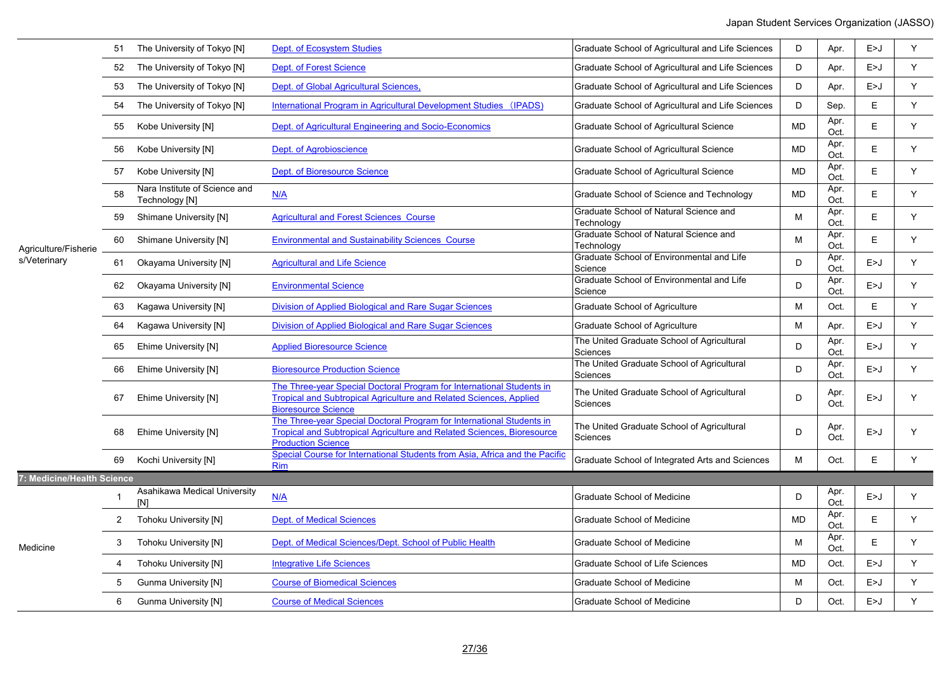|                            |              | The University of Tokyo [N]                     | <b>Dept. of Ecosystem Studies</b>                                                                                                                                            | Graduate School of Agricultural and Life Sciences      | D         | Apr.         | E > J | Υ |
|----------------------------|--------------|-------------------------------------------------|------------------------------------------------------------------------------------------------------------------------------------------------------------------------------|--------------------------------------------------------|-----------|--------------|-------|---|
|                            | 52           | The University of Tokyo [N]                     | <b>Dept. of Forest Science</b>                                                                                                                                               | Graduate School of Agricultural and Life Sciences      | D         | Apr.         | E > J | Y |
|                            | 53           | The University of Tokyo [N]                     | Dept. of Global Agricultural Sciences,                                                                                                                                       | Graduate School of Agricultural and Life Sciences      | D         | Apr.         | E > J | Υ |
|                            | 54           | The University of Tokyo [N]                     | International Program in Agricultural Development Studies (IPADS)                                                                                                            | Graduate School of Agricultural and Life Sciences      | D         | Sep.         | E.    | Υ |
|                            | 55           | Kobe University [N]                             | Dept. of Agricultural Engineering and Socio-Economics                                                                                                                        | Graduate School of Agricultural Science                | <b>MD</b> | Apr.<br>Oct. | Ε     | Y |
|                            | 56           | Kobe University [N]                             | Dept. of Agrobioscience                                                                                                                                                      | Graduate School of Agricultural Science                | <b>MD</b> | Apr.<br>Oct. | E     | Y |
|                            | 57           | Kobe University [N]                             | <b>Dept. of Bioresource Science</b>                                                                                                                                          | Graduate School of Agricultural Science                | MD        | Apr.<br>Oct. | Е     | Y |
|                            | 58           | Nara Institute of Science and<br>Technology [N] | N/A                                                                                                                                                                          | Graduate School of Science and Technology              | MD        | Apr.<br>Oct. | E     | Y |
|                            | 59           | Shimane University [N]                          | <b>Agricultural and Forest Sciences Course</b>                                                                                                                               | Graduate School of Natural Science and<br>Technology   | M         | Apr.<br>Oct. | Е     | Y |
| Agriculture/Fisherie       | 60           | <b>Shimane University [N]</b>                   | <b>Environmental and Sustainability Sciences Course</b>                                                                                                                      | Graduate School of Natural Science and<br>Technology   | м         | Apr.<br>Oct. | E     | Y |
| s/Veterinary               | 61           | Okayama University [N]                          | <b>Agricultural and Life Science</b>                                                                                                                                         | Graduate School of Environmental and Life<br>Science   | D         | Apr.<br>Oct. | E>J   | Y |
|                            | 62           | Okayama University [N]                          | <b>Environmental Science</b>                                                                                                                                                 | Graduate School of Environmental and Life<br>Science   | D         | Apr.<br>Oct. | E>J   | Y |
|                            | 63           | Kagawa University [N]                           | Division of Applied Biological and Rare Sugar Sciences                                                                                                                       | Graduate School of Agriculture                         | M         | Oct.         | Ε     | Υ |
|                            | 64           | Kagawa University [N]                           | Division of Applied Biological and Rare Sugar Sciences                                                                                                                       | Graduate School of Agriculture                         | M         | Apr.         | E>J   | Υ |
|                            | 65           | Ehime University [N]                            | <b>Applied Bioresource Science</b>                                                                                                                                           | The United Graduate School of Agricultural<br>Sciences | D         | Apr.<br>Oct. | E > J | Y |
|                            | 66           | Ehime University [N]                            | <b>Bioresource Production Science</b>                                                                                                                                        | The United Graduate School of Agricultural<br>Sciences | D         | Apr.<br>Oct. | E>J   | Y |
|                            | 67           | Ehime University [N]                            | The Three-year Special Doctoral Program for International Students in<br>Tropical and Subtropical Agriculture and Related Sciences, Applied<br><b>Bioresource Science</b>    | The United Graduate School of Agricultural<br>Sciences | D         | Apr.<br>Oct. | E>J   | Y |
|                            | 68           | Ehime University [N]                            | The Three-year Special Doctoral Program for International Students in<br>Tropical and Subtropical Agriculture and Related Sciences, Bioresource<br><b>Production Science</b> | The United Graduate School of Agricultural<br>Sciences | D         | Apr.<br>Oct. | E>J   | Υ |
|                            | 69           | Kochi University [N]                            | Special Course for International Students from Asia, Africa and the Pacific<br><b>Rim</b>                                                                                    | Graduate School of Integrated Arts and Sciences        | М         | Oct.         | Е     | Y |
| 7: Medicine/Health Science |              |                                                 |                                                                                                                                                                              |                                                        |           |              |       |   |
|                            | $\mathbf{1}$ | Asahikawa Medical University<br>[N]             | N/A                                                                                                                                                                          | Graduate School of Medicine                            | D         | Apr.<br>Oct. | E>J   | Υ |
|                            | 2            | Tohoku University [N]                           | <b>Dept. of Medical Sciences</b>                                                                                                                                             | Graduate School of Medicine                            | <b>MD</b> | Apr.<br>Oct. | E     | Y |
| Medicine                   | 3            | <b>Tohoku University [N]</b>                    | Dept. of Medical Sciences/Dept. School of Public Health                                                                                                                      | Graduate School of Medicine                            | М         | Apr.<br>Oct. | E     | Υ |
|                            | 4            | <b>Tohoku University [N]</b>                    | <b>Integrative Life Sciences</b>                                                                                                                                             | Graduate School of Life Sciences                       | <b>MD</b> | Oct.         | E > J | Y |
|                            | 5            | <b>Gunma University [N]</b>                     | <b>Course of Biomedical Sciences</b>                                                                                                                                         | Graduate School of Medicine                            | М         | Oct.         | E>J   | Y |
|                            | 6            | <b>Gunma University [N]</b>                     | <b>Course of Medical Sciences</b>                                                                                                                                            | <b>Graduate School of Medicine</b>                     | D         | Oct.         | E > J | Υ |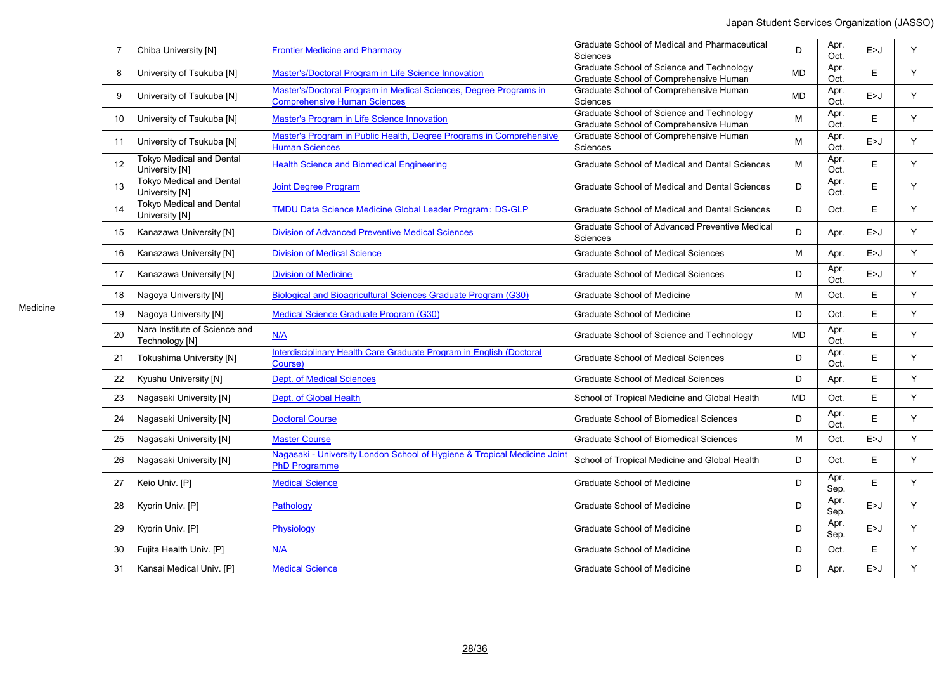| Graduate School of Science and Technology<br>Apr.<br>Y<br>Master's/Doctoral Program in Life Science Innovation<br><b>MD</b><br>E<br>8<br>University of Tsukuba [N]<br>Graduate School of Comprehensive Human<br>Oct.<br>Master's/Doctoral Program in Medical Sciences, Degree Programs in<br>Graduate School of Comprehensive Human<br>Apr.<br>Y<br>University of Tsukuba [N]<br><b>MD</b><br>E > J<br>9<br><b>Comprehensive Human Sciences</b><br>Oct.<br>Sciences<br><b>Graduate School of Science and Technology</b><br>Apr.<br>M<br>E<br>Y<br>University of Tsukuba [N]<br>Master's Program in Life Science Innovation<br>10<br>Graduate School of Comprehensive Human<br>Oct.<br>Master's Program in Public Health, Degree Programs in Comprehensive<br>Graduate School of Comprehensive Human<br>Apr.<br>Y<br>University of Tsukuba [N]<br>M<br>E > J<br>11<br><b>Human Sciences</b><br>Oct.<br>Sciences<br><b>Tokyo Medical and Dental</b><br>Apr.<br>12<br><b>Health Science and Biomedical Engineering</b><br>M<br>E<br>Y<br>Graduate School of Medical and Dental Sciences<br>University [N]<br>Oct.<br><b>Tokyo Medical and Dental</b><br>Apr.<br>Y<br>13<br><b>Joint Degree Program</b><br>Graduate School of Medical and Dental Sciences<br>D<br>E.<br>University [N]<br>Oct.<br><b>Tokyo Medical and Dental</b><br>TMDU Data Science Medicine Global Leader Program: DS-GLP<br>D<br>E<br>Y<br>14<br>Graduate School of Medical and Dental Sciences<br>Oct.<br>University [N]<br>Graduate School of Advanced Preventive Medical<br><b>Division of Advanced Preventive Medical Sciences</b><br>D<br>Y<br>15<br>Kanazawa University [N]<br>E > J<br>Apr.<br>Sciences<br>Y<br><b>Division of Medical Science</b><br><b>Graduate School of Medical Sciences</b><br>M<br>E>J<br>16<br>Kanazawa University [N]<br>Apr.<br>Apr.<br>Y<br>Kanazawa University [N]<br><b>Division of Medicine</b><br><b>Graduate School of Medical Sciences</b><br>D<br>E > J<br>17<br>Oct.<br>Y<br><b>Biological and Bioagricultural Sciences Graduate Program (G30)</b><br>E<br>Nagoya University [N]<br><b>Graduate School of Medicine</b><br>M<br>Oct.<br>18<br>E<br>Y<br>Nagoya University [N]<br>Medical Science Graduate Program (G30)<br><b>Graduate School of Medicine</b><br>D<br>19<br>Oct.<br>Nara Institute of Science and<br>Apr.<br>E<br>Y<br>N/A<br><b>MD</b><br>20<br>Graduate School of Science and Technology<br>Technology [N]<br>Oct.<br>Interdisciplinary Health Care Graduate Program in English (Doctoral<br>Apr.<br>D<br>E<br>Y<br>21<br><b>Tokushima University [N]</b><br><b>Graduate School of Medical Sciences</b><br>Course)<br>Oct.<br><b>Dept. of Medical Sciences</b><br>D<br>E<br>Y<br>22<br>Kyushu University [N]<br>Graduate School of Medical Sciences<br>Apr.<br>Y<br>Dept. of Global Health<br><b>MD</b><br>E<br>Nagasaki University [N]<br>School of Tropical Medicine and Global Health<br>Oct.<br>23<br>Apr.<br>D<br><b>Graduate School of Biomedical Sciences</b><br>E<br>Y<br>24<br>Nagasaki University [N]<br><b>Doctoral Course</b><br>Oct.<br>Y<br>Nagasaki University [N]<br><b>Graduate School of Biomedical Sciences</b><br>M<br>Oct.<br>E>J<br>25<br><b>Master Course</b><br>Nagasaki - University London School of Hygiene & Tropical Medicine Joint<br>Y<br>Nagasaki University [N]<br>School of Tropical Medicine and Global Health<br>D<br>Oct.<br>Е<br>26<br><b>PhD Programme</b><br>Apr.<br>D<br>Y<br><b>Medical Science</b><br>E<br><b>Graduate School of Medicine</b><br>27<br>Keio Univ. [P]<br>Sep.<br>Apr.<br>D<br>Y<br>Kyorin Univ. [P]<br><b>Graduate School of Medicine</b><br>E > J<br>28<br>Pathology<br>Sep.<br>Apr.<br>Y<br>Kyorin Univ. [P]<br>D<br>Physiology<br><b>Graduate School of Medicine</b><br>E > J<br>29<br>Sep.<br>Fujita Health Univ. [P]<br>D<br>E<br>Y<br>N/A<br><b>Graduate School of Medicine</b><br>Oct.<br>30<br>Y<br>D<br>Kansai Medical Univ. [P]<br><b>Medical Science</b><br><b>Graduate School of Medicine</b><br>E>J<br>31<br>Apr. | $\overline{7}$ | Chiba University [N] | <b>Frontier Medicine and Pharmacy</b> | Graduate School of Medical and Pharmaceutical<br>Sciences | D | Apr.<br>Oct. | E>J | Y |
|----------------------------------------------------------------------------------------------------------------------------------------------------------------------------------------------------------------------------------------------------------------------------------------------------------------------------------------------------------------------------------------------------------------------------------------------------------------------------------------------------------------------------------------------------------------------------------------------------------------------------------------------------------------------------------------------------------------------------------------------------------------------------------------------------------------------------------------------------------------------------------------------------------------------------------------------------------------------------------------------------------------------------------------------------------------------------------------------------------------------------------------------------------------------------------------------------------------------------------------------------------------------------------------------------------------------------------------------------------------------------------------------------------------------------------------------------------------------------------------------------------------------------------------------------------------------------------------------------------------------------------------------------------------------------------------------------------------------------------------------------------------------------------------------------------------------------------------------------------------------------------------------------------------------------------------------------------------------------------------------------------------------------------------------------------------------------------------------------------------------------------------------------------------------------------------------------------------------------------------------------------------------------------------------------------------------------------------------------------------------------------------------------------------------------------------------------------------------------------------------------------------------------------------------------------------------------------------------------------------------------------------------------------------------------------------------------------------------------------------------------------------------------------------------------------------------------------------------------------------------------------------------------------------------------------------------------------------------------------------------------------------------------------------------------------------------------------------------------------------------------------------------------------------------------------------------------------------------------------------------------------------------------------------------------------------------------------------------------------------------------------------------------------------------------------------------------------------------------------------------------------------------------------------------------------------------------------------------------------------------------------------------------------------------------------------------------------------------------------------------------------------------------------------------------------------------------------------------------------------------------------------------------------------------------------------------------------------------------------------------------------------------|----------------|----------------------|---------------------------------------|-----------------------------------------------------------|---|--------------|-----|---|
|                                                                                                                                                                                                                                                                                                                                                                                                                                                                                                                                                                                                                                                                                                                                                                                                                                                                                                                                                                                                                                                                                                                                                                                                                                                                                                                                                                                                                                                                                                                                                                                                                                                                                                                                                                                                                                                                                                                                                                                                                                                                                                                                                                                                                                                                                                                                                                                                                                                                                                                                                                                                                                                                                                                                                                                                                                                                                                                                                                                                                                                                                                                                                                                                                                                                                                                                                                                                                                                                                                                                                                                                                                                                                                                                                                                                                                                                                                                                                                                                                      |                |                      |                                       |                                                           |   |              |     |   |
|                                                                                                                                                                                                                                                                                                                                                                                                                                                                                                                                                                                                                                                                                                                                                                                                                                                                                                                                                                                                                                                                                                                                                                                                                                                                                                                                                                                                                                                                                                                                                                                                                                                                                                                                                                                                                                                                                                                                                                                                                                                                                                                                                                                                                                                                                                                                                                                                                                                                                                                                                                                                                                                                                                                                                                                                                                                                                                                                                                                                                                                                                                                                                                                                                                                                                                                                                                                                                                                                                                                                                                                                                                                                                                                                                                                                                                                                                                                                                                                                                      |                |                      |                                       |                                                           |   |              |     |   |
|                                                                                                                                                                                                                                                                                                                                                                                                                                                                                                                                                                                                                                                                                                                                                                                                                                                                                                                                                                                                                                                                                                                                                                                                                                                                                                                                                                                                                                                                                                                                                                                                                                                                                                                                                                                                                                                                                                                                                                                                                                                                                                                                                                                                                                                                                                                                                                                                                                                                                                                                                                                                                                                                                                                                                                                                                                                                                                                                                                                                                                                                                                                                                                                                                                                                                                                                                                                                                                                                                                                                                                                                                                                                                                                                                                                                                                                                                                                                                                                                                      |                |                      |                                       |                                                           |   |              |     |   |
|                                                                                                                                                                                                                                                                                                                                                                                                                                                                                                                                                                                                                                                                                                                                                                                                                                                                                                                                                                                                                                                                                                                                                                                                                                                                                                                                                                                                                                                                                                                                                                                                                                                                                                                                                                                                                                                                                                                                                                                                                                                                                                                                                                                                                                                                                                                                                                                                                                                                                                                                                                                                                                                                                                                                                                                                                                                                                                                                                                                                                                                                                                                                                                                                                                                                                                                                                                                                                                                                                                                                                                                                                                                                                                                                                                                                                                                                                                                                                                                                                      |                |                      |                                       |                                                           |   |              |     |   |
|                                                                                                                                                                                                                                                                                                                                                                                                                                                                                                                                                                                                                                                                                                                                                                                                                                                                                                                                                                                                                                                                                                                                                                                                                                                                                                                                                                                                                                                                                                                                                                                                                                                                                                                                                                                                                                                                                                                                                                                                                                                                                                                                                                                                                                                                                                                                                                                                                                                                                                                                                                                                                                                                                                                                                                                                                                                                                                                                                                                                                                                                                                                                                                                                                                                                                                                                                                                                                                                                                                                                                                                                                                                                                                                                                                                                                                                                                                                                                                                                                      |                |                      |                                       |                                                           |   |              |     |   |
|                                                                                                                                                                                                                                                                                                                                                                                                                                                                                                                                                                                                                                                                                                                                                                                                                                                                                                                                                                                                                                                                                                                                                                                                                                                                                                                                                                                                                                                                                                                                                                                                                                                                                                                                                                                                                                                                                                                                                                                                                                                                                                                                                                                                                                                                                                                                                                                                                                                                                                                                                                                                                                                                                                                                                                                                                                                                                                                                                                                                                                                                                                                                                                                                                                                                                                                                                                                                                                                                                                                                                                                                                                                                                                                                                                                                                                                                                                                                                                                                                      |                |                      |                                       |                                                           |   |              |     |   |
|                                                                                                                                                                                                                                                                                                                                                                                                                                                                                                                                                                                                                                                                                                                                                                                                                                                                                                                                                                                                                                                                                                                                                                                                                                                                                                                                                                                                                                                                                                                                                                                                                                                                                                                                                                                                                                                                                                                                                                                                                                                                                                                                                                                                                                                                                                                                                                                                                                                                                                                                                                                                                                                                                                                                                                                                                                                                                                                                                                                                                                                                                                                                                                                                                                                                                                                                                                                                                                                                                                                                                                                                                                                                                                                                                                                                                                                                                                                                                                                                                      |                |                      |                                       |                                                           |   |              |     |   |
|                                                                                                                                                                                                                                                                                                                                                                                                                                                                                                                                                                                                                                                                                                                                                                                                                                                                                                                                                                                                                                                                                                                                                                                                                                                                                                                                                                                                                                                                                                                                                                                                                                                                                                                                                                                                                                                                                                                                                                                                                                                                                                                                                                                                                                                                                                                                                                                                                                                                                                                                                                                                                                                                                                                                                                                                                                                                                                                                                                                                                                                                                                                                                                                                                                                                                                                                                                                                                                                                                                                                                                                                                                                                                                                                                                                                                                                                                                                                                                                                                      |                |                      |                                       |                                                           |   |              |     |   |
|                                                                                                                                                                                                                                                                                                                                                                                                                                                                                                                                                                                                                                                                                                                                                                                                                                                                                                                                                                                                                                                                                                                                                                                                                                                                                                                                                                                                                                                                                                                                                                                                                                                                                                                                                                                                                                                                                                                                                                                                                                                                                                                                                                                                                                                                                                                                                                                                                                                                                                                                                                                                                                                                                                                                                                                                                                                                                                                                                                                                                                                                                                                                                                                                                                                                                                                                                                                                                                                                                                                                                                                                                                                                                                                                                                                                                                                                                                                                                                                                                      |                |                      |                                       |                                                           |   |              |     |   |
|                                                                                                                                                                                                                                                                                                                                                                                                                                                                                                                                                                                                                                                                                                                                                                                                                                                                                                                                                                                                                                                                                                                                                                                                                                                                                                                                                                                                                                                                                                                                                                                                                                                                                                                                                                                                                                                                                                                                                                                                                                                                                                                                                                                                                                                                                                                                                                                                                                                                                                                                                                                                                                                                                                                                                                                                                                                                                                                                                                                                                                                                                                                                                                                                                                                                                                                                                                                                                                                                                                                                                                                                                                                                                                                                                                                                                                                                                                                                                                                                                      |                |                      |                                       |                                                           |   |              |     |   |
|                                                                                                                                                                                                                                                                                                                                                                                                                                                                                                                                                                                                                                                                                                                                                                                                                                                                                                                                                                                                                                                                                                                                                                                                                                                                                                                                                                                                                                                                                                                                                                                                                                                                                                                                                                                                                                                                                                                                                                                                                                                                                                                                                                                                                                                                                                                                                                                                                                                                                                                                                                                                                                                                                                                                                                                                                                                                                                                                                                                                                                                                                                                                                                                                                                                                                                                                                                                                                                                                                                                                                                                                                                                                                                                                                                                                                                                                                                                                                                                                                      |                |                      |                                       |                                                           |   |              |     |   |
|                                                                                                                                                                                                                                                                                                                                                                                                                                                                                                                                                                                                                                                                                                                                                                                                                                                                                                                                                                                                                                                                                                                                                                                                                                                                                                                                                                                                                                                                                                                                                                                                                                                                                                                                                                                                                                                                                                                                                                                                                                                                                                                                                                                                                                                                                                                                                                                                                                                                                                                                                                                                                                                                                                                                                                                                                                                                                                                                                                                                                                                                                                                                                                                                                                                                                                                                                                                                                                                                                                                                                                                                                                                                                                                                                                                                                                                                                                                                                                                                                      |                |                      |                                       |                                                           |   |              |     |   |
|                                                                                                                                                                                                                                                                                                                                                                                                                                                                                                                                                                                                                                                                                                                                                                                                                                                                                                                                                                                                                                                                                                                                                                                                                                                                                                                                                                                                                                                                                                                                                                                                                                                                                                                                                                                                                                                                                                                                                                                                                                                                                                                                                                                                                                                                                                                                                                                                                                                                                                                                                                                                                                                                                                                                                                                                                                                                                                                                                                                                                                                                                                                                                                                                                                                                                                                                                                                                                                                                                                                                                                                                                                                                                                                                                                                                                                                                                                                                                                                                                      |                |                      |                                       |                                                           |   |              |     |   |
|                                                                                                                                                                                                                                                                                                                                                                                                                                                                                                                                                                                                                                                                                                                                                                                                                                                                                                                                                                                                                                                                                                                                                                                                                                                                                                                                                                                                                                                                                                                                                                                                                                                                                                                                                                                                                                                                                                                                                                                                                                                                                                                                                                                                                                                                                                                                                                                                                                                                                                                                                                                                                                                                                                                                                                                                                                                                                                                                                                                                                                                                                                                                                                                                                                                                                                                                                                                                                                                                                                                                                                                                                                                                                                                                                                                                                                                                                                                                                                                                                      |                |                      |                                       |                                                           |   |              |     |   |
|                                                                                                                                                                                                                                                                                                                                                                                                                                                                                                                                                                                                                                                                                                                                                                                                                                                                                                                                                                                                                                                                                                                                                                                                                                                                                                                                                                                                                                                                                                                                                                                                                                                                                                                                                                                                                                                                                                                                                                                                                                                                                                                                                                                                                                                                                                                                                                                                                                                                                                                                                                                                                                                                                                                                                                                                                                                                                                                                                                                                                                                                                                                                                                                                                                                                                                                                                                                                                                                                                                                                                                                                                                                                                                                                                                                                                                                                                                                                                                                                                      |                |                      |                                       |                                                           |   |              |     |   |
|                                                                                                                                                                                                                                                                                                                                                                                                                                                                                                                                                                                                                                                                                                                                                                                                                                                                                                                                                                                                                                                                                                                                                                                                                                                                                                                                                                                                                                                                                                                                                                                                                                                                                                                                                                                                                                                                                                                                                                                                                                                                                                                                                                                                                                                                                                                                                                                                                                                                                                                                                                                                                                                                                                                                                                                                                                                                                                                                                                                                                                                                                                                                                                                                                                                                                                                                                                                                                                                                                                                                                                                                                                                                                                                                                                                                                                                                                                                                                                                                                      |                |                      |                                       |                                                           |   |              |     |   |
|                                                                                                                                                                                                                                                                                                                                                                                                                                                                                                                                                                                                                                                                                                                                                                                                                                                                                                                                                                                                                                                                                                                                                                                                                                                                                                                                                                                                                                                                                                                                                                                                                                                                                                                                                                                                                                                                                                                                                                                                                                                                                                                                                                                                                                                                                                                                                                                                                                                                                                                                                                                                                                                                                                                                                                                                                                                                                                                                                                                                                                                                                                                                                                                                                                                                                                                                                                                                                                                                                                                                                                                                                                                                                                                                                                                                                                                                                                                                                                                                                      |                |                      |                                       |                                                           |   |              |     |   |
|                                                                                                                                                                                                                                                                                                                                                                                                                                                                                                                                                                                                                                                                                                                                                                                                                                                                                                                                                                                                                                                                                                                                                                                                                                                                                                                                                                                                                                                                                                                                                                                                                                                                                                                                                                                                                                                                                                                                                                                                                                                                                                                                                                                                                                                                                                                                                                                                                                                                                                                                                                                                                                                                                                                                                                                                                                                                                                                                                                                                                                                                                                                                                                                                                                                                                                                                                                                                                                                                                                                                                                                                                                                                                                                                                                                                                                                                                                                                                                                                                      |                |                      |                                       |                                                           |   |              |     |   |
|                                                                                                                                                                                                                                                                                                                                                                                                                                                                                                                                                                                                                                                                                                                                                                                                                                                                                                                                                                                                                                                                                                                                                                                                                                                                                                                                                                                                                                                                                                                                                                                                                                                                                                                                                                                                                                                                                                                                                                                                                                                                                                                                                                                                                                                                                                                                                                                                                                                                                                                                                                                                                                                                                                                                                                                                                                                                                                                                                                                                                                                                                                                                                                                                                                                                                                                                                                                                                                                                                                                                                                                                                                                                                                                                                                                                                                                                                                                                                                                                                      |                |                      |                                       |                                                           |   |              |     |   |
|                                                                                                                                                                                                                                                                                                                                                                                                                                                                                                                                                                                                                                                                                                                                                                                                                                                                                                                                                                                                                                                                                                                                                                                                                                                                                                                                                                                                                                                                                                                                                                                                                                                                                                                                                                                                                                                                                                                                                                                                                                                                                                                                                                                                                                                                                                                                                                                                                                                                                                                                                                                                                                                                                                                                                                                                                                                                                                                                                                                                                                                                                                                                                                                                                                                                                                                                                                                                                                                                                                                                                                                                                                                                                                                                                                                                                                                                                                                                                                                                                      |                |                      |                                       |                                                           |   |              |     |   |
|                                                                                                                                                                                                                                                                                                                                                                                                                                                                                                                                                                                                                                                                                                                                                                                                                                                                                                                                                                                                                                                                                                                                                                                                                                                                                                                                                                                                                                                                                                                                                                                                                                                                                                                                                                                                                                                                                                                                                                                                                                                                                                                                                                                                                                                                                                                                                                                                                                                                                                                                                                                                                                                                                                                                                                                                                                                                                                                                                                                                                                                                                                                                                                                                                                                                                                                                                                                                                                                                                                                                                                                                                                                                                                                                                                                                                                                                                                                                                                                                                      |                |                      |                                       |                                                           |   |              |     |   |
|                                                                                                                                                                                                                                                                                                                                                                                                                                                                                                                                                                                                                                                                                                                                                                                                                                                                                                                                                                                                                                                                                                                                                                                                                                                                                                                                                                                                                                                                                                                                                                                                                                                                                                                                                                                                                                                                                                                                                                                                                                                                                                                                                                                                                                                                                                                                                                                                                                                                                                                                                                                                                                                                                                                                                                                                                                                                                                                                                                                                                                                                                                                                                                                                                                                                                                                                                                                                                                                                                                                                                                                                                                                                                                                                                                                                                                                                                                                                                                                                                      |                |                      |                                       |                                                           |   |              |     |   |
|                                                                                                                                                                                                                                                                                                                                                                                                                                                                                                                                                                                                                                                                                                                                                                                                                                                                                                                                                                                                                                                                                                                                                                                                                                                                                                                                                                                                                                                                                                                                                                                                                                                                                                                                                                                                                                                                                                                                                                                                                                                                                                                                                                                                                                                                                                                                                                                                                                                                                                                                                                                                                                                                                                                                                                                                                                                                                                                                                                                                                                                                                                                                                                                                                                                                                                                                                                                                                                                                                                                                                                                                                                                                                                                                                                                                                                                                                                                                                                                                                      |                |                      |                                       |                                                           |   |              |     |   |
|                                                                                                                                                                                                                                                                                                                                                                                                                                                                                                                                                                                                                                                                                                                                                                                                                                                                                                                                                                                                                                                                                                                                                                                                                                                                                                                                                                                                                                                                                                                                                                                                                                                                                                                                                                                                                                                                                                                                                                                                                                                                                                                                                                                                                                                                                                                                                                                                                                                                                                                                                                                                                                                                                                                                                                                                                                                                                                                                                                                                                                                                                                                                                                                                                                                                                                                                                                                                                                                                                                                                                                                                                                                                                                                                                                                                                                                                                                                                                                                                                      |                |                      |                                       |                                                           |   |              |     |   |

Medicine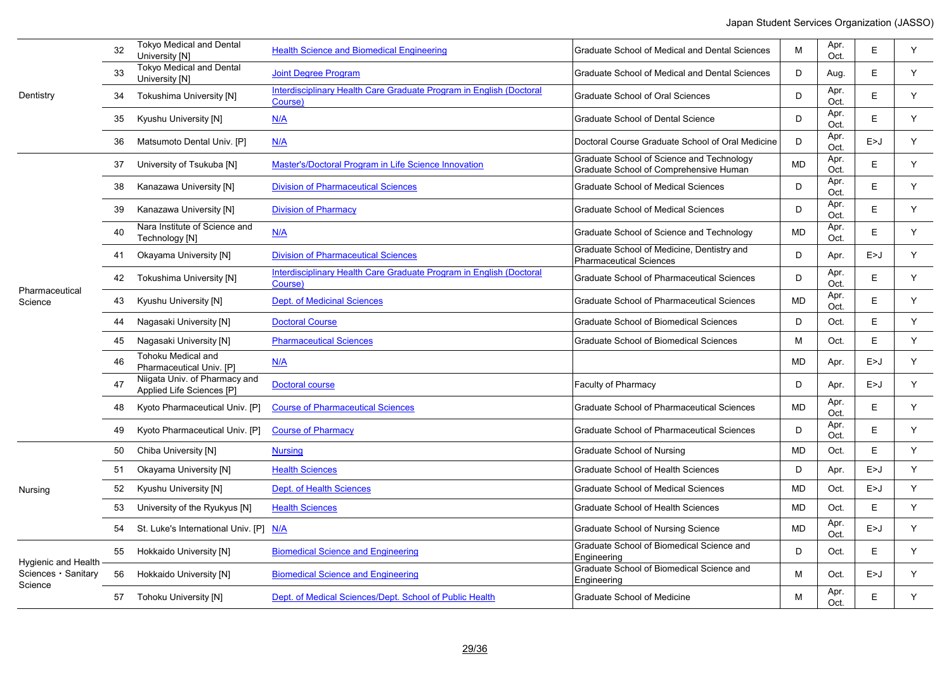|                                | 32 | <b>Tokyo Medical and Dental</b><br>University [N]          | <b>Health Science and Biomedical Engineering</b>                               | Graduate School of Medical and Dental Sciences                                      | M         | Apr.<br>Oct. | E     | Y |
|--------------------------------|----|------------------------------------------------------------|--------------------------------------------------------------------------------|-------------------------------------------------------------------------------------|-----------|--------------|-------|---|
|                                | 33 | <b>Tokyo Medical and Dental</b><br>University [N]          | <b>Joint Degree Program</b>                                                    | Graduate School of Medical and Dental Sciences                                      | D         | Aug.         | E.    | Y |
| Dentistry                      | 34 | Tokushima University [N]                                   | Interdisciplinary Health Care Graduate Program in English (Doctoral<br>Course) | <b>Graduate School of Oral Sciences</b>                                             | D         | Apr.<br>Oct. | E     | Y |
|                                | 35 | Kyushu University [N]                                      | N/A                                                                            | <b>Graduate School of Dental Science</b>                                            | D         | Apr.<br>Oct. | E     | Y |
|                                | 36 | Matsumoto Dental Univ. [P]                                 | N/A                                                                            | Doctoral Course Graduate School of Oral Medicine                                    | D         | Apr.<br>Oct. | E>J   | Y |
|                                | 37 | University of Tsukuba [N]                                  | Master's/Doctoral Program in Life Science Innovation                           | Graduate School of Science and Technology<br>Graduate School of Comprehensive Human | <b>MD</b> | Apr.<br>Oct. | E     | Y |
|                                | 38 | Kanazawa University [N]                                    | <b>Division of Pharmaceutical Sciences</b>                                     | <b>Graduate School of Medical Sciences</b>                                          | D         | Apr.<br>Oct. | E.    | Y |
|                                | 39 | Kanazawa University [N]                                    | <b>Division of Pharmacy</b>                                                    | <b>Graduate School of Medical Sciences</b>                                          | D         | Apr.<br>Oct. | E     | Y |
|                                | 40 | Nara Institute of Science and<br>Technology [N]            | N/A                                                                            | Graduate School of Science and Technology                                           | <b>MD</b> | Apr.<br>Oct. | E.    | Y |
|                                | 41 | Okayama University [N]                                     | <b>Division of Pharmaceutical Sciences</b>                                     | Graduate School of Medicine, Dentistry and<br><b>Pharmaceutical Sciences</b>        | D         | Apr.         | E > J | Y |
|                                | 42 | Tokushima University [N]                                   | Interdisciplinary Health Care Graduate Program in English (Doctoral<br>Course) | <b>Graduate School of Pharmaceutical Sciences</b>                                   | D         | Apr.<br>Oct. | E.    | Y |
| Pharmaceutical<br>Science      | 43 | Kyushu University [N]                                      | <b>Dept. of Medicinal Sciences</b>                                             | <b>Graduate School of Pharmaceutical Sciences</b>                                   | <b>MD</b> | Apr.<br>Oct. | E.    | Y |
|                                | 44 | Nagasaki University [N]                                    | <b>Doctoral Course</b>                                                         | <b>Graduate School of Biomedical Sciences</b>                                       | D         | Oct.         | E     | Y |
|                                | 45 | Nagasaki University [N]                                    | <b>Pharmaceutical Sciences</b>                                                 | <b>Graduate School of Biomedical Sciences</b>                                       | M         | Oct.         | E     | Y |
|                                | 46 | <b>Tohoku Medical and</b><br>Pharmaceutical Univ. [P]      | N/A                                                                            |                                                                                     | <b>MD</b> | Apr.         | E>J   | Y |
|                                | 47 | Niigata Univ. of Pharmacy and<br>Applied Life Sciences [P] | Doctoral course                                                                | Faculty of Pharmacy                                                                 | D         | Apr.         | E > J | Y |
|                                | 48 | Kyoto Pharmaceutical Univ. [P]                             | <b>Course of Pharmaceutical Sciences</b>                                       | <b>Graduate School of Pharmaceutical Sciences</b>                                   | <b>MD</b> | Apr.<br>Oct. | E     | Y |
|                                | 49 | Kyoto Pharmaceutical Univ. [P]                             | <b>Course of Pharmacy</b>                                                      | Graduate School of Pharmaceutical Sciences                                          | D         | Apr.<br>Oct. | Е     | Y |
|                                | 50 | Chiba University [N]                                       | <b>Nursing</b>                                                                 | <b>Graduate School of Nursing</b>                                                   | <b>MD</b> | Oct.         | E     | Y |
|                                | 51 | Okayama University [N]                                     | <b>Health Sciences</b>                                                         | <b>Graduate School of Health Sciences</b>                                           | D         | Apr.         | E > J | Y |
| Nursing                        | 52 | Kyushu University [N]                                      | <b>Dept. of Health Sciences</b>                                                | <b>Graduate School of Medical Sciences</b>                                          | <b>MD</b> | Oct.         | E > J | Y |
|                                | 53 | University of the Ryukyus [N]                              | <b>Health Sciences</b>                                                         | <b>Graduate School of Health Sciences</b>                                           | <b>MD</b> | Oct.         | E     | Y |
|                                | 54 | St. Luke's International Univ. [P] N/A                     |                                                                                | Graduate School of Nursing Science                                                  | <b>MD</b> | Apr.<br>Oct. | E>J   | Y |
| Hygienic and Health            | 55 | Hokkaido University [N]                                    | <b>Biomedical Science and Engineering</b>                                      | Graduate School of Biomedical Science and<br>Engineering                            | D         | Oct.         | E.    | Y |
| Sciences · Sanitary<br>Science | 56 | Hokkaido University [N]                                    | <b>Biomedical Science and Engineering</b>                                      | Graduate School of Biomedical Science and<br>Engineering                            | M         | Oct.         | E > J | Y |
|                                | 57 | Tohoku University [N]                                      | Dept. of Medical Sciences/Dept. School of Public Health                        | Graduate School of Medicine                                                         | M         | Apr.<br>Oct  | E     | Y |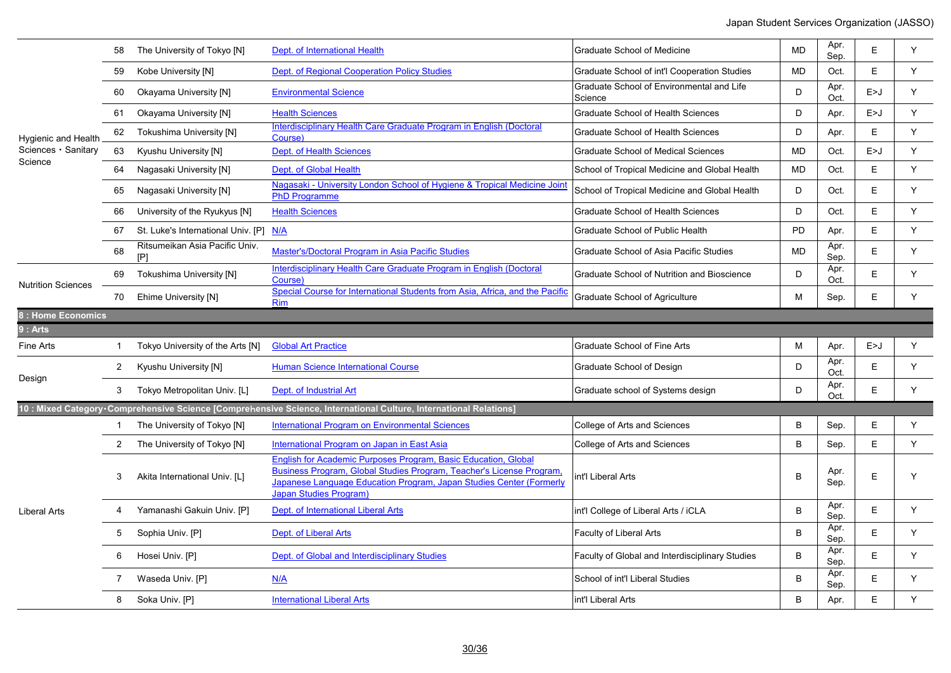|                           |                | The University of Tokyo [N]          | Dept. of International Health                                                                                                                                                                                                                  | <b>Graduate School of Medicine</b>                   | <b>MD</b> | Apr.<br>Sep. | E     | Y |
|---------------------------|----------------|--------------------------------------|------------------------------------------------------------------------------------------------------------------------------------------------------------------------------------------------------------------------------------------------|------------------------------------------------------|-----------|--------------|-------|---|
|                           | 59             | Kobe University [N]                  | Dept. of Regional Cooperation Policy Studies                                                                                                                                                                                                   | Graduate School of int'l Cooperation Studies         | <b>MD</b> | Oct.         | E     | Y |
|                           | 60             | Okayama University [N]               | <b>Environmental Science</b>                                                                                                                                                                                                                   | Graduate School of Environmental and Life<br>Science | D         | Apr.<br>Oct. | E > J | Y |
|                           | 61             | <b>Okayama University [N]</b>        | <b>Health Sciences</b>                                                                                                                                                                                                                         | <b>Graduate School of Health Sciences</b>            | D         | Apr.         | E > J | Y |
| Hygienic and Health       | 62             | <b>Tokushima University [N]</b>      | Interdisciplinary Health Care Graduate Program in English (Doctoral<br>Course)                                                                                                                                                                 | <b>Graduate School of Health Sciences</b>            | D         | Apr.         | E     | Y |
| Sciences · Sanitary       | 63             | Kyushu University [N]                | <b>Dept. of Health Sciences</b>                                                                                                                                                                                                                | <b>Graduate School of Medical Sciences</b>           | <b>MD</b> | Oct.         | E > J | Y |
| Science                   | 64             | Nagasaki University [N]              | Dept. of Global Health                                                                                                                                                                                                                         | School of Tropical Medicine and Global Health        | <b>MD</b> | Oct.         | E     | Y |
|                           | 65             | Nagasaki University [N]              | Nagasaki - University London School of Hygiene & Tropical Medicine Joint<br><b>PhD Programme</b>                                                                                                                                               | School of Tropical Medicine and Global Health        | D         | Oct.         | E     | Y |
|                           | 66             | University of the Ryukyus [N]        | <b>Health Sciences</b>                                                                                                                                                                                                                         | <b>Graduate School of Health Sciences</b>            | D         | Oct.         | E     | Y |
|                           | 67             | St. Luke's International Univ. [P]   | N/A                                                                                                                                                                                                                                            | Graduate School of Public Health                     | <b>PD</b> | Apr.         | E     | Y |
|                           | 68             | Ritsumeikan Asia Pacific Univ.<br>[P | Master's/Doctoral Program in Asia Pacific Studies                                                                                                                                                                                              | Graduate School of Asia Pacific Studies              | <b>MD</b> | Apr.<br>Sep. | E     | Y |
| <b>Nutrition Sciences</b> | 69             | Tokushima University [N]             | Interdisciplinary Health Care Graduate Program in English (Doctoral<br>Course)                                                                                                                                                                 | Graduate School of Nutrition and Bioscience          | D         | Apr.<br>Oct. | E     | Y |
|                           | 70             | Ehime University [N]                 | Special Course for International Students from Asia, Africa, and the Pacific<br><b>Rim</b>                                                                                                                                                     | <b>Graduate School of Agriculture</b>                | м         | Sep.         | E.    | Y |
| 8 : Home Economics        |                |                                      |                                                                                                                                                                                                                                                |                                                      |           |              |       |   |
| 9 : Arts                  |                |                                      |                                                                                                                                                                                                                                                |                                                      |           |              |       |   |
| Fine Arts                 | 1              | Tokyo University of the Arts [N]     | <b>Global Art Practice</b>                                                                                                                                                                                                                     | <b>Graduate School of Fine Arts</b>                  | M         | Apr.         | E>J   | Y |
| Design                    | 2              | Kyushu University [N]                | <b>Human Science International Course</b>                                                                                                                                                                                                      | Graduate School of Design                            | D         | Apr.<br>Oct. | E     | Y |
|                           | 3              | Tokyo Metropolitan Univ. [L]         | Dept. of Industrial Art                                                                                                                                                                                                                        | Graduate school of Systems design                    | D         | Apr.<br>Oct. | E     | Υ |
|                           |                |                                      | 10 : Mixed Category Comprehensive Science [Comprehensive Science, International Culture, International Relations]                                                                                                                              |                                                      |           |              |       |   |
|                           | 1              | The University of Tokyo [N]          | <b>International Program on Environmental Sciences</b>                                                                                                                                                                                         | College of Arts and Sciences                         | B         | Sep.         | E.    | Y |
|                           | $\overline{2}$ | The University of Tokyo [N]          | International Program on Japan in East Asia                                                                                                                                                                                                    | College of Arts and Sciences                         | B         | Sep.         | E     | Y |
|                           |                |                                      |                                                                                                                                                                                                                                                |                                                      |           |              |       |   |
|                           | 3              | Akita International Univ. [L]        | English for Academic Purposes Program, Basic Education, Global<br>Business Program, Global Studies Program, Teacher's License Program,<br>Japanese Language Education Program, Japan Studies Center (Formerly<br><b>Japan Studies Program)</b> | int'l Liberal Arts                                   | B         | Apr.<br>Sep. | E     | Y |
| Liberal Arts              | 4              | Yamanashi Gakuin Univ. [P]           | Dept. of International Liberal Arts                                                                                                                                                                                                            | int'l College of Liberal Arts / iCLA                 | B         | Apr.<br>Sep. | E     | Y |
|                           | 5              | Sophia Univ. [P]                     | Dept. of Liberal Arts                                                                                                                                                                                                                          | <b>Faculty of Liberal Arts</b>                       | B         | Apr.<br>Sep. | E     | Y |
|                           | 6              | Hosei Univ. [P]                      | Dept. of Global and Interdisciplinary Studies                                                                                                                                                                                                  | Faculty of Global and Interdisciplinary Studies      | B         | Apr.<br>Sep. | E     | Υ |
|                           |                | Waseda Univ. [P]                     | N/A                                                                                                                                                                                                                                            | School of int'l Liberal Studies                      | B         | Apr.<br>Sep. | E     | Y |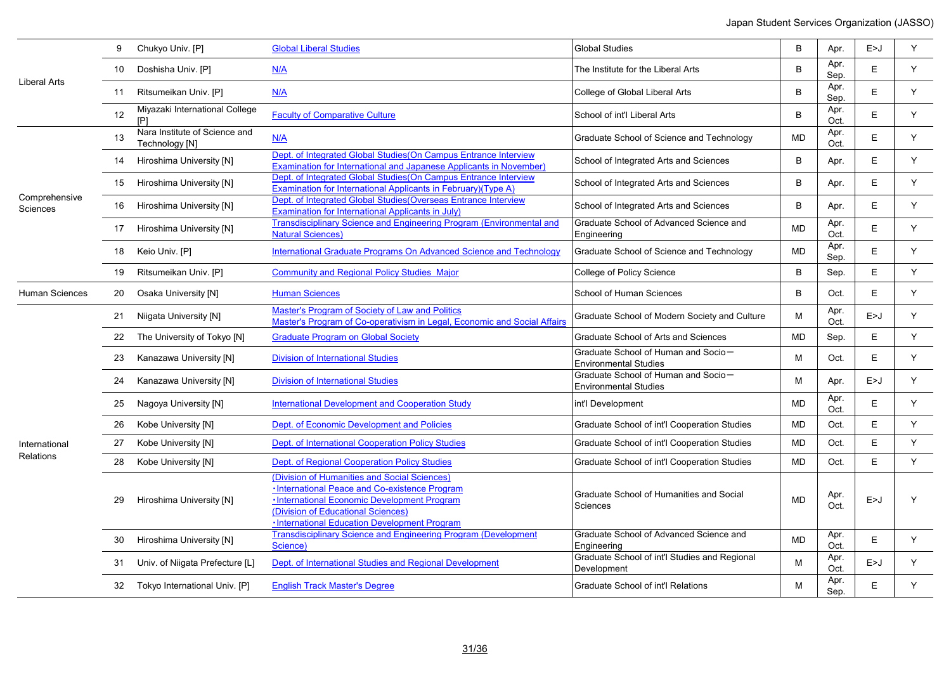|                           | 9  | Chukyo Univ. [P]                                | <b>Global Liberal Studies</b>                                                                                                                                                                                                       | <b>Global Studies</b>                                               | B         | Apr.         | E > J | Y |
|---------------------------|----|-------------------------------------------------|-------------------------------------------------------------------------------------------------------------------------------------------------------------------------------------------------------------------------------------|---------------------------------------------------------------------|-----------|--------------|-------|---|
|                           | 10 | Doshisha Univ. [P]                              | N/A                                                                                                                                                                                                                                 | The Institute for the Liberal Arts                                  | B         | Apr.<br>Sep. | E.    | Y |
| Liberal Arts              |    | 11 Ritsumeikan Univ. [P]                        | N/A                                                                                                                                                                                                                                 | College of Global Liberal Arts                                      | B         | Apr.<br>Sep. | E     | Y |
|                           | 12 | Miyazaki International College<br>$[$ P         | <b>Faculty of Comparative Culture</b>                                                                                                                                                                                               | School of int'l Liberal Arts                                        | B         | Apr.<br>Oct. | E     | Υ |
|                           | 13 | Nara Institute of Science and<br>Technology [N] | N/A                                                                                                                                                                                                                                 | Graduate School of Science and Technology                           | <b>MD</b> | Apr.<br>Oct. | E     | Y |
|                           | 14 | Hiroshima University [N]                        | Dept. of Integrated Global Studies (On Campus Entrance Interview<br><b>Examination for International and Japanese Applicants in November)</b>                                                                                       | School of Integrated Arts and Sciences                              | B         | Apr.         | E     | Y |
|                           | 15 | Hiroshima University [N]                        | Dept. of Integrated Global Studies (On Campus Entrance Interview<br>Examination for International Applicants in February)(Type A)                                                                                                   | School of Integrated Arts and Sciences                              | B         | Apr.         | Е     | Y |
| Comprehensive<br>Sciences | 16 | Hiroshima University [N]                        | Dept. of Integrated Global Studies (Overseas Entrance Interview<br><b>Examination for International Applicants in July)</b>                                                                                                         | School of Integrated Arts and Sciences                              | B         | Apr.         | E.    | Y |
|                           |    | 17 Hiroshima University [N]                     | Transdisciplinary Science and Engineering Program (Environmental and<br><b>Natural Sciences)</b>                                                                                                                                    | Graduate School of Advanced Science and<br>Engineering              | MD        | Apr.<br>Oct. | E     | Y |
|                           | 18 | Keio Univ. [P]                                  | International Graduate Programs On Advanced Science and Technology                                                                                                                                                                  | Graduate School of Science and Technology                           | <b>MD</b> | Apr.<br>Sep. | E     | Y |
|                           | 19 | Ritsumeikan Univ. [P]                           | <b>Community and Regional Policy Studies Major</b>                                                                                                                                                                                  | College of Policy Science                                           | B         | Sep.         | E     | Y |
| <b>Human Sciences</b>     | 20 | Osaka University [N]                            | <b>Human Sciences</b>                                                                                                                                                                                                               | School of Human Sciences                                            | B         | Oct.         | E     | Y |
|                           | 21 | Niigata University [N]                          | <b>Master's Program of Society of Law and Politics</b><br>Master's Program of Co-operativism in Legal, Economic and Social Affairs                                                                                                  | Graduate School of Modern Society and Culture                       | M         | Apr.<br>Oct. | E>J   | Y |
|                           | 22 | The University of Tokyo [N]                     | <b>Graduate Program on Global Society</b>                                                                                                                                                                                           | Graduate School of Arts and Sciences                                | MD        | Sep.         | E     | Y |
|                           | 23 | Kanazawa University [N]                         | <b>Division of International Studies</b>                                                                                                                                                                                            | Graduate School of Human and Socio-<br><b>Environmental Studies</b> | м         | Oct.         | E     | Y |
|                           | 24 | Kanazawa University [N]                         | <b>Division of International Studies</b>                                                                                                                                                                                            | Graduate School of Human and Socio-<br><b>Environmental Studies</b> | М         | Apr.         | E > J | Y |
|                           | 25 | Nagoya University [N]                           | <b>International Development and Cooperation Study</b>                                                                                                                                                                              | int'l Development                                                   | MD        | Apr.<br>Oct. | E     | Y |
|                           | 26 | Kobe University [N]                             | Dept. of Economic Development and Policies                                                                                                                                                                                          | Graduate School of int'l Cooperation Studies                        | MD        | Oct.         | E     | Y |
| International             | 27 | Kobe University [N]                             | Dept. of International Cooperation Policy Studies                                                                                                                                                                                   | Graduate School of int'l Cooperation Studies                        | MD        | Oct.         | E     | Y |
| Relations                 | 28 | Kobe University [N]                             | <b>Dept. of Regional Cooperation Policy Studies</b>                                                                                                                                                                                 | Graduate School of int'l Cooperation Studies                        | <b>MD</b> | Oct.         | Е     | Y |
|                           | 29 | Hiroshima University [N]                        | (Division of Humanities and Social Sciences)<br>·International Peace and Co-existence Program<br>·International Economic Development Program<br>(Division of Educational Sciences)<br>. International Education Development Program | Graduate School of Humanities and Social<br>Sciences                | <b>MD</b> | Apr.<br>Oct. | E>J   | Y |
|                           | 30 | Hiroshima University [N]                        | <b>Transdisciplinary Science and Engineering Program (Development</b><br>Science)                                                                                                                                                   | Graduate School of Advanced Science and<br>Engineering              | <b>MD</b> | Apr.<br>Oct. | E     | Y |
|                           | 31 | Univ. of Niigata Prefecture [L]                 | Dept. of International Studies and Regional Development                                                                                                                                                                             | Graduate School of int'l Studies and Regional<br>Development        | M         | Apr.<br>Oct. | E > J | Y |
|                           | 32 | Tokyo International Univ. [P]                   | <b>English Track Master's Degree</b>                                                                                                                                                                                                | Graduate School of int'l Relations                                  | Μ         | Apr.<br>Sep. | E     | Y |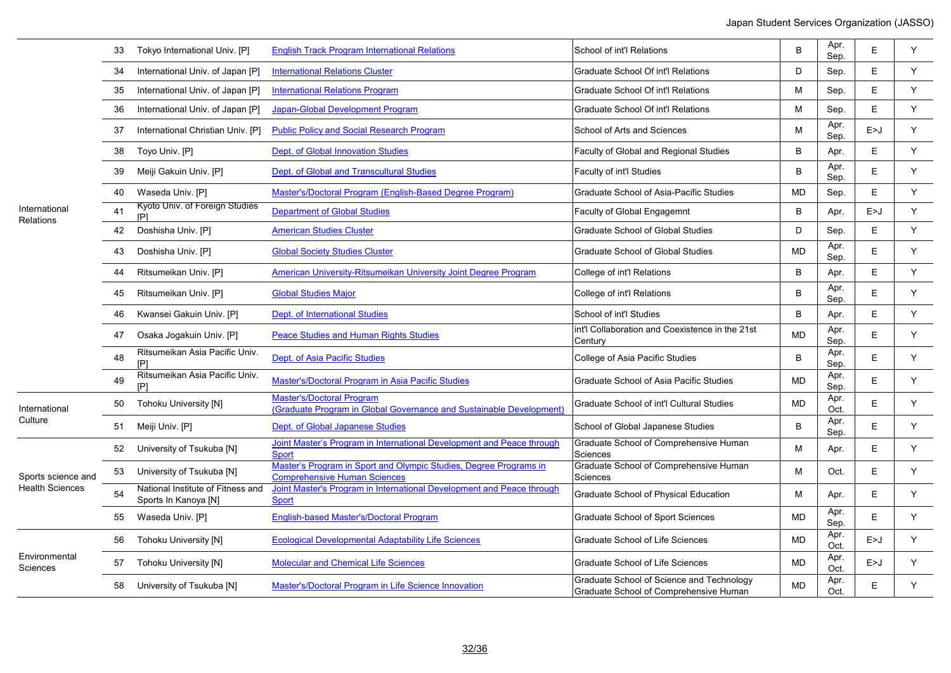|                                  | 33 | Tokyo International Univ. [P]                             | <b>English Track Program International Relations</b>                                                     | School of int'l Relations                                                           | B         | Apr.<br>Sep. | E   | Y |
|----------------------------------|----|-----------------------------------------------------------|----------------------------------------------------------------------------------------------------------|-------------------------------------------------------------------------------------|-----------|--------------|-----|---|
|                                  | 34 | International Univ. of Japan [P]                          | <b>International Relations Cluster</b>                                                                   | Graduate School Of int'l Relations                                                  | D         | Sep.         | Е   | Y |
|                                  | 35 | International Univ. of Japan [P]                          | <b>International Relations Program</b>                                                                   | <b>Graduate School Of int'l Relations</b>                                           | M         | Sep.         | E   | Y |
|                                  | 36 | International Univ. of Japan [P]                          | Japan-Global Development Program                                                                         | Graduate School Of int'l Relations                                                  | M         | Sep.         | E   | Y |
|                                  | 37 | International Christian Univ. [P]                         | <b>Public Policy and Social Research Program</b>                                                         | School of Arts and Sciences                                                         | M         | Apr.<br>Sep. | E>J | Y |
|                                  | 38 | Toyo Univ. [P]                                            | <b>Dept. of Global Innovation Studies</b>                                                                | Faculty of Global and Regional Studies                                              | B         | Apr.         | Е   | Y |
|                                  | 39 | Meiji Gakuin Univ. [P]                                    | Dept. of Global and Transcultural Studies                                                                | Faculty of int'l Studies                                                            | B         | Apr.<br>Sep. | E.  | Y |
|                                  | 40 | Waseda Univ. [P]                                          | Master's/Doctoral Program (English-Based Degree Program)                                                 | Graduate School of Asia-Pacific Studies                                             | MD        | Sep.         | E   | Y |
| International<br>Relations       | 41 | Kyoto Univ. of Foreign Studies<br>[P]                     | <b>Department of Global Studies</b>                                                                      | <b>Faculty of Global Engagemnt</b>                                                  | B         | Apr.         | E>J | Y |
|                                  | 42 | Doshisha Univ. [P]                                        | <b>American Studies Cluster</b>                                                                          | <b>Graduate School of Global Studies</b>                                            | D         | Sep.         | E   | Y |
|                                  | 43 | Doshisha Univ. [P]                                        | <b>Global Society Studies Cluster</b>                                                                    | <b>Graduate School of Global Studies</b>                                            | <b>MD</b> | Apr.<br>Sep. | E   | Υ |
|                                  | 44 | Ritsumeikan Univ. [P]                                     | American University-Ritsumeikan University Joint Degree Program                                          | College of int'l Relations                                                          | B         | Apr.         | Е   | Y |
|                                  | 45 | Ritsumeikan Univ. [P]                                     | <b>Global Studies Major</b>                                                                              | College of int'l Relations                                                          | B         | Apr.<br>Sep. | E   | Y |
|                                  | 46 | Kwansei Gakuin Univ. [P]                                  | Dept. of International Studies                                                                           | School of int'l Studies                                                             | B         | Apr.         | E.  | Y |
|                                  | 47 | Osaka Jogakuin Univ. [P]                                  | <b>Peace Studies and Human Rights Studies</b>                                                            | int'l Collaboration and Coexistence in the 21st<br>Century                          | <b>MD</b> | Apr.<br>Sep. | E   | Y |
|                                  | 48 | Ritsumeikan Asia Pacific Univ.<br>[P]                     | Dept. of Asia Pacific Studies                                                                            | College of Asia Pacific Studies                                                     | B         | Apr.<br>Sep. | E.  | Y |
|                                  | 49 | Ritsumeikan Asia Pacific Univ.<br>[P]                     | Master's/Doctoral Program in Asia Pacific Studies                                                        | Graduate School of Asia Pacific Studies                                             | <b>MD</b> | Apr.<br>Sep. | E.  | Y |
| International                    | 50 | Tohoku University [N]                                     | <b>Master's/Doctoral Program</b><br>(Graduate Program in Global Governance and Sustainable Development)  | Graduate School of int'l Cultural Studies                                           | <b>MD</b> | Apr.<br>Oct. | E.  | Y |
| Culture                          | 51 | Meiji Univ. [P]                                           | Dept. of Global Japanese Studies                                                                         | School of Global Japanese Studies                                                   | B         | Apr.<br>Sep. | E   | Y |
|                                  | 52 | University of Tsukuba [N]                                 | Joint Master's Program in International Development and Peace through<br><b>Sport</b>                    | Graduate School of Comprehensive Human<br>Sciences                                  | M         | Apr.         | E   | Y |
| Sports science and               | 53 | University of Tsukuba [N]                                 | Master's Program in Sport and Olympic Studies, Degree Programs in<br><b>Comprehensive Human Sciences</b> | Graduate School of Comprehensive Human<br>Sciences                                  | м         | Oct.         | E   | Y |
| <b>Health Sciences</b>           | 54 | National Institute of Fitness and<br>Sports In Kanoya [N] | Joint Master's Program in International Development and Peace through<br><b>Sport</b>                    | Graduate School of Physical Education                                               | M         | Apr.         | E.  | Y |
|                                  | 55 | Waseda Univ. [P]                                          | <b>English-based Master's/Doctoral Program</b>                                                           | <b>Graduate School of Sport Sciences</b>                                            | <b>MD</b> | Apr.<br>Sep. | E   | Y |
|                                  | 56 | <b>Tohoku University [N]</b>                              | <b>Ecological Developmental Adaptability Life Sciences</b>                                               | <b>Graduate School of Life Sciences</b>                                             | <b>MD</b> | Apr.<br>Oct. | E>J | Y |
| Environmental<br><b>Sciences</b> | 57 | <b>Tohoku University [N]</b>                              | Molecular and Chemical Life Sciences                                                                     | <b>Graduate School of Life Sciences</b>                                             | <b>MD</b> | Apr.<br>Oct. | E>J | Y |
|                                  | 58 | University of Tsukuba [N]                                 | Master's/Doctoral Program in Life Science Innovation                                                     | Graduate School of Science and Technology<br>Graduate School of Comprehensive Human | <b>MD</b> | Apr.<br>Oct. | Е   | Y |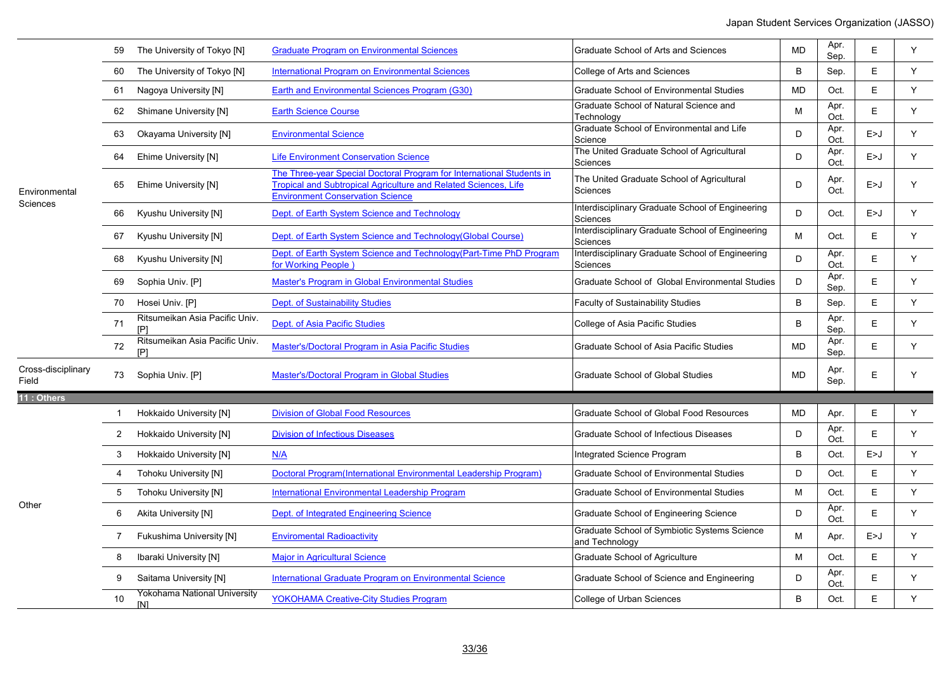|                             |                | The University of Tokyo [N]           | <b>Graduate Program on Environmental Sciences</b>                                                                                                                                   | Graduate School of Arts and Sciences                           | <b>MD</b> | Apr.<br>Sep. | E     | Y |
|-----------------------------|----------------|---------------------------------------|-------------------------------------------------------------------------------------------------------------------------------------------------------------------------------------|----------------------------------------------------------------|-----------|--------------|-------|---|
|                             | 60             | The University of Tokyo [N]           | <b>International Program on Environmental Sciences</b>                                                                                                                              | College of Arts and Sciences                                   | B         | Sep.         | E     | Y |
|                             | 61             | Nagoya University [N]                 | Earth and Environmental Sciences Program (G30)                                                                                                                                      | <b>Graduate School of Environmental Studies</b>                | <b>MD</b> | Oct.         | E     | Y |
|                             | 62             | Shimane University [N]                | <b>Earth Science Course</b>                                                                                                                                                         | Graduate School of Natural Science and<br>Technology           | M         | Apr.<br>Oct. | E     | Y |
|                             | 63             | Okayama University [N]                | <b>Environmental Science</b>                                                                                                                                                        | Graduate School of Environmental and Life<br>Science           | D         | Apr.<br>Oct. | E > J | Y |
|                             | 64             | Ehime University [N]                  | <b>Life Environment Conservation Science</b>                                                                                                                                        | The United Graduate School of Agricultural<br>Sciences         | D         | Apr.<br>Oct. | E > J | Y |
| Environmental<br>Sciences   | 65             | Ehime University [N]                  | The Three-vear Special Doctoral Program for International Students in<br>Tropical and Subtropical Agriculture and Related Sciences, Life<br><b>Environment Conservation Science</b> | The United Graduate School of Agricultural<br>Sciences         | D         | Apr.<br>Oct. | E > J | Y |
|                             | 66             | Kyushu University [N]                 | Dept. of Earth System Science and Technology                                                                                                                                        | Interdisciplinary Graduate School of Engineering<br>Sciences   | D         | Oct.         | E > J | Y |
|                             | 67             | Kyushu University [N]                 | Dept. of Earth System Science and Technology (Global Course)                                                                                                                        | Interdisciplinary Graduate School of Engineering<br>Sciences   | M         | Oct.         | E.    | Y |
|                             | 68             | Kyushu University [N]                 | Dept. of Earth System Science and Technology (Part-Time PhD Program<br>for Working People)                                                                                          | Interdisciplinary Graduate School of Engineering<br>Sciences   | D         | Apr.<br>Oct. | E     | Y |
|                             | 69             | Sophia Univ. [P]                      | Master's Program in Global Environmental Studies                                                                                                                                    | Graduate School of Global Environmental Studies                | D         | Apr.<br>Sep. | E     | Y |
|                             | 70             | Hosei Univ. [P]                       | Dept. of Sustainability Studies                                                                                                                                                     | <b>Faculty of Sustainability Studies</b>                       | B         | Sep.         | E     | Y |
|                             | 71             | Ritsumeikan Asia Pacific Univ.<br>[P] | Dept. of Asia Pacific Studies                                                                                                                                                       | College of Asia Pacific Studies                                | B         | Apr.<br>Sep. | E     | Y |
|                             | 72             | Ritsumeikan Asia Pacific Univ.        | Master's/Doctoral Program in Asia Pacific Studies                                                                                                                                   | Graduate School of Asia Pacific Studies                        | <b>MD</b> | Apr.<br>Sep. | E     | Y |
| Cross-disciplinary<br>Field | 73             | Sophia Univ. [P]                      | Master's/Doctoral Program in Global Studies                                                                                                                                         | <b>Graduate School of Global Studies</b>                       | <b>MD</b> | Apr.<br>Sep. | E     | Y |
| 11 : Others                 |                |                                       |                                                                                                                                                                                     |                                                                |           |              |       |   |
|                             | -1             | Hokkaido University [N]               | <b>Division of Global Food Resources</b>                                                                                                                                            | Graduate School of Global Food Resources                       | <b>MD</b> | Apr.         | E     | Y |
|                             | $\overline{2}$ | Hokkaido University [N]               | <b>Division of Infectious Diseases</b>                                                                                                                                              | Graduate School of Infectious Diseases                         | D         | Apr.<br>Oct. | E     | Y |
|                             | 3              | Hokkaido University [N]               | N/A                                                                                                                                                                                 | Integrated Science Program                                     | В         | Oct.         | E > J | Y |
|                             | 4              | <b>Tohoku University [N]</b>          | Doctoral Program (International Environmental Leadership Program)                                                                                                                   | Graduate School of Environmental Studies                       | D         | Oct.         | E     | Y |
|                             | 5              | Tohoku University [N]                 | International Environmental Leadership Program                                                                                                                                      | <b>Graduate School of Environmental Studies</b>                | M         | Oct.         | E.    | Y |
| Other                       | 6              | Akita University [N]                  | Dept. of Integrated Engineering Science                                                                                                                                             | Graduate School of Engineering Science                         | D         | Apr.<br>Oct. | E     | Y |
|                             | 7              | <b>Fukushima University [N]</b>       | <b>Enviromental Radioactivity</b>                                                                                                                                                   | Graduate School of Symbiotic Systems Science<br>and Technology | M         | Apr.         | E > J | Y |
|                             | 8              | Ibaraki University [N]                | <b>Major in Agricultural Science</b>                                                                                                                                                | Graduate School of Agriculture                                 | м         | Oct.         | E     | Y |
|                             | 9              | Saitama University [N]                | International Graduate Program on Environmental Science                                                                                                                             | Graduate School of Science and Engineering                     | D         | Apr.<br>Oct. | E     | Y |
|                             | 10             | Yokohama National University<br>[N]   | <b>YOKOHAMA Creative-City Studies Program</b>                                                                                                                                       | College of Urban Sciences                                      | B         | Oct.         | E.    | Y |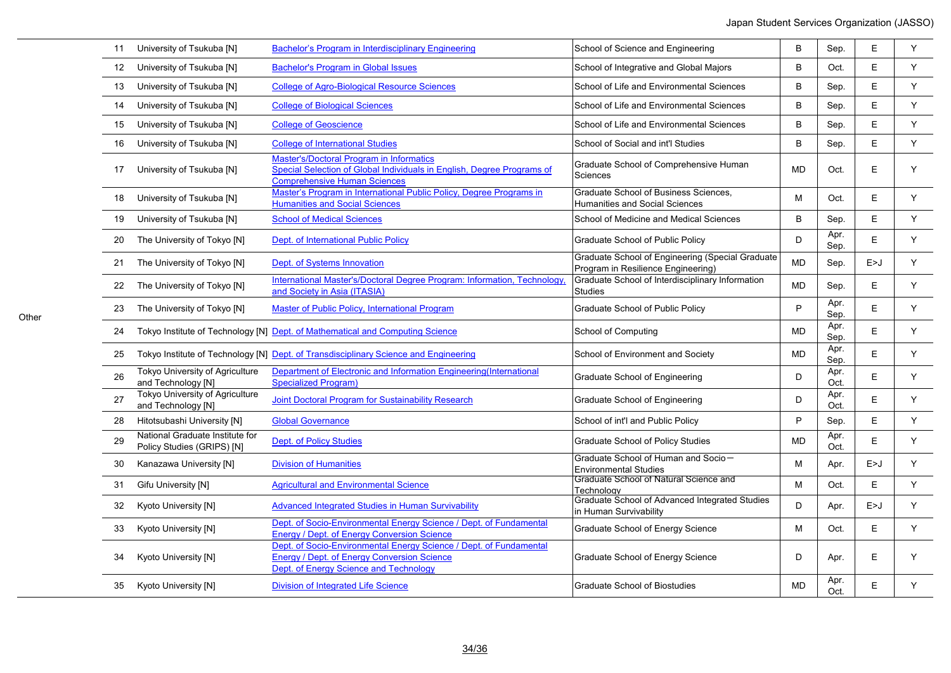| 11              | University of Tsukuba [N]                                     | Bachelor's Program in Interdisciplinary Engineering                                                                                                                | School of Science and Engineering                                                      | B         | Sep.         | E     | Y           |
|-----------------|---------------------------------------------------------------|--------------------------------------------------------------------------------------------------------------------------------------------------------------------|----------------------------------------------------------------------------------------|-----------|--------------|-------|-------------|
| 12 <sup>°</sup> | University of Tsukuba [N]                                     | <b>Bachelor's Program in Global Issues</b>                                                                                                                         | School of Integrative and Global Majors                                                | B         | Oct.         | E     | $\mathsf Y$ |
| 13              | University of Tsukuba [N]                                     | <b>College of Agro-Biological Resource Sciences</b>                                                                                                                | School of Life and Environmental Sciences                                              | B         | Sep.         | E     | Y           |
| 14              | University of Tsukuba [N]                                     | <b>College of Biological Sciences</b>                                                                                                                              | School of Life and Environmental Sciences                                              | B         | Sep.         | E     | Y           |
| 15              | University of Tsukuba [N]                                     | <b>College of Geoscience</b>                                                                                                                                       | School of Life and Environmental Sciences                                              | B         | Sep.         | E     | Y           |
| 16              | University of Tsukuba [N]                                     | <b>College of International Studies</b>                                                                                                                            | School of Social and int'l Studies                                                     | B         | Sep.         | E     | Y           |
| 17              | University of Tsukuba [N]                                     | <b>Master's/Doctoral Program in Informatics</b><br>Special Selection of Global Individuals in English, Degree Programs of<br><b>Comprehensive Human Sciences</b>   | Graduate School of Comprehensive Human<br>Sciences                                     | <b>MD</b> | Oct.         | E     | Y           |
| 18              | University of Tsukuba [N]                                     | Master's Program in International Public Policy. Degree Programs in<br><b>Humanities and Social Sciences</b>                                                       | <b>Graduate School of Business Sciences.</b><br><b>Humanities and Social Sciences</b>  | M         | Oct.         | Ε     | Y           |
| 19              | University of Tsukuba [N]                                     | <b>School of Medical Sciences</b>                                                                                                                                  | School of Medicine and Medical Sciences                                                | B         | Sep.         | E     | Y           |
| 20              | The University of Tokyo [N]                                   | Dept. of International Public Policy                                                                                                                               | Graduate School of Public Policy                                                       | D         | Apr.<br>Sep. | Ε     | Y           |
| 21              | The University of Tokyo [N]                                   | Dept. of Systems Innovation                                                                                                                                        | Graduate School of Engineering (Special Graduate<br>Program in Resilience Engineering) | <b>MD</b> | Sep.         | E>J   | Y           |
| 22              | The University of Tokyo [N]                                   | International Master's/Doctoral Degree Program: Information, Technology,<br>and Society in Asia (ITASIA)                                                           | Graduate School of Interdisciplinary Information<br><b>Studies</b>                     | <b>MD</b> | Sep.         | E     | Y           |
| 23              | The University of Tokyo [N]                                   | Master of Public Policy, International Program                                                                                                                     | Graduate School of Public Policy                                                       | P         | Apr.<br>Sep. | E     | Y           |
| 24              |                                                               | Tokyo Institute of Technology [N] Dept. of Mathematical and Computing Science                                                                                      | School of Computing                                                                    | <b>MD</b> | Apr.<br>Sep. | E     | Y           |
| 25              |                                                               | Tokyo Institute of Technology [N] Dept. of Transdisciplinary Science and Engineering                                                                               | School of Environment and Society                                                      | <b>MD</b> | Apr.<br>Sep. | E     | Y           |
| 26              | Tokyo University of Agriculture<br>and Technology [N]         | Department of Electronic and Information Engineering (International<br><b>Specialized Program)</b>                                                                 | Graduate School of Engineering                                                         | D         | Apr.<br>Oct. | E     | Y           |
| 27              | Tokyo University of Agriculture<br>and Technology [N]         | <b>Joint Doctoral Program for Sustainability Research</b>                                                                                                          | Graduate School of Engineering                                                         | D         | Apr.<br>Oct. | E     | Y           |
| 28              | Hitotsubashi University [N]                                   | <b>Global Governance</b>                                                                                                                                           | School of int'l and Public Policy                                                      | P         | Sep.         | Ε     | Y           |
| 29              | National Graduate Institute for<br>Policy Studies (GRIPS) [N] | <b>Dept. of Policy Studies</b>                                                                                                                                     | <b>Graduate School of Policy Studies</b>                                               | MD        | Apr.<br>Oct. | E     | Y           |
| 30              | Kanazawa University [N]                                       | <b>Division of Humanities</b>                                                                                                                                      | Graduate School of Human and Socio-<br><b>Environmental Studies</b>                    | M         | Apr.         | E > J | Y           |
| 31              | Gifu University [N]                                           | <b>Agricultural and Environmental Science</b>                                                                                                                      | Graduate School of Natural Science and<br>Technoloav                                   | M         | Oct.         | E     | Y           |
| 32              | Kyoto University [N]                                          | <b>Advanced Integrated Studies in Human Survivability</b>                                                                                                          | Graduate School of Advanced Integrated Studies<br>in Human Survivability               | D         | Apr.         | E>J   | Y           |
| 33              | Kyoto University [N]                                          | Dept. of Socio-Environmental Energy Science / Dept. of Fundamental<br>Energy / Dept. of Energy Conversion Science                                                  | Graduate School of Energy Science                                                      | M         | Oct.         | E     | Y           |
| 34              | Kyoto University [N]                                          | Dept. of Socio-Environmental Energy Science / Dept. of Fundamental<br><b>Energy / Dept. of Energy Conversion Science</b><br>Dept. of Energy Science and Technology | Graduate School of Energy Science                                                      | D         | Apr.         | Ε     | Y           |
| 35              | Kyoto University [N]                                          | <b>Division of Integrated Life Science</b>                                                                                                                         | <b>Graduate School of Biostudies</b>                                                   | <b>MD</b> | Apr.<br>Oct. | E     | Y           |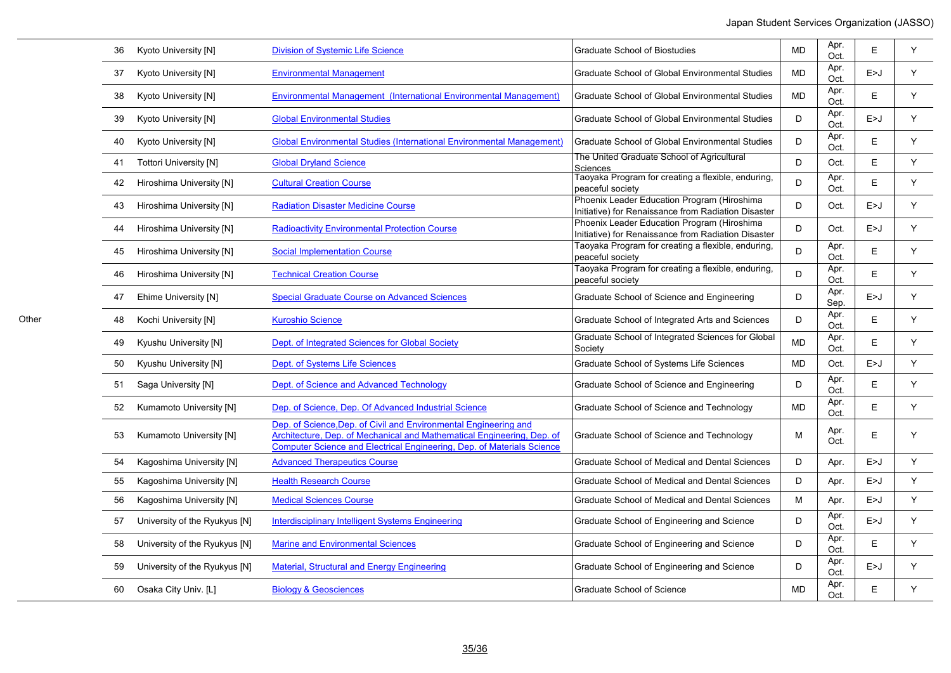| 36 | Kyoto University [N]          | <b>Division of Systemic Life Science</b>                                                                                                                                                                             | <b>Graduate School of Biostudies</b>                                                               | <b>MD</b> | Apr.<br>Oct. | Ε     | Y |
|----|-------------------------------|----------------------------------------------------------------------------------------------------------------------------------------------------------------------------------------------------------------------|----------------------------------------------------------------------------------------------------|-----------|--------------|-------|---|
| 37 | Kyoto University [N]          | <b>Environmental Management</b>                                                                                                                                                                                      | Graduate School of Global Environmental Studies                                                    | <b>MD</b> | Apr.<br>Oct. | E > J | Y |
| 38 | Kyoto University [N]          | Environmental Management (International Environmental Management)                                                                                                                                                    | Graduate School of Global Environmental Studies                                                    | MD        | Apr.<br>Oct. | E     | Y |
| 39 | Kyoto University [N]          | <b>Global Environmental Studies</b>                                                                                                                                                                                  | Graduate School of Global Environmental Studies                                                    | D         | Apr.<br>Oct. | E > J | Y |
| 40 | Kyoto University [N]          | Global Environmental Studies (International Environmental Management)                                                                                                                                                | <b>Graduate School of Global Environmental Studies</b>                                             | D         | Apr.<br>Oct. | E     | Y |
| 41 | <b>Tottori University [N]</b> | <b>Global Dryland Science</b>                                                                                                                                                                                        | The United Graduate School of Agricultural<br>Sciences                                             | D         | Oct.         | Ε     | Y |
| 42 | Hiroshima University [N]      | <b>Cultural Creation Course</b>                                                                                                                                                                                      | Taoyaka Program for creating a flexible, enduring,<br>peaceful society                             | D         | Apr.<br>Oct. | E     | Y |
| 43 | Hiroshima University [N]      | <b>Radiation Disaster Medicine Course</b>                                                                                                                                                                            | Phoenix Leader Education Program (Hiroshima<br>Initiative) for Renaissance from Radiation Disaster | D         | Oct.         | E > J | Y |
|    | Hiroshima University [N]      | <b>Radioactivity Environmental Protection Course</b>                                                                                                                                                                 | Phoenix Leader Education Program (Hiroshima<br>Initiative) for Renaissance from Radiation Disaster | D         | Oct.         | E > J | Y |
| 45 | Hiroshima University [N]      | <b>Social Implementation Course</b>                                                                                                                                                                                  | Taoyaka Program for creating a flexible, enduring,<br>peaceful society                             | D         | Apr.<br>Oct. | E     | Y |
| 46 | Hiroshima University [N]      | <b>Technical Creation Course</b>                                                                                                                                                                                     | Taoyaka Program for creating a flexible, enduring,<br>peaceful society                             | D         | Apr.<br>Oct. | E     | Y |
| 47 | Ehime University [N]          | <b>Special Graduate Course on Advanced Sciences</b>                                                                                                                                                                  | Graduate School of Science and Engineering                                                         | D         | Apr.<br>Sep. | E > J | Y |
| 48 | Kochi University [N]          | <b>Kuroshio Science</b>                                                                                                                                                                                              | Graduate School of Integrated Arts and Sciences                                                    | D         | Apr.<br>Oct. | Ε     | Y |
| 49 | Kyushu University [N]         | Dept. of Integrated Sciences for Global Society                                                                                                                                                                      | Graduate School of Integrated Sciences for Global<br>Society                                       | <b>MD</b> | Apr.<br>Oct. | E     | Y |
| 50 | Kyushu University [N]         | Dept. of Systems Life Sciences                                                                                                                                                                                       | Graduate School of Systems Life Sciences                                                           | <b>MD</b> | Oct.         | E > J | Y |
| 51 | Saga University [N]           | Dept. of Science and Advanced Technology                                                                                                                                                                             | Graduate School of Science and Engineering                                                         | D         | Apr.<br>Oct. | E     | Y |
| 52 | Kumamoto University [N]       | Dep. of Science, Dep. Of Advanced Industrial Science                                                                                                                                                                 | Graduate School of Science and Technology                                                          | <b>MD</b> | Apr.<br>Oct. | E     | Y |
| 53 | Kumamoto University [N]       | Dep. of Science, Dep. of Civil and Environmental Engineering and<br>Architecture, Dep. of Mechanical and Mathematical Engineering, Dep. of<br>Computer Science and Electrical Engineering, Dep. of Materials Science | Graduate School of Science and Technology                                                          | M         | Apr.<br>Oct. | E     | Y |
| 54 | Kagoshima University [N]      | <b>Advanced Therapeutics Course</b>                                                                                                                                                                                  | Graduate School of Medical and Dental Sciences                                                     | D         | Apr.         | E > J | Y |
| 55 | Kagoshima University [N]      | <b>Health Research Course</b>                                                                                                                                                                                        | Graduate School of Medical and Dental Sciences                                                     | D         | Apr.         | E > J | Y |
| 56 | Kagoshima University [N]      | <b>Medical Sciences Course</b>                                                                                                                                                                                       | Graduate School of Medical and Dental Sciences                                                     | M         | Apr.         | E > J | Y |
| 57 | University of the Ryukyus [N] | <b>Interdisciplinary Intelligent Systems Engineering</b>                                                                                                                                                             | Graduate School of Engineering and Science                                                         | D         | Apr.<br>Oct. | E > J | Y |
| 58 | University of the Ryukyus [N] | <b>Marine and Environmental Sciences</b>                                                                                                                                                                             | Graduate School of Engineering and Science                                                         | D         | Apr.<br>Oct. | E     | Y |
| 59 | University of the Ryukyus [N] | <b>Material, Structural and Energy Engineering</b>                                                                                                                                                                   | Graduate School of Engineering and Science                                                         | D         | Apr.<br>Oct. | E > J | Y |
| 60 | Osaka City Univ. [L]          | <b>Biology &amp; Geosciences</b>                                                                                                                                                                                     | Graduate School of Science                                                                         | <b>MD</b> | Apr.<br>Oct. | E     | Y |